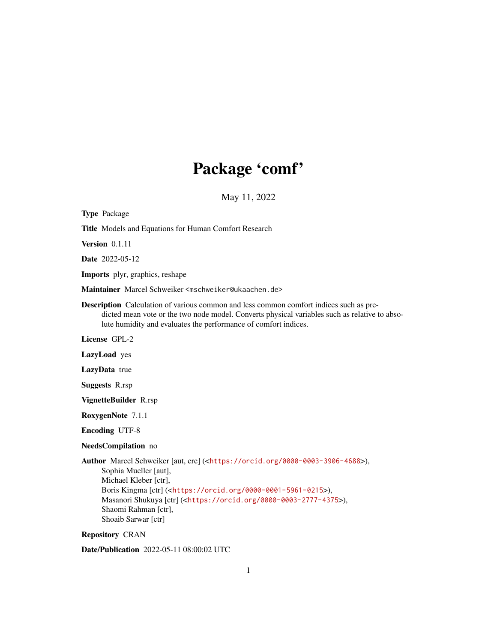# Package 'comf'

May 11, 2022

| <b>Type Package</b>                                                                                                                                                                                                                                                                                                                                                          |
|------------------------------------------------------------------------------------------------------------------------------------------------------------------------------------------------------------------------------------------------------------------------------------------------------------------------------------------------------------------------------|
| Title Models and Equations for Human Comfort Research                                                                                                                                                                                                                                                                                                                        |
| Version $0.1.11$                                                                                                                                                                                                                                                                                                                                                             |
| <b>Date</b> 2022-05-12                                                                                                                                                                                                                                                                                                                                                       |
| <b>Imports</b> plyr, graphics, reshape                                                                                                                                                                                                                                                                                                                                       |
| Maintainer Marcel Schweiker <mschweiker@ukaachen.de></mschweiker@ukaachen.de>                                                                                                                                                                                                                                                                                                |
| <b>Description</b> Calculation of various common and less common comfort indices such as pre-<br>dicted mean vote or the two node model. Converts physical variables such as relative to abso-<br>lute humidity and evaluates the performance of comfort indices.                                                                                                            |
| License GPL-2                                                                                                                                                                                                                                                                                                                                                                |
| LazyLoad yes                                                                                                                                                                                                                                                                                                                                                                 |
| LazyData true                                                                                                                                                                                                                                                                                                                                                                |
| <b>Suggests R.rsp</b>                                                                                                                                                                                                                                                                                                                                                        |
| VignetteBuilder R.rsp                                                                                                                                                                                                                                                                                                                                                        |
| RoxygenNote 7.1.1                                                                                                                                                                                                                                                                                                                                                            |
| <b>Encoding UTF-8</b>                                                                                                                                                                                                                                                                                                                                                        |
| NeedsCompilation no                                                                                                                                                                                                                                                                                                                                                          |
| <b>Author</b> Marcel Schweiker [aut, cre] ( <https: 0000-0003-3906-4688="" orcid.org="">),<br/>Sophia Mueller [aut],<br/>Michael Kleber [ctr],<br/>Boris Kingma [ctr] (<https: 0000-0001-5961-0215="" orcid.org="">),<br/>Masanori Shukuya [ctr] (<https: 0000-0003-2777-4375="" orcid.org="">),<br/>Shaomi Rahman [ctr],<br/>Shoaib Sarwar [ctr]</https:></https:></https:> |

Repository CRAN

Date/Publication 2022-05-11 08:00:02 UTC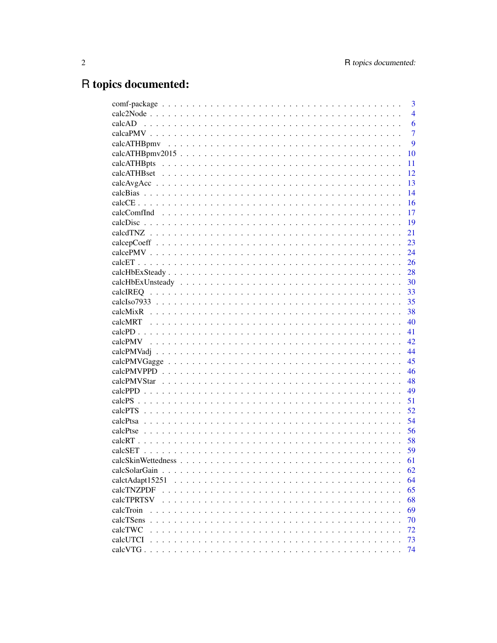## R topics documented:

| 3                     |
|-----------------------|
| $\overline{4}$        |
| 6                     |
| $\overline{7}$        |
| 9                     |
| 10                    |
| calcATHBpts<br>11     |
| 12                    |
| 13                    |
| 14                    |
| 16                    |
| 17                    |
| 19                    |
| 21                    |
| 23                    |
| 24                    |
| 26                    |
| 28                    |
| 30                    |
| 33<br>calcIREQ        |
| 35                    |
| 38                    |
| 40                    |
| 41                    |
| 42                    |
| 44                    |
| 45                    |
| 46                    |
| 48                    |
| 49                    |
| 51                    |
| 52                    |
| 54                    |
| 56                    |
| 58                    |
| 59                    |
| 61                    |
| calcSolarGain<br>62   |
| 64<br>calctAdapt15251 |
| calcTNZPDF<br>65      |
| calcTPRTSV<br>68      |
| 69<br>calcTroin       |
| calcTSens<br>70       |
| calcTWC<br>72         |
| calcUTCI<br>73        |
| calcVTG.<br>74        |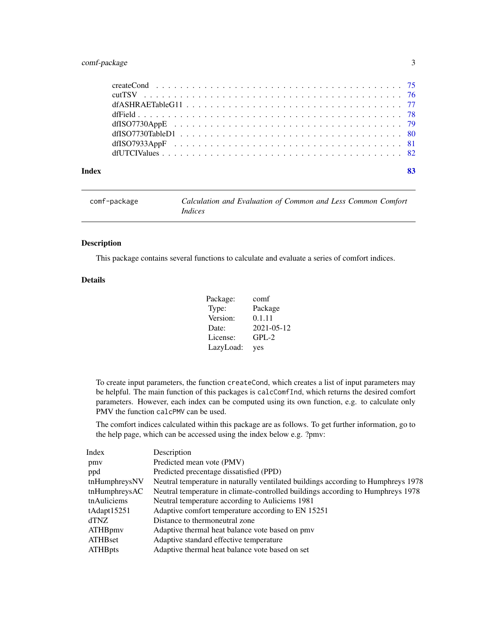### <span id="page-2-0"></span>comf-package 3

| Index | 83 |
|-------|----|

| comf-package | Calculation and Evaluation of Common and Less Common Comfort |
|--------------|--------------------------------------------------------------|
|              | <i>Indices</i>                                               |

### Description

This package contains several functions to calculate and evaluate a series of comfort indices.

### Details

| Package:  | comf       |
|-----------|------------|
| Type:     | Package    |
| Version:  | 0.1.11     |
| Date:     | 2021-05-12 |
| License:  | $GPL-2$    |
| LazyLoad: | yes        |

To create input parameters, the function createCond, which creates a list of input parameters may be helpful. The main function of this packages is calcComfInd, which returns the desired comfort parameters. However, each index can be computed using its own function, e.g. to calculate only PMV the function calcPMV can be used.

The comfort indices calculated within this package are as follows. To get further information, go to the help page, which can be accessed using the index below e.g. ?pmv:

| Index          | Description                                                                       |
|----------------|-----------------------------------------------------------------------------------|
| pmy            | Predicted mean vote (PMV)                                                         |
| ppd            | Predicted precentage dissatisfied (PPD)                                           |
| tnHumphreysNV  | Neutral temperature in naturally ventilated buildings according to Humphreys 1978 |
| tnHumphreysAC  | Neutral temperature in climate-controlled buildings according to Humphreys 1978   |
| tnAuliciems    | Neutral temperature according to Auliciems 1981                                   |
| tAdapt15251    | Adaptive comfort temperature according to EN 15251                                |
| <b>dTNZ</b>    | Distance to thermoneutral zone                                                    |
| ATHBpmy        | Adaptive thermal heat balance vote based on pmv                                   |
| ATHBset        | Adaptive standard effective temperature                                           |
| <b>ATHBpts</b> | Adaptive thermal heat balance vote based on set                                   |
|                |                                                                                   |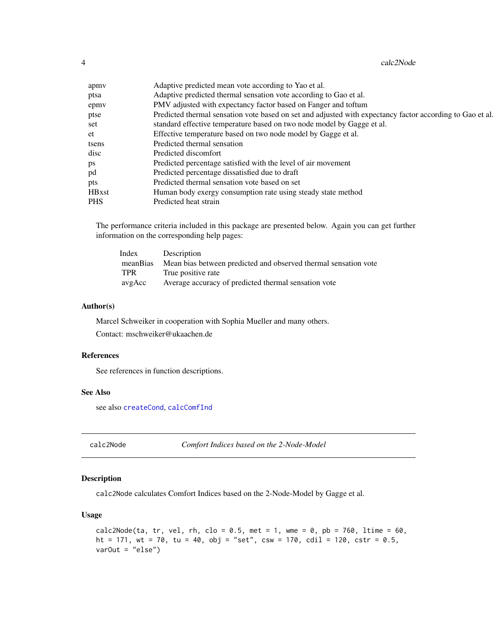4 calc2Node and the calcal control of the calcal calcal control of the calcal calcal control of the calcal control of the calcal control of the calcal control of the calcal control of the calcal control of the calcal contr

| apmy          | Adaptive predicted mean vote according to Yao et al.                                                      |
|---------------|-----------------------------------------------------------------------------------------------------------|
| ptsa          | Adaptive predicted thermal sensation vote according to Gao et al.                                         |
| epmy          | PMV adjusted with expectancy factor based on Fanger and toftum                                            |
| ptse          | Predicted thermal sensation vote based on set and adjusted with expectancy factor according to Gao et al. |
| set           | standard effective temperature based on two node model by Gagge et al.                                    |
| et            | Effective temperature based on two node model by Gagge et al.                                             |
| tsens         | Predicted thermal sensation                                                                               |
| disc          | Predicted discomfort                                                                                      |
| ps            | Predicted percentage satisfied with the level of air movement                                             |
| pd            | Predicted percentage dissatisfied due to draft                                                            |
| pts           | Predicted thermal sensation vote based on set                                                             |
| <b>HB</b> xst | Human body exergy consumption rate using steady state method                                              |
| <b>PHS</b>    | Predicted heat strain                                                                                     |
|               |                                                                                                           |

The performance criteria included in this package are presented below. Again you can get further information on the corresponding help pages:

| Index      | Description                                                     |
|------------|-----------------------------------------------------------------|
| meanBias   | Mean bias between predicted and observed thermal sensation vote |
| <b>TPR</b> | True positive rate                                              |
| avgAcc     | Average accuracy of predicted thermal sensation vote            |

#### Author(s)

Marcel Schweiker in cooperation with Sophia Mueller and many others. Contact: mschweiker@ukaachen.de

#### References

See references in function descriptions.

### See Also

see also [createCond](#page-74-1), [calcComfInd](#page-16-1)

<span id="page-3-1"></span>calc2Node *Comfort Indices based on the 2-Node-Model*

### Description

calc2Node calculates Comfort Indices based on the 2-Node-Model by Gagge et al.

### Usage

```
calc2Node(ta, tr, vel, rh, clo = 0.5, met = 1, wme = 0, pb = 760, ltime = 60,
ht = 171, wt = 70, tu = 40, obj = "set", csw = 170, cdil = 120, cstr = 0.5,
varOut = "else")
```
<span id="page-3-0"></span>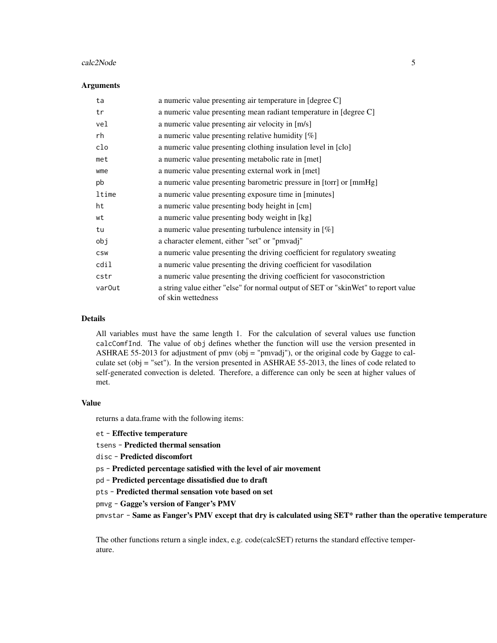#### calc2Node 5

#### **Arguments**

| ta                 | a numeric value presenting air temperature in [degree C]                                                 |
|--------------------|----------------------------------------------------------------------------------------------------------|
| tr                 | a numeric value presenting mean radiant temperature in [degree C]                                        |
| vel                | a numeric value presenting air velocity in [m/s]                                                         |
| rh                 | a numeric value presenting relative humidity $[\%]$                                                      |
| clo                | a numeric value presenting clothing insulation level in [clo]                                            |
| met                | a numeric value presenting metabolic rate in [met]                                                       |
| wme                | a numeric value presenting external work in [met]                                                        |
| pb                 | a numeric value presenting barometric pressure in [torr] or [mmHg]                                       |
| ltime              | a numeric value presenting exposure time in [minutes]                                                    |
| ht                 | a numeric value presenting body height in [cm]                                                           |
| wt                 | a numeric value presenting body weight in [kg]                                                           |
| tu                 | a numeric value presenting turbulence intensity in $[\%]$                                                |
| obj                | a character element, either "set" or "pmvadj"                                                            |
| <b>CSW</b>         | a numeric value presenting the driving coefficient for regulatory sweating                               |
| cdil               | a numeric value presenting the driving coefficient for vasodilation                                      |
| cstr               | a numeric value presenting the driving coefficient for vasoconstriction                                  |
| var <sub>Out</sub> | a string value either "else" for normal output of SET or "skinWet" to report value<br>of skin wettedness |

#### Details

All variables must have the same length 1. For the calculation of several values use function calcComfInd. The value of obj defines whether the function will use the version presented in ASHRAE 55-2013 for adjustment of pmv (obj = "pmvadj"), or the original code by Gagge to calculate set (obj = "set"). In the version presented in ASHRAE 55-2013, the lines of code related to self-generated convection is deleted. Therefore, a difference can only be seen at higher values of met.

#### Value

returns a data.frame with the following items:

et - Effective temperature

tsens - Predicted thermal sensation

disc - Predicted discomfort

ps - Predicted percentage satisfied with the level of air movement

pd - Predicted percentage dissatisfied due to draft

pts - Predicted thermal sensation vote based on set

pmvg - Gagge's version of Fanger's PMV

pmvstar - Same as Fanger's PMV except that dry is calculated using SET\* rather than the operative temperature

The other functions return a single index, e.g. code(calcSET) returns the standard effective temperature.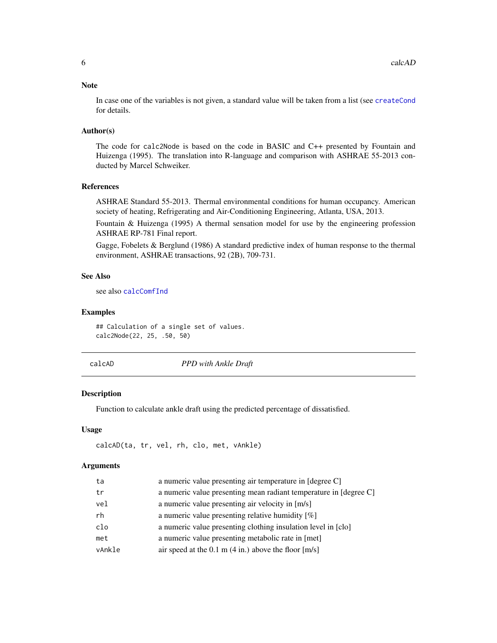#### <span id="page-5-0"></span>Note

In case one of the variables is not given, a standard value will be taken from a list (see [createCond](#page-74-1) for details.

### Author(s)

The code for calc2Node is based on the code in BASIC and C++ presented by Fountain and Huizenga (1995). The translation into R-language and comparison with ASHRAE 55-2013 conducted by Marcel Schweiker.

### References

ASHRAE Standard 55-2013. Thermal environmental conditions for human occupancy. American society of heating, Refrigerating and Air-Conditioning Engineering, Atlanta, USA, 2013.

Fountain & Huizenga (1995) A thermal sensation model for use by the engineering profession ASHRAE RP-781 Final report.

Gagge, Fobelets & Berglund (1986) A standard predictive index of human response to the thermal environment, ASHRAE transactions, 92 (2B), 709-731.

#### See Also

see also [calcComfInd](#page-16-1)

#### Examples

## Calculation of a single set of values. calc2Node(22, 25, .50, 50)

| calcAD |  |
|--------|--|

**PPD** with Ankle Draft

#### Description

Function to calculate ankle draft using the predicted percentage of dissatisfied.

#### Usage

calcAD(ta, tr, vel, rh, clo, met, vAnkle)

| ta     | a numeric value presenting air temperature in [degree C]          |
|--------|-------------------------------------------------------------------|
| tr     | a numeric value presenting mean radiant temperature in [degree C] |
| vel    | a numeric value presenting air velocity in [m/s]                  |
| rh     | a numeric value presenting relative humidity $[\%]$               |
| clo    | a numeric value presenting clothing insulation level in [clo]     |
| met    | a numeric value presenting metabolic rate in [met]                |
| vAnkle | air speed at the 0.1 m $(4 \text{ in.})$ above the floor $[m/s]$  |
|        |                                                                   |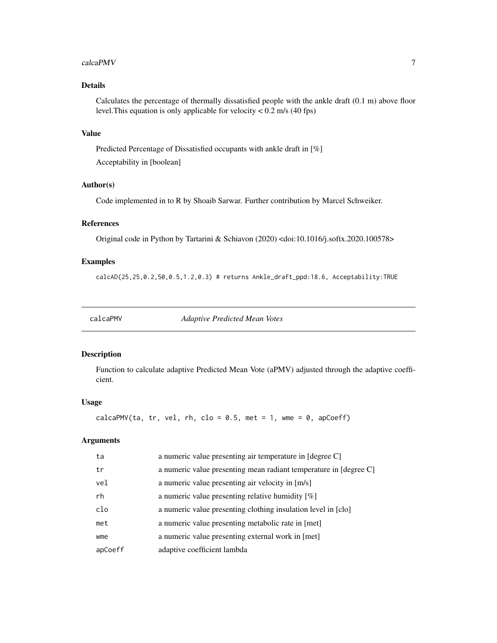#### <span id="page-6-0"></span> $\alpha$ calcaPMV 7

### Details

Calculates the percentage of thermally dissatisfied people with the ankle draft (0.1 m) above floor level.This equation is only applicable for velocity < 0.2 m/s (40 fps)

### Value

Predicted Percentage of Dissatisfied occupants with ankle draft in [%] Acceptability in [boolean]

### Author(s)

Code implemented in to R by Shoaib Sarwar. Further contribution by Marcel Schweiker.

### References

Original code in Python by Tartarini & Schiavon (2020) <doi:10.1016/j.softx.2020.100578>

#### Examples

calcAD(25,25,0.2,50,0.5,1.2,0.3) # returns Ankle\_draft\_ppd:18.6, Acceptability:TRUE

<span id="page-6-1"></span>calcaPMV *Adaptive Predicted Mean Votes*

#### Description

Function to calculate adaptive Predicted Mean Vote (aPMV) adjusted through the adaptive coefficient.

### Usage

calcaPMV(ta, tr, vel, rh, clo =  $0.5$ , met = 1, wme =  $0$ , apCoeff)

| ta      | a numeric value presenting air temperature in [degree C]          |
|---------|-------------------------------------------------------------------|
| tr      | a numeric value presenting mean radiant temperature in [degree C] |
| vel     | a numeric value presenting air velocity in [m/s]                  |
| rh      | a numeric value presenting relative humidity $[\%]$               |
| clo     | a numeric value presenting clothing insulation level in [clo]     |
| met     | a numeric value presenting metabolic rate in [met]                |
| wme     | a numeric value presenting external work in [met]                 |
| apCoeff | adaptive coefficient lambda                                       |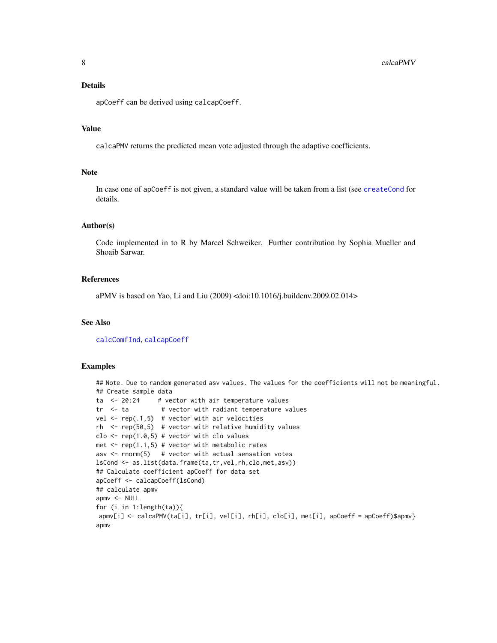### Details

apCoeff can be derived using calcapCoeff.

#### Value

calcaPMV returns the predicted mean vote adjusted through the adaptive coefficients.

#### Note

In case one of apCoeff is not given, a standard value will be taken from a list (see [createCond](#page-74-1) for details.

#### Author(s)

Code implemented in to R by Marcel Schweiker. Further contribution by Sophia Mueller and Shoaib Sarwar.

### References

aPMV is based on Yao, Li and Liu (2009) <doi:10.1016/j.buildenv.2009.02.014>

#### See Also

[calcComfInd](#page-16-1), [calcapCoeff](#page-22-1)

#### Examples

```
## Note. Due to random generated asv values. The values for the coefficients will not be meaningful.
## Create sample data
ta \leq 20:24 # vector with air temperature values
tr \leftarrow ta \quad # vector with radiant temperature values
vel \leq rep(.1,5) # vector with air velocities
rh <- rep(50,5) # vector with relative humidity values
clo \leq rep(1.0,5) # vector with clo values
met \leftarrow rep(1.1,5) # vector with metabolic rates
asv \le rnorm(5) # vector with actual sensation votes
lsCond <- as.list(data.frame(ta,tr,vel,rh,clo,met,asv))
## Calculate coefficient apCoeff for data set
apCoeff <- calcapCoeff(lsCond)
## calculate apmv
apmv <- NULL
for (i in 1:length(ta)){
apmv[i] <- calcaPMV(ta[i], tr[i], vel[i], rh[i], clo[i], met[i], apCoeff = apCoeff)$apmv}
apmv
```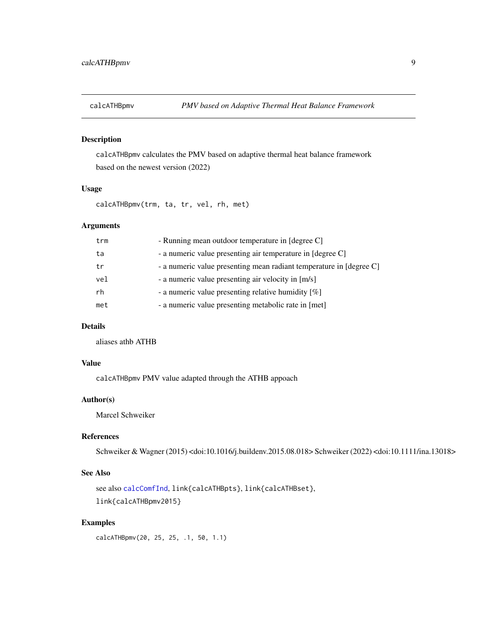<span id="page-8-0"></span>

### Description

calcATHBpmv calculates the PMV based on adaptive thermal heat balance framework based on the newest version (2022)

#### Usage

calcATHBpmv(trm, ta, tr, vel, rh, met)

### Arguments

| trm | - Running mean outdoor temperature in [degree C]                    |  |
|-----|---------------------------------------------------------------------|--|
| ta  | - a numeric value presenting air temperature in [degree C]          |  |
| tr  | - a numeric value presenting mean radiant temperature in [degree C] |  |
| vel | - a numeric value presenting air velocity in [m/s]                  |  |
| rh  | - a numeric value presenting relative humidity [%]                  |  |
| met | - a numeric value presenting metabolic rate in [met]                |  |
|     |                                                                     |  |

### Details

aliases athb ATHB

#### Value

calcATHBpmv PMV value adapted through the ATHB appoach

### Author(s)

Marcel Schweiker

### References

Schweiker & Wagner (2015) <doi:10.1016/j.buildenv.2015.08.018> Schweiker (2022) <doi:10.1111/ina.13018>

### See Also

```
see also calcComfInd, link{calcATHBpts}, link{calcATHBset},
link{calcATHBpmv2015}
```
### Examples

calcATHBpmv(20, 25, 25, .1, 50, 1.1)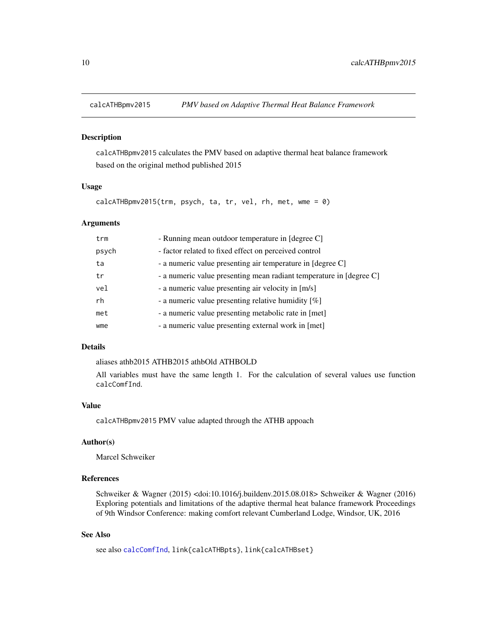<span id="page-9-1"></span><span id="page-9-0"></span>

#### Description

calcATHBpmv2015 calculates the PMV based on adaptive thermal heat balance framework based on the original method published 2015

### Usage

calcATHBpmv2015(trm, psych, ta, tr, vel, rh, met, wme = 0)

### Arguments

| - Running mean outdoor temperature in [degree C]<br>trm          |                                                                     |
|------------------------------------------------------------------|---------------------------------------------------------------------|
| psych                                                            | - factor related to fixed effect on perceived control               |
| - a numeric value presenting air temperature in [degree C]<br>ta |                                                                     |
| tr                                                               | - a numeric value presenting mean radiant temperature in [degree C] |
| vel                                                              | - a numeric value presenting air velocity in [m/s]                  |
| rh                                                               | - a numeric value presenting relative humidity $[\%]$               |
| met                                                              | - a numeric value presenting metabolic rate in [met]                |
| wme                                                              | - a numeric value presenting external work in [met]                 |

#### Details

aliases athb2015 ATHB2015 athbOld ATHBOLD

All variables must have the same length 1. For the calculation of several values use function calcComfInd.

### Value

calcATHBpmv2015 PMV value adapted through the ATHB appoach

### Author(s)

Marcel Schweiker

### References

Schweiker & Wagner (2015) <doi:10.1016/j.buildenv.2015.08.018> Schweiker & Wagner (2016) Exploring potentials and limitations of the adaptive thermal heat balance framework Proceedings of 9th Windsor Conference: making comfort relevant Cumberland Lodge, Windsor, UK, 2016

#### See Also

see also [calcComfInd](#page-16-1), link{calcATHBpts}, link{calcATHBset}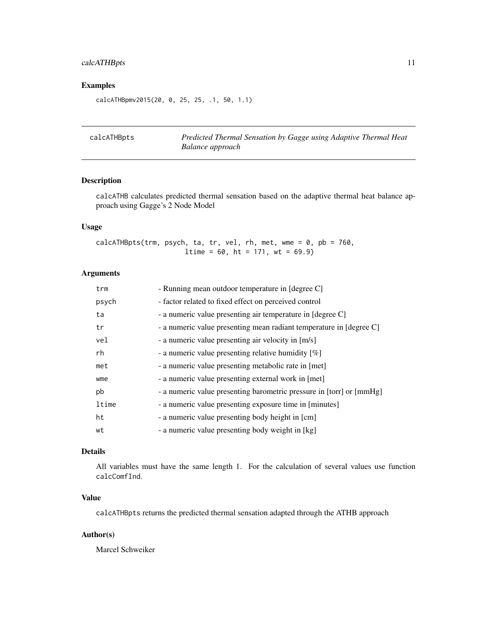### <span id="page-10-0"></span>calcATHBpts 11

### Examples

calcATHBpmv2015(20, 0, 25, 25, .1, 50, 1.1)

calcATHBpts *Predicted Thermal Sensation by Gagge using Adaptive Thermal Heat Balance approach*

### Description

calcATHB calculates predicted thermal sensation based on the adaptive thermal heat balance approach using Gagge's 2 Node Model

### Usage

calcATHBpts(trm, psych, ta, tr, vel, rh, met, wme =  $0$ , pb = 760,  $ltime = 60$ ,  $ht = 171$ ,  $wt = 69.9$ 

### Arguments

| trm   | - Running mean outdoor temperature in [degree C]                     |  |
|-------|----------------------------------------------------------------------|--|
| psych | - factor related to fixed effect on perceived control                |  |
| ta    | - a numeric value presenting air temperature in [degree C]           |  |
| tr    | - a numeric value presenting mean radiant temperature in [degree C]  |  |
| vel   | - a numeric value presenting air velocity in [m/s]                   |  |
| rh    | - a numeric value presenting relative humidity [%]                   |  |
| met   | - a numeric value presenting metabolic rate in [met]                 |  |
| wme   | - a numeric value presenting external work in [met]                  |  |
| pb    | - a numeric value presenting barometric pressure in [torr] or [mmHg] |  |
| ltime | - a numeric value presenting exposure time in [minutes]              |  |
| ht    | - a numeric value presenting body height in [cm]                     |  |
| wt    | - a numeric value presenting body weight in [kg]                     |  |

### Details

All variables must have the same length 1. For the calculation of several values use function calcComfInd.

### Value

calcATHBpts returns the predicted thermal sensation adapted through the ATHB approach

#### Author(s)

Marcel Schweiker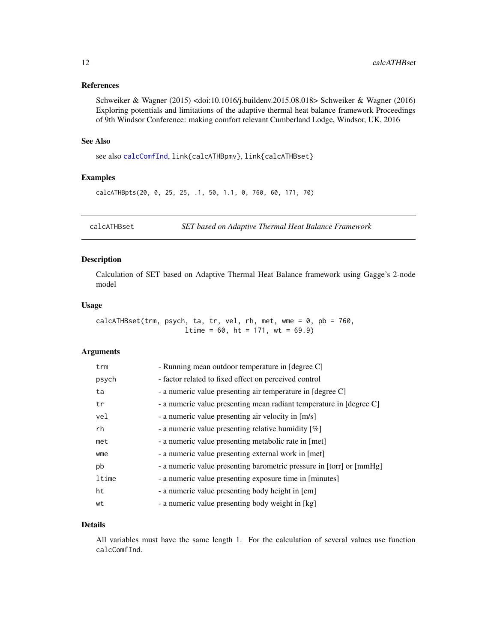### <span id="page-11-0"></span>References

Schweiker & Wagner (2015) <doi:10.1016/j.buildenv.2015.08.018> Schweiker & Wagner (2016) Exploring potentials and limitations of the adaptive thermal heat balance framework Proceedings of 9th Windsor Conference: making comfort relevant Cumberland Lodge, Windsor, UK, 2016

#### See Also

see also [calcComfInd](#page-16-1), link{calcATHBpmv}, link{calcATHBset}

#### Examples

calcATHBpts(20, 0, 25, 25, .1, 50, 1.1, 0, 760, 60, 171, 70)

calcATHBset *SET based on Adaptive Thermal Heat Balance Framework*

### Description

Calculation of SET based on Adaptive Thermal Heat Balance framework using Gagge's 2-node model

#### Usage

 $calcATHBset(trm, psych, ta, tr, vel, rh, met, wme =  $0$ , pb = 760,$  $ltime = 60$ ,  $ht = 171$ ,  $wt = 69.9$ 

#### Arguments

| trm   | - Running mean outdoor temperature in [degree C]                     |  |
|-------|----------------------------------------------------------------------|--|
| psych | - factor related to fixed effect on perceived control                |  |
| ta    | - a numeric value presenting air temperature in [degree C]           |  |
| tr    | - a numeric value presenting mean radiant temperature in [degree C]  |  |
| vel   | - a numeric value presenting air velocity in [m/s]                   |  |
| rh    | - a numeric value presenting relative humidity $[\%]$                |  |
| met   | - a numeric value presenting metabolic rate in [met]                 |  |
| wme   | - a numeric value presenting external work in [met]                  |  |
| pb    | - a numeric value presenting barometric pressure in [torr] or [mmHg] |  |
| ltime | - a numeric value presenting exposure time in [minutes]              |  |
| ht    | - a numeric value presenting body height in [cm]                     |  |
| wt    | - a numeric value presenting body weight in [kg]                     |  |

#### Details

All variables must have the same length 1. For the calculation of several values use function calcComfInd.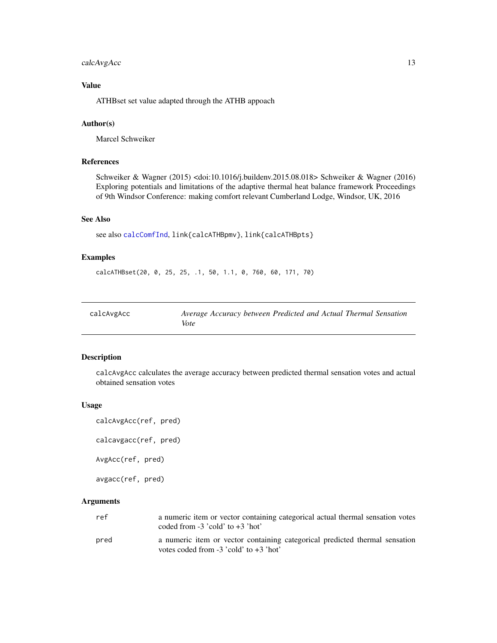### <span id="page-12-0"></span>calcAvgAcc 13

### Value

ATHBset set value adapted through the ATHB appoach

#### Author(s)

Marcel Schweiker

## References

Schweiker & Wagner (2015) <doi:10.1016/j.buildenv.2015.08.018> Schweiker & Wagner (2016) Exploring potentials and limitations of the adaptive thermal heat balance framework Proceedings of 9th Windsor Conference: making comfort relevant Cumberland Lodge, Windsor, UK, 2016

### See Also

```
see also calcComfInd, link{calcATHBpmv}, link{calcATHBpts}
```
#### Examples

calcATHBset(20, 0, 25, 25, .1, 50, 1.1, 0, 760, 60, 171, 70)

<span id="page-12-1"></span>

| calcAvgAcc | Average Accuracy between Predicted and Actual Thermal Sensation |
|------------|-----------------------------------------------------------------|
|            | Vote                                                            |

### Description

calcAvgAcc calculates the average accuracy between predicted thermal sensation votes and actual obtained sensation votes

#### Usage

```
calcAvgAcc(ref, pred)
```

```
calcavgacc(ref, pred)
```
AvgAcc(ref, pred)

avgacc(ref, pred)

| ref  | a numeric item or vector containing categorical actual thermal sensation votes<br>coded from $-3$ 'cold' to $+3$ 'hot'    |
|------|---------------------------------------------------------------------------------------------------------------------------|
| pred | a numeric item or vector containing categorical predicted thermal sensation<br>votes coded from $-3$ 'cold' to $+3$ 'hot' |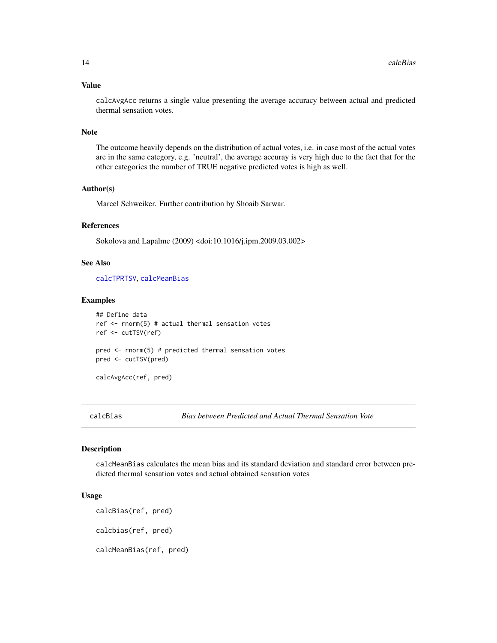#### <span id="page-13-0"></span>Value

calcAvgAcc returns a single value presenting the average accuracy between actual and predicted thermal sensation votes.

#### Note

The outcome heavily depends on the distribution of actual votes, i.e. in case most of the actual votes are in the same category, e.g. 'neutral', the average accuray is very high due to the fact that for the other categories the number of TRUE negative predicted votes is high as well.

#### Author(s)

Marcel Schweiker. Further contribution by Shoaib Sarwar.

#### References

Sokolova and Lapalme (2009) <doi:10.1016/j.ipm.2009.03.002>

### See Also

[calcTPRTSV](#page-67-1), [calcMeanBias](#page-13-1)

#### Examples

```
## Define data
ref <- rnorm(5) # actual thermal sensation votes
ref <- cutTSV(ref)
pred <- rnorm(5) # predicted thermal sensation votes
pred <- cutTSV(pred)
```
calcAvgAcc(ref, pred)

calcBias *Bias between Predicted and Actual Thermal Sensation Vote*

#### <span id="page-13-1"></span>Description

calcMeanBias calculates the mean bias and its standard deviation and standard error between predicted thermal sensation votes and actual obtained sensation votes

### Usage

```
calcBias(ref, pred)
calcbias(ref, pred)
calcMeanBias(ref, pred)
```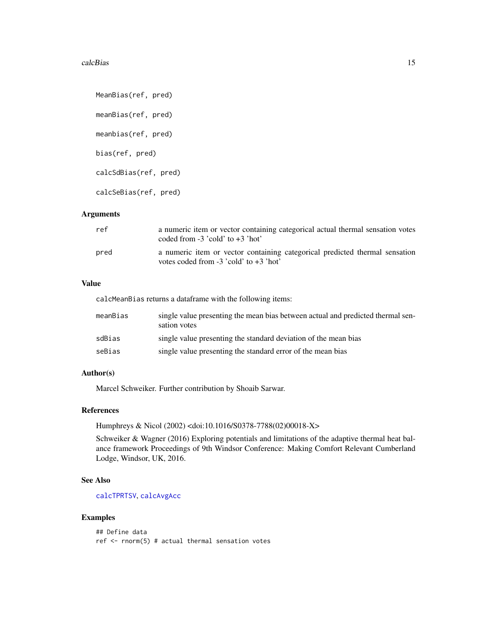#### calcBias 15

```
MeanBias(ref, pred)
meanBias(ref, pred)
meanbias(ref, pred)
bias(ref, pred)
calcSdBias(ref, pred)
calcSeBias(ref, pred)
```
### Arguments

| ref  | a numeric item or vector containing categorical actual thermal sensation votes<br>coded from $-3$ 'cold' to $+3$ 'hot'    |
|------|---------------------------------------------------------------------------------------------------------------------------|
| pred | a numeric item or vector containing categorical predicted thermal sensation<br>votes coded from $-3$ 'cold' to $+3$ 'hot' |

### Value

calcMeanBias returns a dataframe with the following items:

| meanBias | single value presenting the mean bias between actual and predicted thermal sen-<br>sation votes |
|----------|-------------------------------------------------------------------------------------------------|
| sdBias   | single value presenting the standard deviation of the mean bias                                 |
| seBias   | single value presenting the standard error of the mean bias                                     |

### Author(s)

Marcel Schweiker. Further contribution by Shoaib Sarwar.

### References

Humphreys & Nicol (2002) <doi:10.1016/S0378-7788(02)00018-X>

Schweiker & Wagner (2016) Exploring potentials and limitations of the adaptive thermal heat balance framework Proceedings of 9th Windsor Conference: Making Comfort Relevant Cumberland Lodge, Windsor, UK, 2016.

#### See Also

[calcTPRTSV](#page-67-1), [calcAvgAcc](#page-12-1)

### Examples

```
## Define data
ref <- rnorm(5) # actual thermal sensation votes
```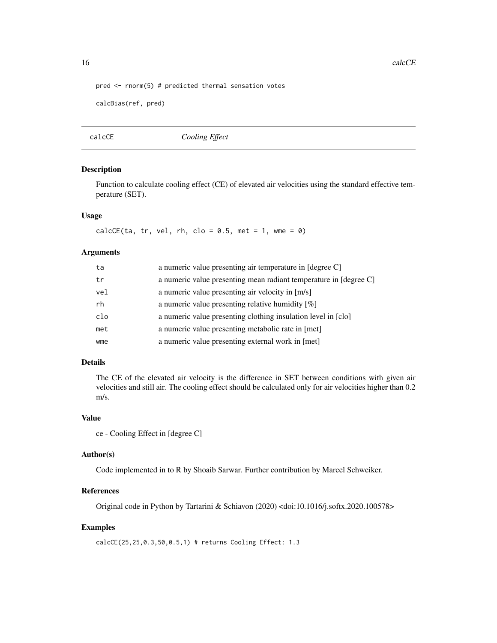```
pred <- rnorm(5) # predicted thermal sensation votes
```

```
calcBias(ref, pred)
```
calcCE *Cooling Effect*

#### Description

Function to calculate cooling effect (CE) of elevated air velocities using the standard effective temperature (SET).

### Usage

 $calcCE(ta, tr, vel, rh, clo = 0.5, met = 1, wme = 0)$ 

#### Arguments

| ta  | a numeric value presenting air temperature in [degree C]          |  |
|-----|-------------------------------------------------------------------|--|
| tr  | a numeric value presenting mean radiant temperature in [degree C] |  |
| vel | a numeric value presenting air velocity in [m/s]                  |  |
| rh  | a numeric value presenting relative humidity $[\%]$               |  |
| clo | a numeric value presenting clothing insulation level in [clo]     |  |
| met | a numeric value presenting metabolic rate in [met]                |  |
| wme | a numeric value presenting external work in [met]                 |  |
|     |                                                                   |  |

### Details

The CE of the elevated air velocity is the difference in SET between conditions with given air velocities and still air. The cooling effect should be calculated only for air velocities higher than 0.2 m/s.

#### Value

```
ce - Cooling Effect in [degree C]
```
#### Author(s)

Code implemented in to R by Shoaib Sarwar. Further contribution by Marcel Schweiker.

### References

Original code in Python by Tartarini & Schiavon (2020) <doi:10.1016/j.softx.2020.100578>

### Examples

calcCE(25,25,0.3,50,0.5,1) # returns Cooling Effect: 1.3

<span id="page-15-0"></span>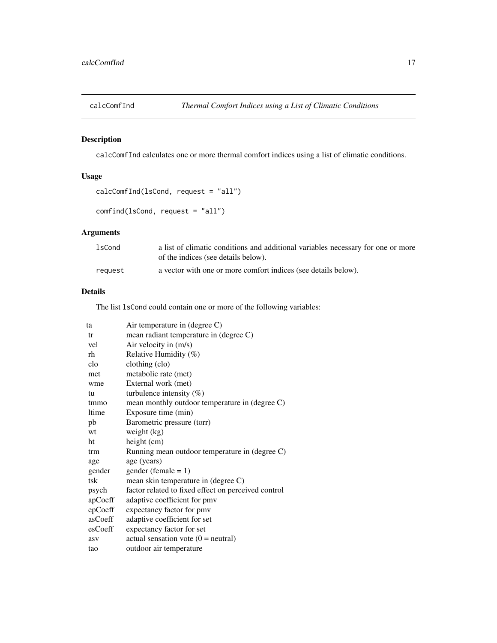<span id="page-16-1"></span><span id="page-16-0"></span>

### Description

calcComfInd calculates one or more thermal comfort indices using a list of climatic conditions.

### Usage

```
calcComfInd(lsCond, request = "all")
```

```
comfind(lsCond, request = "all")
```
### Arguments

| lsCond  | a list of climatic conditions and additional variables necessary for one or more<br>of the indices (see details below). |
|---------|-------------------------------------------------------------------------------------------------------------------------|
|         |                                                                                                                         |
| reauest | a vector with one or more comfort indices (see details below).                                                          |

### Details

The list lsCond could contain one or more of the following variables:

| ta      | Air temperature in (degree C)                       |
|---------|-----------------------------------------------------|
| tr      | mean radiant temperature in (degree C)              |
| vel     | Air velocity in (m/s)                               |
| rh      | Relative Humidity (%)                               |
| clo     | clothing (clo)                                      |
| met     | metabolic rate (met)                                |
| wme     | External work (met)                                 |
| tu      | turbulence intensity $(\%)$                         |
| tmmo    | mean monthly outdoor temperature in (degree C)      |
| ltime   | Exposure time (min)                                 |
| pb      | Barometric pressure (torr)                          |
| wt      | weight $(kg)$                                       |
| ht      | height (cm)                                         |
| trm     | Running mean outdoor temperature in (degree C)      |
| age     | age (years)                                         |
| gender  | $gender (female = 1)$                               |
| tsk     | mean skin temperature in (degree C)                 |
| psych   | factor related to fixed effect on perceived control |
| apCoeff | adaptive coefficient for pmv                        |
| epCoeff | expectancy factor for pmv                           |
| asCoeff | adaptive coefficient for set                        |
| esCoeff | expectancy factor for set                           |
| asv     | actual sensation vote $(0 = neutral)$               |
| tao     | outdoor air temperature                             |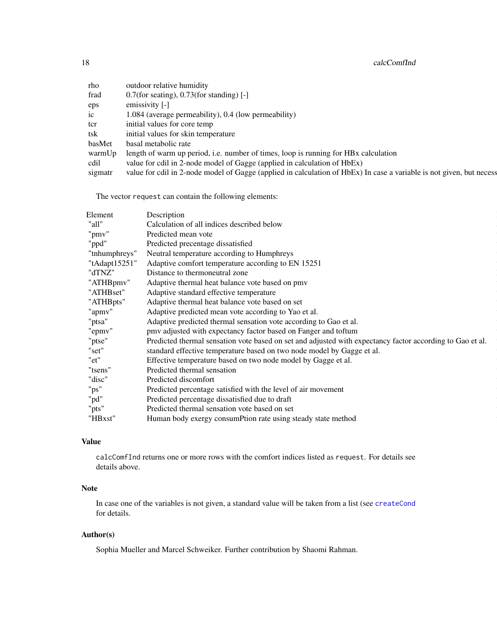18 calcComfInd

| rho     | outdoor relative humidity                                                                                            |
|---------|----------------------------------------------------------------------------------------------------------------------|
| frad    | $0.7$ (for seating), 0.73(for standing) [-]                                                                          |
| eps     | emissivity [-]                                                                                                       |
| ic      | 1.084 (average permeability), 0.4 (low permeability)                                                                 |
| tcr     | initial values for core temp                                                                                         |
| tsk     | initial values for skin temperature                                                                                  |
| basMet  | basal metabolic rate                                                                                                 |
| warmUp  | length of warm up period, <i>i.e.</i> number of times, loop is running for HBx calculation                           |
| cdil    | value for cdil in 2-node model of Gagge (applied in calculation of HbEx)                                             |
| sigmatr | value for cdil in 2-node model of Gagge (applied in calculation of HbEx) In case a variable is not given, but necess |

The vector request can contain the following elements:

| Element       | Description                                                                                               |
|---------------|-----------------------------------------------------------------------------------------------------------|
| "all"         | Calculation of all indices described below                                                                |
| "pmv"         | Predicted mean vote                                                                                       |
| "ppd"         | Predicted precentage dissatisfied                                                                         |
| "tnhumphreys" | Neutral temperature according to Humphreys                                                                |
| "tAdapt15251' | Adaptive comfort temperature according to EN 15251                                                        |
| "dTNZ"        | Distance to thermoneutral zone                                                                            |
| "ATHBpmv"     | Adaptive thermal heat balance vote based on pmv                                                           |
| "ATHBset"     | Adaptive standard effective temperature                                                                   |
| "ATHBpts"     | Adaptive thermal heat balance vote based on set                                                           |
| "apmv'        | Adaptive predicted mean vote according to Yao et al.                                                      |
| "ptsa"        | Adaptive predicted thermal sensation vote according to Gao et al.                                         |
| "epmv"        | pmv adjusted with expectancy factor based on Fanger and toftum                                            |
| "ptse"        | Predicted thermal sensation vote based on set and adjusted with expectancy factor according to Gao et al. |
| "set"         | standard effective temperature based on two node model by Gagge et al.                                    |
| "et"          | Effective temperature based on two node model by Gagge et al.                                             |
| "tsens'       | Predicted thermal sensation                                                                               |
| "disc"        | Predicted discomfort                                                                                      |
| "ps"          | Predicted percentage satisfied with the level of air movement                                             |
| "pd"          | Predicted percentage dissatisfied due to draft                                                            |
| "pts"         | Predicted thermal sensation vote based on set                                                             |
| "HBxst"       | Human body exergy consumPtion rate using steady state method                                              |
|               |                                                                                                           |

### Value

calcComfInd returns one or more rows with the comfort indices listed as request. For details see details above.

### Note

In case one of the variables is not given, a standard value will be taken from a list (see [createCond](#page-74-1) for details.

### Author(s)

Sophia Mueller and Marcel Schweiker. Further contribution by Shaomi Rahman.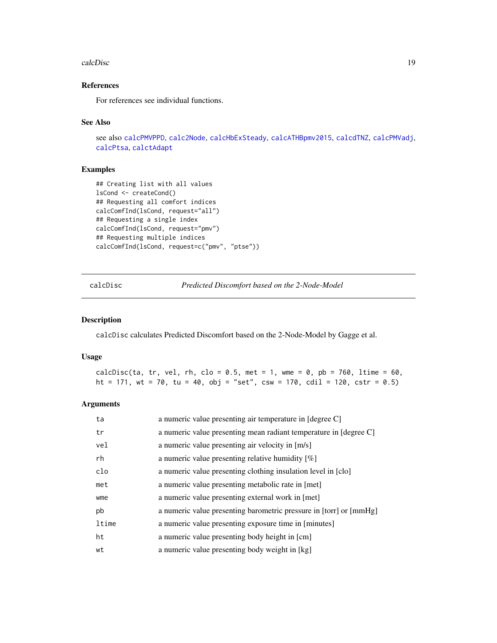#### <span id="page-18-0"></span>calcDisc and the calcDisc calcDisc is the calcDisc of the calcDisc is the calcDisc in the calcDisc is the calcDisc in the calcDisc in the calcDisc in the calcDisc in the calcDisc in the calcDisc in the calcDisc in the calc

### References

For references see individual functions.

#### See Also

```
see also calcPMVPPD, calc2Node, calcHbExSteady, calcATHBpmv2015, calcdTNZ, calcPMVadj,
calcPtsa, calctAdapt
```
#### Examples

```
## Creating list with all values
lsCond <- createCond()
## Requesting all comfort indices
calcComfInd(lsCond, request="all")
## Requesting a single index
calcComfInd(lsCond, request="pmv")
## Requesting multiple indices
calcComfInd(lsCond, request=c("pmv", "ptse"))
```
calcDisc *Predicted Discomfort based on the 2-Node-Model*

#### Description

calcDisc calculates Predicted Discomfort based on the 2-Node-Model by Gagge et al.

#### Usage

calcDisc(ta, tr, vel, rh, clo = 0.5, met = 1, wme = 0, pb = 760, ltime = 60, ht = 171, wt = 70, tu = 40, obj = "set", csw = 170, cdil = 120, cstr = 0.5)

| ta    | a numeric value presenting air temperature in [degree C]           |
|-------|--------------------------------------------------------------------|
| tr    | a numeric value presenting mean radiant temperature in [degree C]  |
| vel   | a numeric value presenting air velocity in [m/s]                   |
| rh    | a numeric value presenting relative humidity $[\%]$                |
| clo   | a numeric value presenting clothing insulation level in [clo]      |
| met   | a numeric value presenting metabolic rate in [met]                 |
| wme   | a numeric value presenting external work in [met]                  |
| pb    | a numeric value presenting barometric pressure in [torr] or [mmHg] |
| ltime | a numeric value presenting exposure time in [minutes]              |
| ht    | a numeric value presenting body height in [cm]                     |
| wt    | a numeric value presenting body weight in [kg]                     |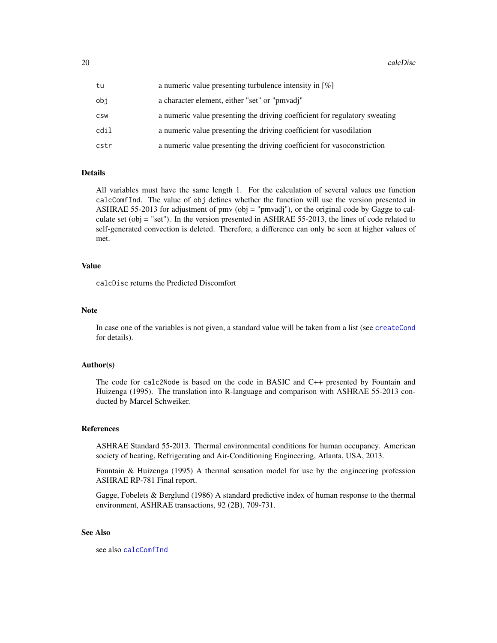| tu   | a numeric value presenting turbulence intensity in $[\%]$                  |
|------|----------------------------------------------------------------------------|
| obi  | a character element, either "set" or "pmvadj"                              |
| CSW  | a numeric value presenting the driving coefficient for regulatory sweating |
| cdil | a numeric value presenting the driving coefficient for vasodilation        |
| cstr | a numeric value presenting the driving coefficient for vasoconstriction    |

#### Details

All variables must have the same length 1. For the calculation of several values use function calcComfInd. The value of obj defines whether the function will use the version presented in ASHRAE 55-2013 for adjustment of pmv (obj = "pmvadj"), or the original code by Gagge to calculate set (obj = "set"). In the version presented in ASHRAE 55-2013, the lines of code related to self-generated convection is deleted. Therefore, a difference can only be seen at higher values of met.

#### Value

calcDisc returns the Predicted Discomfort

#### Note

In case one of the variables is not given, a standard value will be taken from a list (see [createCond](#page-74-1) for details).

#### Author(s)

The code for calc2Node is based on the code in BASIC and C++ presented by Fountain and Huizenga (1995). The translation into R-language and comparison with ASHRAE 55-2013 conducted by Marcel Schweiker.

#### References

ASHRAE Standard 55-2013. Thermal environmental conditions for human occupancy. American society of heating, Refrigerating and Air-Conditioning Engineering, Atlanta, USA, 2013.

Fountain & Huizenga (1995) A thermal sensation model for use by the engineering profession ASHRAE RP-781 Final report.

Gagge, Fobelets & Berglund (1986) A standard predictive index of human response to the thermal environment, ASHRAE transactions, 92 (2B), 709-731.

### See Also

see also [calcComfInd](#page-16-1)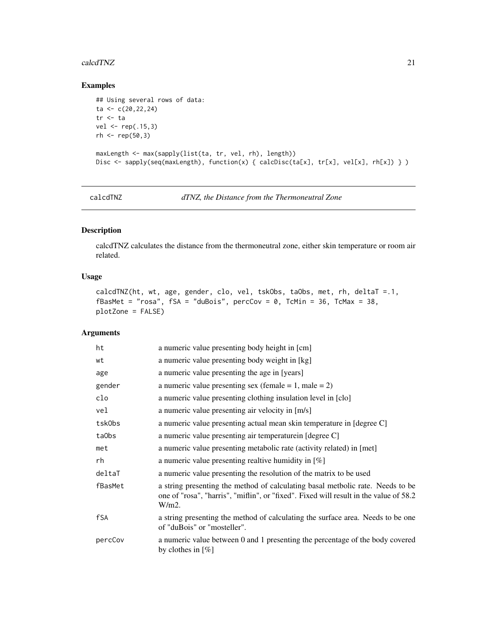#### <span id="page-20-0"></span>calcdTNZ 21

### Examples

```
## Using several rows of data:
ta <- c(20,22,24)
tr <- ta
vel <- rep(.15,3)
rh < - rep(50,3)maxLength <- max(sapply(list(ta, tr, vel, rh), length))
Disc <- sapply(seq(maxLength), function(x) { calcDisc(ta[x], tr[x], vel[x], rh[x]) } )
```
<span id="page-20-1"></span>calcdTNZ *dTNZ, the Distance from the Thermoneutral Zone*

### Description

calcdTNZ calculates the distance from the thermoneutral zone, either skin temperature or room air related.

### Usage

```
calcdTNZ(ht, wt, age, gender, clo, vel, tskObs, taObs, met, rh, deltaT =.1,
fBasMet = "rosa", fSA = "duBois", perccov = 0, TcMin = 36, TcMax = 38,
plotZone = FALSE)
```

| ht      | a numeric value presenting body height in [cm]                                                                                                                                      |
|---------|-------------------------------------------------------------------------------------------------------------------------------------------------------------------------------------|
| wt      | a numeric value presenting body weight in [kg]                                                                                                                                      |
| age     | a numeric value presenting the age in [years]                                                                                                                                       |
| gender  | a numeric value presenting sex (female $= 1$ , male $= 2$ )                                                                                                                         |
| clo     | a numeric value presenting clothing insulation level in [clo]                                                                                                                       |
| vel     | a numeric value presenting air velocity in [m/s]                                                                                                                                    |
| tskObs  | a numeric value presenting actual mean skin temperature in [degree C]                                                                                                               |
| ta0bs   | a numeric value presenting air temperature in [degree C]                                                                                                                            |
| met     | a numeric value presenting metabolic rate (activity related) in [met]                                                                                                               |
| rh      | a numeric value presenting realtive humidity in $[\%]$                                                                                                                              |
| deltaT  | a numeric value presenting the resolution of the matrix to be used                                                                                                                  |
| fBasMet | a string presenting the method of calculating basal metholic rate. Needs to be<br>one of "rosa", "harris", "miflin", or "fixed". Fixed will result in the value of 58.2<br>$W/m2$ . |
| fSA     | a string presenting the method of calculating the surface area. Needs to be one<br>of "duBois" or "mosteller".                                                                      |
| percCov | a numeric value between 0 and 1 presenting the percentage of the body covered<br>by clothes in $[\%]$                                                                               |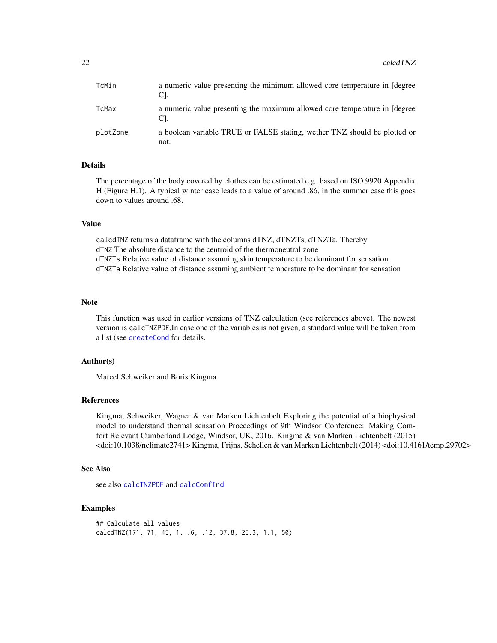| TcMin    | a numeric value presenting the minimum allowed core temperature in [degree]<br>Cl. |
|----------|------------------------------------------------------------------------------------|
| TcMax    | a numeric value presenting the maximum allowed core temperature in [degree]<br>CI. |
| plotZone | a boolean variable TRUE or FALSE stating, wether TNZ should be plotted or<br>not.  |

### Details

The percentage of the body covered by clothes can be estimated e.g. based on ISO 9920 Appendix H (Figure H.1). A typical winter case leads to a value of around .86, in the summer case this goes down to values around .68.

### Value

calcdTNZ returns a dataframe with the columns dTNZ, dTNZTs, dTNZTa. Thereby dTNZ The absolute distance to the centroid of the thermoneutral zone dTNZTs Relative value of distance assuming skin temperature to be dominant for sensation dTNZTa Relative value of distance assuming ambient temperature to be dominant for sensation

#### Note

This function was used in earlier versions of TNZ calculation (see references above). The newest version is calcTNZPDF.In case one of the variables is not given, a standard value will be taken from a list (see [createCond](#page-74-1) for details.

### Author(s)

Marcel Schweiker and Boris Kingma

#### References

Kingma, Schweiker, Wagner & van Marken Lichtenbelt Exploring the potential of a biophysical model to understand thermal sensation Proceedings of 9th Windsor Conference: Making Comfort Relevant Cumberland Lodge, Windsor, UK, 2016. Kingma & van Marken Lichtenbelt (2015) <doi:10.1038/nclimate2741> Kingma, Frijns, Schellen & van Marken Lichtenbelt (2014) <doi:10.4161/temp.29702>

### See Also

see also [calcTNZPDF](#page-64-1) and [calcComfInd](#page-16-1)

### Examples

```
## Calculate all values
calcdTNZ(171, 71, 45, 1, .6, .12, 37.8, 25.3, 1.1, 50)
```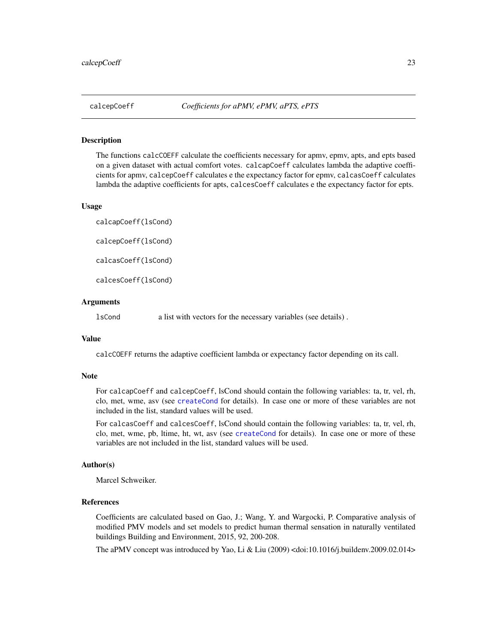<span id="page-22-2"></span><span id="page-22-0"></span>

#### <span id="page-22-1"></span>**Description**

The functions calcCOEFF calculate the coefficients necessary for apmv, epmv, apts, and epts based on a given dataset with actual comfort votes. calcapCoeff calculates lambda the adaptive coefficients for apmv, calcepCoeff calculates e the expectancy factor for epmv, calcasCoeff calculates lambda the adaptive coefficients for apts, calcesCoeff calculates e the expectancy factor for epts.

#### Usage

calcapCoeff(lsCond) calcepCoeff(lsCond) calcasCoeff(lsCond)

calcesCoeff(lsCond)

#### Arguments

lsCond a list with vectors for the necessary variables (see details) .

### Value

calcCOEFF returns the adaptive coefficient lambda or expectancy factor depending on its call.

### **Note**

For calcapCoeff and calcepCoeff, lsCond should contain the following variables: ta, tr, vel, rh, clo, met, wme, asv (see [createCond](#page-74-1) for details). In case one or more of these variables are not included in the list, standard values will be used.

For calcasCoeff and calcesCoeff, lsCond should contain the following variables: ta, tr, vel, rh, clo, met, wme, pb, ltime, ht, wt, asv (see [createCond](#page-74-1) for details). In case one or more of these variables are not included in the list, standard values will be used.

#### Author(s)

Marcel Schweiker.

### References

Coefficients are calculated based on Gao, J.; Wang, Y. and Wargocki, P. Comparative analysis of modified PMV models and set models to predict human thermal sensation in naturally ventilated buildings Building and Environment, 2015, 92, 200-208.

The aPMV concept was introduced by Yao, Li & Liu (2009) <doi:10.1016/j.buildenv.2009.02.014>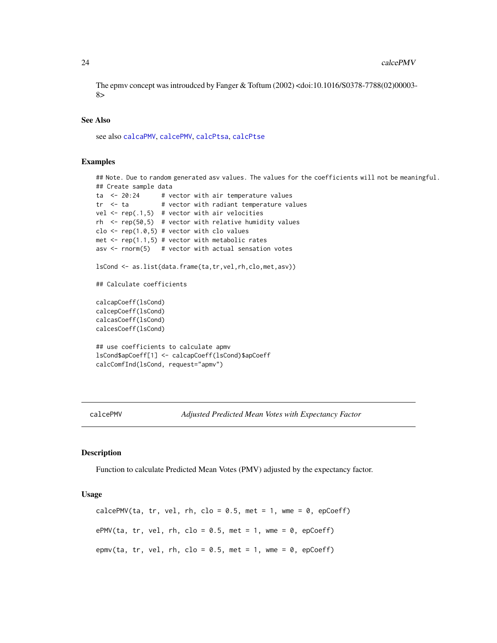The epmv concept was introudced by Fanger & Toftum (2002) <doi:10.1016/S0378-7788(02)00003- 8>

#### See Also

see also [calcaPMV](#page-6-1), [calcePMV](#page-23-1), [calcPtsa](#page-53-1), [calcPtse](#page-55-1)

### Examples

```
## Note. Due to random generated asv values. The values for the coefficients will not be meaningful.
## Create sample data
ta \leq 20:24 # vector with air temperature values
tr < - ta # vector with radiant temperature values
vel \leq rep(.1,5) # vector with air velocities
rh <- rep(50,5) # vector with relative humidity values
clo \leq rep(1.0,5) # vector with clo values
met \leq rep(1.1,5) # vector with metabolic rates
asv \le- rnorm(5) # vector with actual sensation votes
lsCond <- as.list(data.frame(ta,tr,vel,rh,clo,met,asv))
## Calculate coefficients
calcapCoeff(lsCond)
calcepCoeff(lsCond)
calcasCoeff(lsCond)
calcesCoeff(lsCond)
## use coefficients to calculate apmv
lsCond$apCoeff[1] <- calcapCoeff(lsCond)$apCoeff
calcComfInd(lsCond, request="apmv")
```
<span id="page-23-1"></span>calcePMV *Adjusted Predicted Mean Votes with Expectancy Factor*

#### Description

Function to calculate Predicted Mean Votes (PMV) adjusted by the expectancy factor.

#### Usage

calcePMV(ta, tr, vel, rh, clo =  $0.5$ , met = 1, wme =  $0$ , epCoeff) ePMV(ta, tr, vel, rh, clo = 0.5, met = 1, wme = 0, epCoeff) epmv(ta, tr, vel, rh, clo = 0.5, met = 1, wme = 0, epCoeff)

<span id="page-23-0"></span>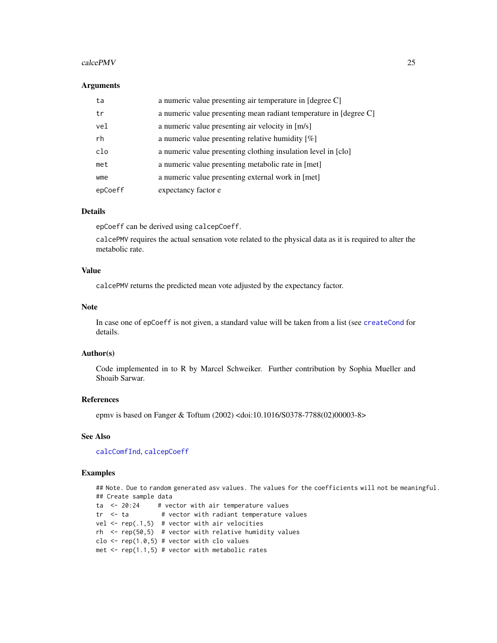#### $\alpha$  calce PMV 25

#### **Arguments**

| ta      | a numeric value presenting air temperature in [degree C]          |
|---------|-------------------------------------------------------------------|
| tr      | a numeric value presenting mean radiant temperature in [degree C] |
| vel     | a numeric value presenting air velocity in [m/s]                  |
| rh      | a numeric value presenting relative humidity $[\%]$               |
| clo     | a numeric value presenting clothing insulation level in [clo]     |
| met     | a numeric value presenting metabolic rate in [met]                |
| wme     | a numeric value presenting external work in [met]                 |
| epCoeff | expectancy factor e                                               |

### Details

epCoeff can be derived using calcepCoeff.

calcePMV requires the actual sensation vote related to the physical data as it is required to alter the metabolic rate.

### Value

calcePMV returns the predicted mean vote adjusted by the expectancy factor.

### Note

In case one of epCoeff is not given, a standard value will be taken from a list (see [createCond](#page-74-1) for details.

#### Author(s)

Code implemented in to R by Marcel Schweiker. Further contribution by Sophia Mueller and Shoaib Sarwar.

### References

epmv is based on Fanger & Toftum (2002) <doi:10.1016/S0378-7788(02)00003-8>

### See Also

[calcComfInd](#page-16-1), [calcepCoeff](#page-22-2)

#### Examples

## Note. Due to random generated asv values. The values for the coefficients will not be meaningful. ## Create sample data ta <- 20:24 # vector with air temperature values  $tr$  <- ta  $#$  vector with radiant temperature values vel  $\leq$  rep(.1,5) # vector with air velocities  $rh$  <-  $rep(50,5)$  # vector with relative humidity values clo  $\leq$  rep(1.0,5) # vector with clo values met  $\leq$  rep(1.1,5) # vector with metabolic rates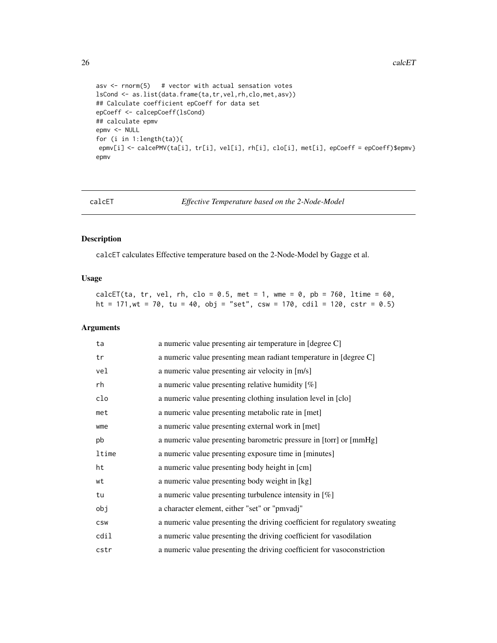```
asv \le rnorm(5) # vector with actual sensation votes
lsCond <- as.list(data.frame(ta,tr,vel,rh,clo,met,asv))
## Calculate coefficient epCoeff for data set
epCoeff <- calcepCoeff(lsCond)
## calculate epmv
epmv <- NULL
for (i in 1:length(ta)){
epmv[i] <- calcePMV(ta[i], tr[i], vel[i], rh[i], clo[i], met[i], epCoeff = epCoeff)$epmv}
epmv
```
calcET *Effective Temperature based on the 2-Node-Model*

#### Description

calcET calculates Effective temperature based on the 2-Node-Model by Gagge et al.

### Usage

calcET(ta, tr, vel, rh, clo = 0.5, met = 1, wme = 0, pb = 760, ltime = 60, ht = 171, wt = 70, tu = 40, obj = "set", csw = 170, cdil = 120, cstr = 0.5)

| ta         | a numeric value presenting air temperature in [degree C]                   |
|------------|----------------------------------------------------------------------------|
| tr         | a numeric value presenting mean radiant temperature in [degree C]          |
| vel        | a numeric value presenting air velocity in [m/s]                           |
| rh         | a numeric value presenting relative humidity [%]                           |
| clo        | a numeric value presenting clothing insulation level in [clo]              |
| met        | a numeric value presenting metabolic rate in [met]                         |
| wme        | a numeric value presenting external work in [met]                          |
| pb         | a numeric value presenting barometric pressure in [torr] or [mmHg]         |
| ltime      | a numeric value presenting exposure time in [minutes]                      |
| ht         | a numeric value presenting body height in [cm]                             |
| wt         | a numeric value presenting body weight in [kg]                             |
| tu         | a numeric value presenting turbulence intensity in $[\%]$                  |
| obj        | a character element, either "set" or "pmvadj"                              |
| <b>CSW</b> | a numeric value presenting the driving coefficient for regulatory sweating |
| cdil       | a numeric value presenting the driving coefficient for vasodilation        |
| cstr       | a numeric value presenting the driving coefficient for vasoconstriction    |

<span id="page-25-0"></span>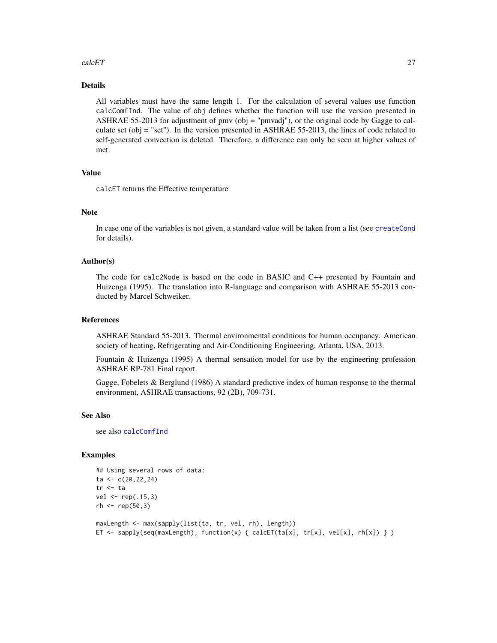#### calcET 27

### Details

All variables must have the same length 1. For the calculation of several values use function calcComfInd. The value of obj defines whether the function will use the version presented in ASHRAE 55-2013 for adjustment of pmv (obj = "pmvadj"), or the original code by Gagge to calculate set (obj = "set"). In the version presented in ASHRAE 55-2013, the lines of code related to self-generated convection is deleted. Therefore, a difference can only be seen at higher values of met.

#### Value

calcET returns the Effective temperature

#### Note

In case one of the variables is not given, a standard value will be taken from a list (see [createCond](#page-74-1) for details).

#### Author(s)

The code for calc2Node is based on the code in BASIC and C++ presented by Fountain and Huizenga (1995). The translation into R-language and comparison with ASHRAE 55-2013 conducted by Marcel Schweiker.

#### References

ASHRAE Standard 55-2013. Thermal environmental conditions for human occupancy. American society of heating, Refrigerating and Air-Conditioning Engineering, Atlanta, USA, 2013.

Fountain & Huizenga (1995) A thermal sensation model for use by the engineering profession ASHRAE RP-781 Final report.

Gagge, Fobelets & Berglund (1986) A standard predictive index of human response to the thermal environment, ASHRAE transactions, 92 (2B), 709-731.

#### See Also

see also [calcComfInd](#page-16-1)

### Examples

```
## Using several rows of data:
ta \leftarrow c(20, 22, 24)tr <- ta
vel < -rep(.15,3)rh < - rep(50, 3)maxLength <- max(sapply(list(ta, tr, vel, rh), length))
```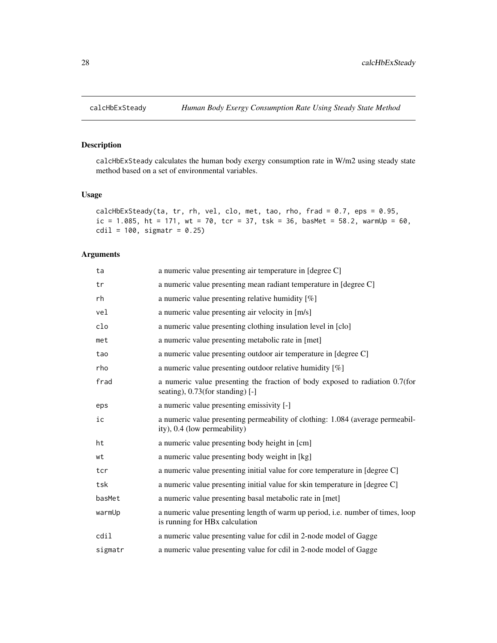<span id="page-27-1"></span><span id="page-27-0"></span>

### Description

calcHbExSteady calculates the human body exergy consumption rate in W/m2 using steady state method based on a set of environmental variables.

### Usage

```
calcHbExSteady(ta, tr, rh, vel, clo, met, tao, rho, frad = 0.7, eps = 0.95,
ic = 1.085, ht = 171, wt = 70, tc = 37, tsk = 36, basMet = 58.2, warmUp = 60,
cdil = 100, sigmatr = 0.25)
```

| ta      | a numeric value presenting air temperature in [degree C]                                                          |
|---------|-------------------------------------------------------------------------------------------------------------------|
| tr      | a numeric value presenting mean radiant temperature in [degree C]                                                 |
| rh      | a numeric value presenting relative humidity $[\%]$                                                               |
| vel     | a numeric value presenting air velocity in [m/s]                                                                  |
| clo     | a numeric value presenting clothing insulation level in [clo]                                                     |
| met     | a numeric value presenting metabolic rate in [met]                                                                |
| tao     | a numeric value presenting outdoor air temperature in [degree C]                                                  |
| rho     | a numeric value presenting outdoor relative humidity [%]                                                          |
| frad    | a numeric value presenting the fraction of body exposed to radiation 0.7(for<br>seating), 0.73(for standing) [-]  |
| eps     | a numeric value presenting emissivity [-]                                                                         |
| ic      | a numeric value presenting permeability of clothing: 1.084 (average permeabil-<br>ity), 0.4 (low permeability)    |
| ht      | a numeric value presenting body height in [cm]                                                                    |
| wt      | a numeric value presenting body weight in [kg]                                                                    |
| tcr     | a numeric value presenting initial value for core temperature in [degree C]                                       |
| tsk     | a numeric value presenting initial value for skin temperature in [degree C]                                       |
| basMet  | a numeric value presenting basal metabolic rate in [met]                                                          |
| warmUp  | a numeric value presenting length of warm up period, i.e. number of times, loop<br>is running for HBx calculation |
| cdi1    | a numeric value presenting value for cdil in 2-node model of Gagge                                                |
| sigmatr | a numeric value presenting value for cdil in 2-node model of Gagge                                                |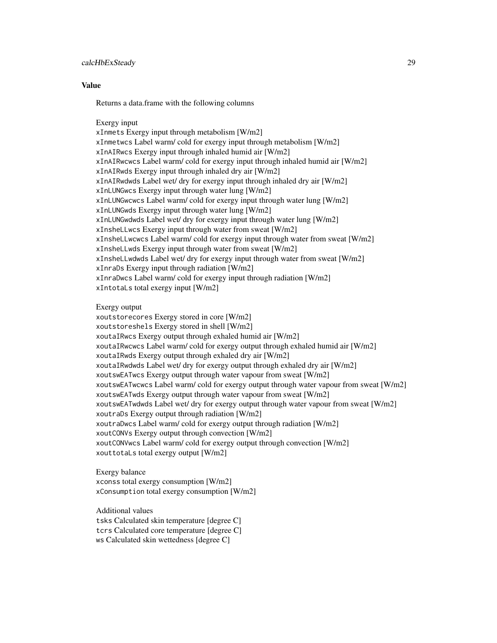#### calcHbExSteady 29

#### Value

Returns a data.frame with the following columns

#### Exergy input

xInmets Exergy input through metabolism [W/m2] xInmetwcs Label warm/ cold for exergy input through metabolism [W/m2] xInAIRwcs Exergy input through inhaled humid air [W/m2] xInAIRwcwcs Label warm/ cold for exergy input through inhaled humid air [W/m2] xInAIRwds Exergy input through inhaled dry air [W/m2] xInAIRwdwds Label wet/ dry for exergy input through inhaled dry air [W/m2] xInLUNGwcs Exergy input through water lung [W/m2] xInLUNGwcwcs Label warm/ cold for exergy input through water lung [W/m2] xInLUNGwds Exergy input through water lung [W/m2] xInLUNGwdwds Label wet/ dry for exergy input through water lung [W/m2] xInsheLLwcs Exergy input through water from sweat [W/m2] xInsheLLwcwcs Label warm/ cold for exergy input through water from sweat [W/m2] xInsheLLwds Exergy input through water from sweat [W/m2] xInsheLLwdwds Label wet/ dry for exergy input through water from sweat [W/m2] xInraDs Exergy input through radiation [W/m2] xInraDwcs Label warm/ cold for exergy input through radiation [W/m2] xIntotaLs total exergy input [W/m2]

#### Exergy output

xoutstorecores Exergy stored in core [W/m2] xoutstoreshels Exergy stored in shell [W/m2] xoutaIRwcs Exergy output through exhaled humid air [W/m2] xoutaIRwcwcs Label warm/ cold for exergy output through exhaled humid air [W/m2] xoutaIRwds Exergy output through exhaled dry air [W/m2] xoutaIRwdwds Label wet/ dry for exergy output through exhaled dry air [W/m2] xoutswEATwcs Exergy output through water vapour from sweat [W/m2] xoutswEATwcwcs Label warm/ cold for exergy output through water vapour from sweat [W/m2] xoutswEATwds Exergy output through water vapour from sweat [W/m2] xoutswEATwdwds Label wet/ dry for exergy output through water vapour from sweat [W/m2] xoutraDs Exergy output through radiation [W/m2] xoutraDwcs Label warm/ cold for exergy output through radiation [W/m2] xoutCONVs Exergy output through convection [W/m2] xoutCONVwcs Label warm/ cold for exergy output through convection [W/m2] xouttotaLs total exergy output [W/m2]

Exergy balance xconss total exergy consumption [W/m2] xConsumption total exergy consumption [W/m2]

Additional values

tsks Calculated skin temperature [degree C] tcrs Calculated core temperature [degree C]

ws Calculated skin wettedness [degree C]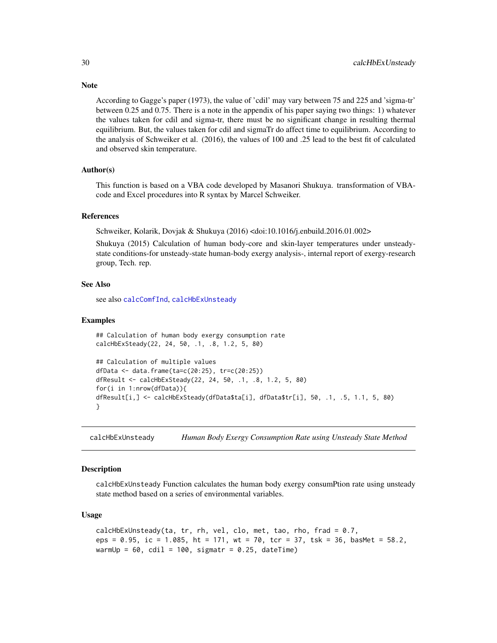According to Gagge's paper (1973), the value of 'cdil' may vary between 75 and 225 and 'sigma-tr' between 0.25 and 0.75. There is a note in the appendix of his paper saying two things: 1) whatever the values taken for cdil and sigma-tr, there must be no significant change in resulting thermal equilibrium. But, the values taken for cdil and sigmaTr do affect time to equilibrium. According to the analysis of Schweiker et al. (2016), the values of 100 and .25 lead to the best fit of calculated and observed skin temperature.

#### Author(s)

This function is based on a VBA code developed by Masanori Shukuya. transformation of VBAcode and Excel procedures into R syntax by Marcel Schweiker.

#### References

Schweiker, Kolarik, Dovjak & Shukuya (2016) <doi:10.1016/j.enbuild.2016.01.002>

Shukuya (2015) Calculation of human body-core and skin-layer temperatures under unsteadystate conditions-for unsteady-state human-body exergy analysis-, internal report of exergy-research group, Tech. rep.

#### See Also

see also [calcComfInd](#page-16-1), [calcHbExUnsteady](#page-29-1)

#### Examples

```
## Calculation of human body exergy consumption rate
calcHbExSteady(22, 24, 50, .1, .8, 1.2, 5, 80)
## Calculation of multiple values
dfData <- data.frame(ta=c(20:25), tr=c(20:25))
dfResult <- calcHbExSteady(22, 24, 50, .1, .8, 1.2, 5, 80)
for(i in 1:nrow(dfData)){
dfResult[i,] <- calcHbExSteady(dfData$ta[i], dfData$tr[i], 50, .1, .5, 1.1, 5, 80)
}
```
<span id="page-29-1"></span>calcHbExUnsteady *Human Body Exergy Consumption Rate using Unsteady State Method*

#### Description

calcHbExUnsteady Function calculates the human body exergy consumPtion rate using unsteady state method based on a series of environmental variables.

#### Usage

```
calcHbExUnsteady(ta, tr, rh, vel, clo, met, tao, rho, frad = 0.7,
eps = 0.95, ic = 1.085, ht = 171, wt = 70, tcr = 37, tsk = 36, basMet = 58.2,
warmUp = 60, cdil = 100, sigmatr = 0.25, dateTime)
```
<span id="page-29-0"></span>

### **Note**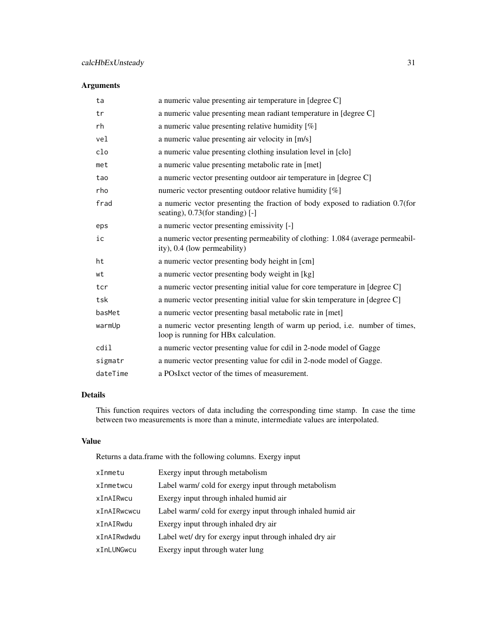### Arguments

| ta       | a numeric value presenting air temperature in [degree C]                                                            |
|----------|---------------------------------------------------------------------------------------------------------------------|
| tr       | a numeric value presenting mean radiant temperature in [degree C]                                                   |
| rh       | a numeric value presenting relative humidity $[\%]$                                                                 |
| vel      | a numeric value presenting air velocity in [m/s]                                                                    |
| clo      | a numeric value presenting clothing insulation level in [clo]                                                       |
| met      | a numeric value presenting metabolic rate in [met]                                                                  |
| tao      | a numeric vector presenting outdoor air temperature in [degree C]                                                   |
| rho      | numeric vector presenting outdoor relative humidity [%]                                                             |
| frad     | a numeric vector presenting the fraction of body exposed to radiation 0.7(for<br>seating), 0.73(for standing) [-]   |
| eps      | a numeric vector presenting emissivity [-]                                                                          |
| ic       | a numeric vector presenting permeability of clothing: 1.084 (average permeabil-<br>ity), 0.4 (low permeability)     |
| ht       | a numeric vector presenting body height in [cm]                                                                     |
| wt       | a numeric vector presenting body weight in [kg]                                                                     |
| tcr      | a numeric vector presenting initial value for core temperature in [degree C]                                        |
| tsk      | a numeric vector presenting initial value for skin temperature in [degree C]                                        |
| basMet   | a numeric vector presenting basal metabolic rate in [met]                                                           |
| warmUp   | a numeric vector presenting length of warm up period, i.e. number of times,<br>loop is running for HBx calculation. |
| cdil     | a numeric vector presenting value for cdil in 2-node model of Gagge                                                 |
| sigmatr  | a numeric vector presenting value for cdil in 2-node model of Gagge.                                                |
| dateTime | a POsIxct vector of the times of measurement.                                                                       |

### Details

This function requires vectors of data including the corresponding time stamp. In case the time between two measurements is more than a minute, intermediate values are interpolated.

#### Value

Returns a data.frame with the following columns. Exergy input

| xInmetu     | Exergy input through metabolism                            |
|-------------|------------------------------------------------------------|
| xInmetwcu   | Label warm/cold for exergy input through metabolism        |
| xInAIRwcu   | Exergy input through inhaled humid air                     |
| xInAIRwcwcu | Label warm/cold for exergy input through inhaled humid air |
| xInAIRwdu   | Exergy input through inhaled dry air                       |
| xInAIRwdwdu | Label wet/ dry for exergy input through inhaled dry air    |
| xInLUNGwcu  | Exergy input through water lung                            |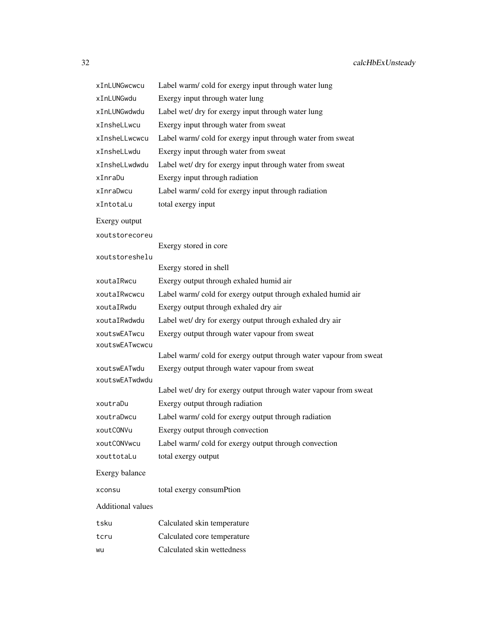| xInLUNGwcwcu             | Label warm/cold for exergy input through water lung               |
|--------------------------|-------------------------------------------------------------------|
| xInLUNGwdu               | Exergy input through water lung                                   |
| xInLUNGwdwdu             | Label wet/ dry for exergy input through water lung                |
| xInsheLLwcu              | Exergy input through water from sweat                             |
| xInsheLLwcwcu            | Label warm/cold for exergy input through water from sweat         |
| xInsheLLwdu              | Exergy input through water from sweat                             |
| xInsheLLwdwdu            | Label wet/ dry for exergy input through water from sweat          |
| xInraDu                  | Exergy input through radiation                                    |
| xInraDwcu                | Label warm/cold for exergy input through radiation                |
| xIntotaLu                | total exergy input                                                |
| Exergy output            |                                                                   |
| xoutstorecoreu           |                                                                   |
|                          | Exergy stored in core                                             |
| xoutstoreshelu           | Exergy stored in shell                                            |
| xoutaIRwcu               | Exergy output through exhaled humid air                           |
| xoutaIRwcwcu             | Label warm/cold for exergy output through exhaled humid air       |
| xoutaIRwdu               | Exergy output through exhaled dry air                             |
| xoutaIRwdwdu             | Label wet/ dry for exergy output through exhaled dry air          |
| xoutswEATwcu             | Exergy output through water vapour from sweat                     |
| xoutswEATwcwcu           |                                                                   |
|                          | Label warm/cold for exergy output through water vapour from sweat |
| xoutswEATwdu             | Exergy output through water vapour from sweat                     |
| xoutswEATwdwdu           |                                                                   |
|                          | Label wet/ dry for exergy output through water vapour from sweat  |
| xoutraDu                 | Exergy output through radiation                                   |
| xoutraDwcu               | Label warm/cold for exergy output through radiation               |
| xoutCONVu                | Exergy output through convection                                  |
| xoutCONVwcu              | Label warm/cold for exergy output through convection              |
| xouttotaLu               | total exergy output                                               |
| Exergy balance           |                                                                   |
| xconsu                   | total exergy consumPtion                                          |
| <b>Additional values</b> |                                                                   |
| tsku                     | Calculated skin temperature                                       |
| tcru                     | Calculated core temperature                                       |
| wu                       | Calculated skin wettedness                                        |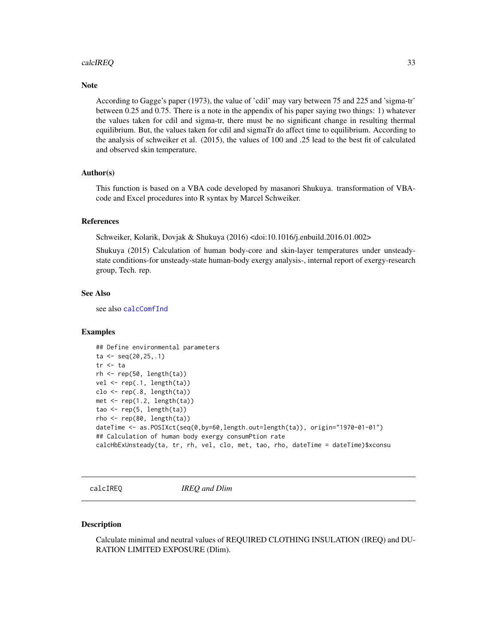#### <span id="page-32-0"></span>calcIREQ 33

#### **Note**

According to Gagge's paper (1973), the value of 'cdil' may vary between 75 and 225 and 'sigma-tr' between 0.25 and 0.75. There is a note in the appendix of his paper saying two things: 1) whatever the values taken for cdil and sigma-tr, there must be no significant change in resulting thermal equilibrium. But, the values taken for cdil and sigmaTr do affect time to equilibrium. According to the analysis of schweiker et al. (2015), the values of 100 and .25 lead to the best fit of calculated and observed skin temperature.

#### Author(s)

This function is based on a VBA code developed by masanori Shukuya. transformation of VBAcode and Excel procedures into R syntax by Marcel Schweiker.

#### References

Schweiker, Kolarik, Dovjak & Shukuya (2016) <doi:10.1016/j.enbuild.2016.01.002>

Shukuya (2015) Calculation of human body-core and skin-layer temperatures under unsteadystate conditions-for unsteady-state human-body exergy analysis-, internal report of exergy-research group, Tech. rep.

#### See Also

see also [calcComfInd](#page-16-1)

#### Examples

```
## Define environmental parameters
ta < -seq(20, 25, .1)tr <- ta
rh < - rep(50, length(ta))vel \leftarrow rep(.1, length(ta))clo \leftarrow rep(.8, length(ta))met \leq rep(1.2, length(ta))
tao \leq rep(5, length(ta))
rho \leftarrow rep(80, length(ta))dateTime <- as.POSIXct(seq(0,by=60,length.out=length(ta)), origin="1970-01-01")
## Calculation of human body exergy consumPtion rate
calcHbExUnsteady(ta, tr, rh, vel, clo, met, tao, rho, dateTime = dateTime)$xconsu
```
calcIREQ *IREQ and Dlim*

#### **Description**

Calculate minimal and neutral values of REQUIRED CLOTHING INSULATION (IREQ) and DU-RATION LIMITED EXPOSURE (Dlim).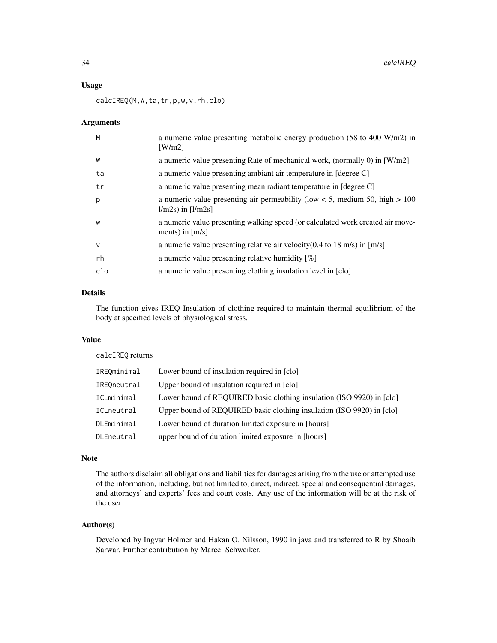#### Usage

calcIREQ(M,W,ta,tr,p,w,v,rh,clo)

#### Arguments

| M            | a numeric value presenting metabolic energy production (58 to 400 W/m2) in<br>$\lceil W/m2 \rceil$           |
|--------------|--------------------------------------------------------------------------------------------------------------|
| W            | a numeric value presenting Rate of mechanical work, (normally 0) in [W/m2]                                   |
| ta           | a numeric value presenting ambiant air temperature in [degree C]                                             |
| tr           | a numeric value presenting mean radiant temperature in [degree C]                                            |
| p            | a numeric value presenting air permeability (low $< 5$ , medium 50, high $> 100$ )<br>$1/m2s$ ) in $[1/m2s]$ |
| W            | a numeric value presenting walking speed (or calculated work created air move-<br>ments) in $[m/s]$          |
| $\mathsf{V}$ | a numeric value presenting relative air velocity $(0.4 \text{ to } 18 \text{ m/s})$ in [m/s]                 |
| rh           | a numeric value presenting relative humidity $[\%]$                                                          |
| clo          | a numeric value presenting clothing insulation level in [clo]                                                |

### Details

The function gives IREQ Insulation of clothing required to maintain thermal equilibrium of the body at specified levels of physiological stress.

### Value

calcIREQ returns

| IREOminimal | Lower bound of insulation required in [clo]                           |
|-------------|-----------------------------------------------------------------------|
| IREOneutral | Upper bound of insulation required in [clo]                           |
| ICLminimal  | Lower bound of REQUIRED basic clothing insulation (ISO 9920) in [clo] |
| ICLneutral  | Upper bound of REOUIRED basic clothing insulation (ISO 9920) in [clo] |
| DLEminimal  | Lower bound of duration limited exposure in [hours]                   |
| DLEneutral  | upper bound of duration limited exposure in [hours]                   |

#### Note

The authors disclaim all obligations and liabilities for damages arising from the use or attempted use of the information, including, but not limited to, direct, indirect, special and consequential damages, and attorneys' and experts' fees and court costs. Any use of the information will be at the risk of the user.

#### Author(s)

Developed by Ingvar Holmer and Hakan O. Nilsson, 1990 in java and transferred to R by Shoaib Sarwar. Further contribution by Marcel Schweiker.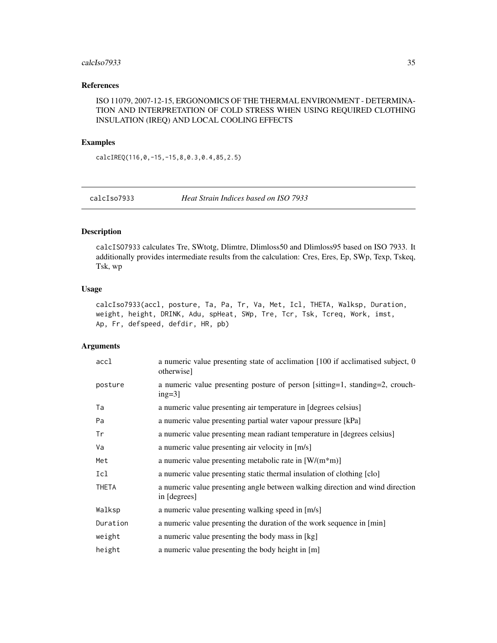#### <span id="page-34-0"></span>calcIso7933 35

### References

ISO 11079, 2007-12-15, ERGONOMICS OF THE THERMAL ENVIRONMENT - DETERMINA-TION AND INTERPRETATION OF COLD STRESS WHEN USING REQUIRED CLOTHING INSULATION (IREQ) AND LOCAL COOLING EFFECTS

### Examples

calcIREQ(116,0,-15,-15,8,0.3,0.4,85,2.5)

calcIso7933 *Heat Strain Indices based on ISO 7933*

### Description

calcISO7933 calculates Tre, SWtotg, Dlimtre, Dlimloss50 and Dlimloss95 based on ISO 7933. It additionally provides intermediate results from the calculation: Cres, Eres, Ep, SWp, Texp, Tskeq, Tsk, wp

#### Usage

calcIso7933(accl, posture, Ta, Pa, Tr, Va, Met, Icl, THETA, Walksp, Duration, weight, height, DRINK, Adu, spHeat, SWp, Tre, Tcr, Tsk, Tcreq, Work, imst, Ap, Fr, defspeed, defdir, HR, pb)

| accl         | a numeric value presenting state of acclimation [100 if acclimatised subject, 0<br>otherwise] |
|--------------|-----------------------------------------------------------------------------------------------|
| posture      | a numeric value presenting posture of person [sitting=1, standing=2, crouch-<br>$ing=3$ ]     |
| Ta           | a numeric value presenting air temperature in [degrees celsius]                               |
| Pa           | a numeric value presenting partial water vapour pressure [kPa]                                |
| Tr           | a numeric value presenting mean radiant temperature in [degrees celsius]                      |
| Va           | a numeric value presenting air velocity in [m/s]                                              |
| Met          | a numeric value presenting metabolic rate in $[W/(m*m)]$                                      |
| Icl          | a numeric value presenting static thermal insulation of clothing [clo]                        |
| <b>THETA</b> | a numeric value presenting angle between walking direction and wind direction<br>in [degrees] |
| Walksp       | a numeric value presenting walking speed in [m/s]                                             |
| Duration     | a numeric value presenting the duration of the work sequence in [min]                         |
| weight       | a numeric value presenting the body mass in [kg]                                              |
| height       | a numeric value presenting the body height in [m]                                             |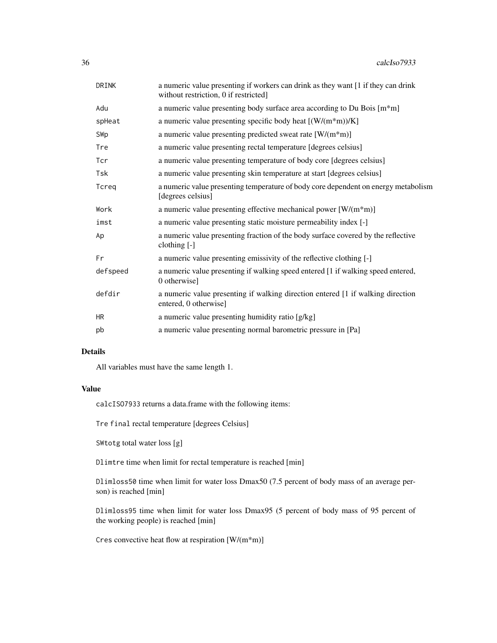| a numeric value presenting if workers can drink as they want [1 if they can drink<br>without restriction, 0 if restricted] |
|----------------------------------------------------------------------------------------------------------------------------|
| a numeric value presenting body surface area according to Du Bois [m <sup>*</sup> m]                                       |
| a numeric value presenting specific body heat $[(W/(m*m))/K]$                                                              |
| a numeric value presenting predicted sweat rate $[W/(m^*m)]$                                                               |
| a numeric value presenting rectal temperature [degrees celsius]                                                            |
| a numeric value presenting temperature of body core [degrees celsius]                                                      |
| a numeric value presenting skin temperature at start [degrees celsius]                                                     |
| a numeric value presenting temperature of body core dependent on energy metabolism<br>[degrees celsius]                    |
| a numeric value presenting effective mechanical power $[W/(m*m)]$                                                          |
| a numeric value presenting static moisture permeability index [-]                                                          |
| a numeric value presenting fraction of the body surface covered by the reflective<br>clothing [-]                          |
| a numeric value presenting emissivity of the reflective clothing [-]                                                       |
| a numeric value presenting if walking speed entered [1 if walking speed entered,<br>0 otherwise]                           |
| a numeric value presenting if walking direction entered [1 if walking direction<br>entered, 0 otherwise]                   |
| a numeric value presenting humidity ratio [g/kg]                                                                           |
| a numeric value presenting normal barometric pressure in [Pa]                                                              |
|                                                                                                                            |

### Details

All variables must have the same length 1.

### Value

calcISO7933 returns a data.frame with the following items:

Tre final rectal temperature [degrees Celsius]

SWtotg total water loss [g]

Dlimtre time when limit for rectal temperature is reached [min]

Dlimloss50 time when limit for water loss Dmax50 (7.5 percent of body mass of an average person) is reached [min]

Dlimloss95 time when limit for water loss Dmax95 (5 percent of body mass of 95 percent of the working people) is reached [min]

Cres convective heat flow at respiration [W/(m\*m)]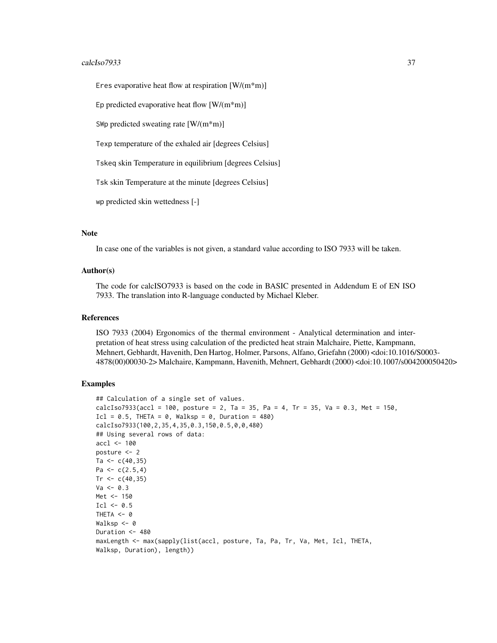#### calcIso7933 37

Eres evaporative heat flow at respiration [W/(m\*m)]

Ep predicted evaporative heat flow  $\left[W/(m^*m)\right]$ 

SWp predicted sweating rate [W/(m\*m)]

Texp temperature of the exhaled air [degrees Celsius]

Tskeq skin Temperature in equilibrium [degrees Celsius]

Tsk skin Temperature at the minute [degrees Celsius]

wp predicted skin wettedness [-]

### Note

In case one of the variables is not given, a standard value according to ISO 7933 will be taken.

### Author(s)

The code for calcISO7933 is based on the code in BASIC presented in Addendum E of EN ISO 7933. The translation into R-language conducted by Michael Kleber.

## References

ISO 7933 (2004) Ergonomics of the thermal environment - Analytical determination and interpretation of heat stress using calculation of the predicted heat strain Malchaire, Piette, Kampmann, Mehnert, Gebhardt, Havenith, Den Hartog, Holmer, Parsons, Alfano, Griefahn (2000) <doi:10.1016/S0003- 4878(00)00030-2> Malchaire, Kampmann, Havenith, Mehnert, Gebhardt (2000) <doi:10.1007/s004200050420>

## Examples

```
## Calculation of a single set of values.
calcIso7933(accl = 100, posture = 2, Ta = 35, Pa = 4, Tr = 35, Va = 0.3, Met = 150,
Icl = 0.5, THETA = 0, Walksp = 0, Duration = 480)
calcIso7933(100,2,35,4,35,0.3,150,0.5,0,0,480)
## Using several rows of data:
accl <- 100
posture <- 2
Ta <-c(40,35)Pa <- c(2.5,4)
Tr < -c(40, 35)Va < -0.3Met <- 150
Icl \leq 0.5THETA <- 0
Walksp <-0Duration <- 480
maxLength <- max(sapply(list(accl, posture, Ta, Pa, Tr, Va, Met, Icl, THETA,
Walksp, Duration), length))
```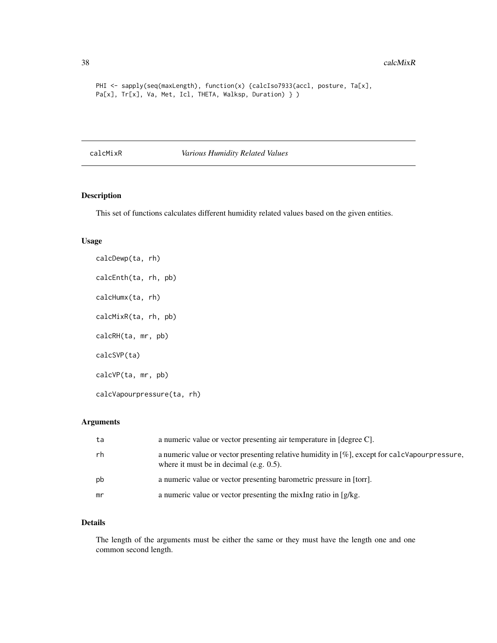```
PHI <- sapply(seq(maxLength), function(x) {calcIso7933(accl, posture, Ta[x],
Pa[x], Tr[x], Va, Met, Icl, THETA, Walksp, Duration) } )
```
calcMixR *Various Humidity Related Values*

## Description

This set of functions calculates different humidity related values based on the given entities.

## Usage

calcDewp(ta, rh) calcEnth(ta, rh, pb) calcHumx(ta, rh) calcMixR(ta, rh, pb) calcRH(ta, mr, pb) calcSVP(ta) calcVP(ta, mr, pb) calcVapourpressure(ta, rh)

## Arguments

| ta | a numeric value or vector presenting air temperature in [degree C].                                                                         |
|----|---------------------------------------------------------------------------------------------------------------------------------------------|
| rh | a numeric value or vector presenting relative humidity in [%], except for calcVapourpressure,<br>where it must be in decimal (e.g. $0.5$ ). |
| pb | a numeric value or vector presenting barometric pressure in [torr].                                                                         |
| mr | a numeric value or vector presenting the mixing ratio in $[g/kg]$ .                                                                         |

## Details

The length of the arguments must be either the same or they must have the length one and one common second length.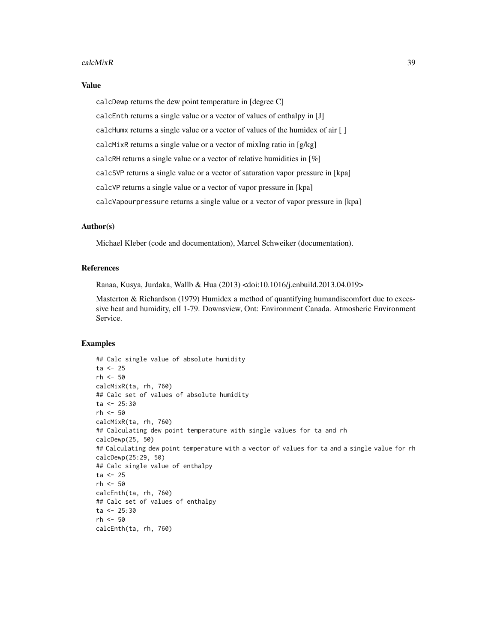#### calcMixR 39

### Value

calcDewp returns the dew point temperature in [degree C] calcEnth returns a single value or a vector of values of enthalpy in [J] calcHumx returns a single value or a vector of values of the humidex of air [ ] calcMixR returns a single value or a vector of mixIng ratio in [g/kg] calcRH returns a single value or a vector of relative humidities in [%] calcSVP returns a single value or a vector of saturation vapor pressure in [kpa] calcVP returns a single value or a vector of vapor pressure in [kpa] calcVapourpressure returns a single value or a vector of vapor pressure in [kpa]

#### Author(s)

Michael Kleber (code and documentation), Marcel Schweiker (documentation).

## References

Ranaa, Kusya, Jurdaka, Wallb & Hua (2013) <doi:10.1016/j.enbuild.2013.04.019>

Masterton & Richardson (1979) Humidex a method of quantifying humandiscomfort due to excessive heat and humidity, clI 1-79. Downsview, Ont: Environment Canada. Atmosheric Environment Service.

## Examples

```
## Calc single value of absolute humidity
ta < -25rh < -50calcMixR(ta, rh, 760)
## Calc set of values of absolute humidity
ta < -25:30rh <- 50
calcMixR(ta, rh, 760)
## Calculating dew point temperature with single values for ta and rh
calcDewp(25, 50)
## Calculating dew point temperature with a vector of values for ta and a single value for rh
calcDewp(25:29, 50)
## Calc single value of enthalpy
ta < -25rh <- 50
calcEnth(ta, rh, 760)
## Calc set of values of enthalpy
ta < -25:30rh <- 50
calcEnth(ta, rh, 760)
```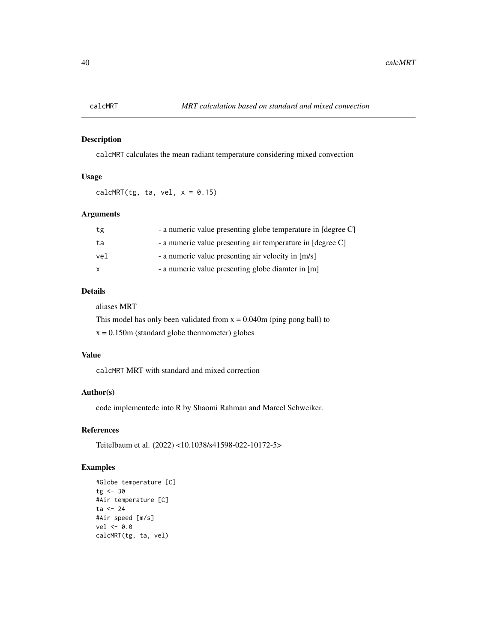## Description

calcMRT calculates the mean radiant temperature considering mixed convection

## Usage

calcMRT(tg, ta, vel,  $x = 0.15$ )

# Arguments

| tg  | - a numeric value presenting globe temperature in [degree C] |
|-----|--------------------------------------------------------------|
| ta  | - a numeric value presenting air temperature in [degree C]   |
| vel | - a numeric value presenting air velocity in [m/s]           |
| X   | - a numeric value presenting globe diamter in [m]            |

## Details

aliases MRT

This model has only been validated from  $x = 0.040$ m (ping pong ball) to

 $x = 0.150$ m (standard globe thermometer) globes

### Value

calcMRT MRT with standard and mixed correction

# Author(s)

code implementedc into R by Shaomi Rahman and Marcel Schweiker.

## References

Teitelbaum et al. (2022) <10.1038/s41598-022-10172-5>

## Examples

```
#Globe temperature [C]
tg < -30#Air temperature [C]
ta <- 24
#Air speed [m/s]
vel <- 0.0
calcMRT(tg, ta, vel)
```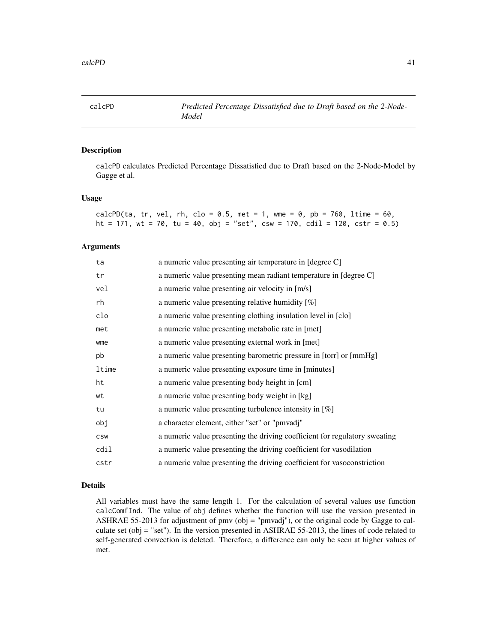calcPD *Predicted Percentage Dissatisfied due to Draft based on the 2-Node-Model*

### Description

calcPD calculates Predicted Percentage Dissatisfied due to Draft based on the 2-Node-Model by Gagge et al.

### Usage

| calcPD(ta, tr, vel, rh, clo = 0.5, met = 1, wme = 0, pb = 760, ltime = 60,  |  |  |  |  |  |  |  |  |
|-----------------------------------------------------------------------------|--|--|--|--|--|--|--|--|
| ht = 171, wt = 70, tu = 40, obj = "set", csw = 170, cdil = 120, cstr = 0.5) |  |  |  |  |  |  |  |  |

## Arguments

| ta         | a numeric value presenting air temperature in [degree C]                   |
|------------|----------------------------------------------------------------------------|
| tr         | a numeric value presenting mean radiant temperature in [degree C]          |
| vel        | a numeric value presenting air velocity in [m/s]                           |
| rh         | a numeric value presenting relative humidity [%]                           |
| clo        | a numeric value presenting clothing insulation level in [clo]              |
| met        | a numeric value presenting metabolic rate in [met]                         |
| wme        | a numeric value presenting external work in [met]                          |
| pb         | a numeric value presenting barometric pressure in [torr] or [mmHg]         |
| ltime      | a numeric value presenting exposure time in [minutes]                      |
| ht         | a numeric value presenting body height in [cm]                             |
| wt         | a numeric value presenting body weight in [kg]                             |
| tu         | a numeric value presenting turbulence intensity in $[\%]$                  |
| obj        | a character element, either "set" or "pmvadj"                              |
| <b>CSW</b> | a numeric value presenting the driving coefficient for regulatory sweating |
| cdil       | a numeric value presenting the driving coefficient for vasodilation        |
| cstr       | a numeric value presenting the driving coefficient for vasoconstriction    |

## Details

All variables must have the same length 1. For the calculation of several values use function calcComfInd. The value of obj defines whether the function will use the version presented in ASHRAE 55-2013 for adjustment of pmv (obj = "pmvadj"), or the original code by Gagge to calculate set (obj = "set"). In the version presented in ASHRAE 55-2013, the lines of code related to self-generated convection is deleted. Therefore, a difference can only be seen at higher values of met.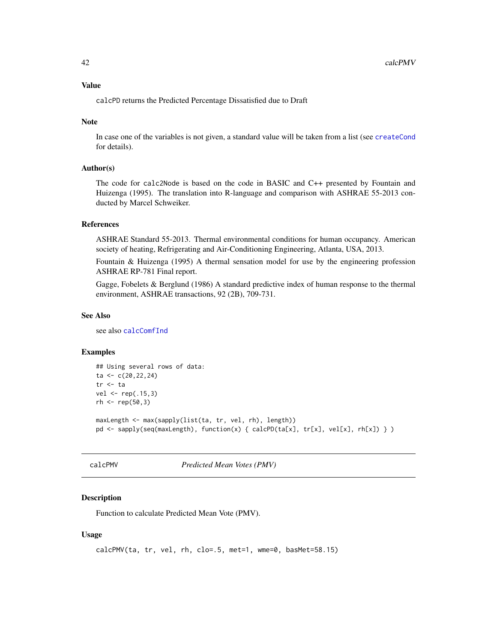#### Value

calcPD returns the Predicted Percentage Dissatisfied due to Draft

### Note

In case one of the variables is not given, a standard value will be taken from a list (see [createCond](#page-74-0) for details).

### Author(s)

The code for calc2Node is based on the code in BASIC and C++ presented by Fountain and Huizenga (1995). The translation into R-language and comparison with ASHRAE 55-2013 conducted by Marcel Schweiker.

## References

ASHRAE Standard 55-2013. Thermal environmental conditions for human occupancy. American society of heating, Refrigerating and Air-Conditioning Engineering, Atlanta, USA, 2013.

Fountain & Huizenga (1995) A thermal sensation model for use by the engineering profession ASHRAE RP-781 Final report.

Gagge, Fobelets & Berglund (1986) A standard predictive index of human response to the thermal environment, ASHRAE transactions, 92 (2B), 709-731.

#### See Also

see also [calcComfInd](#page-16-0)

#### Examples

```
## Using several rows of data:
ta <- c(20,22,24)
tr <- ta
vel <- rep(.15,3)
rh < - rep(50, 3)maxLength <- max(sapply(list(ta, tr, vel, rh), length))
```

```
pd <- sapply(seq(maxLength), function(x) { calcPD(ta[x], tr[x], vel[x], rh[x]) } )
```

```
calcPMV Predicted Mean Votes (PMV)
```
### Description

Function to calculate Predicted Mean Vote (PMV).

### Usage

```
calcPMV(ta, tr, vel, rh, clo=.5, met=1, wme=0, basMet=58.15)
```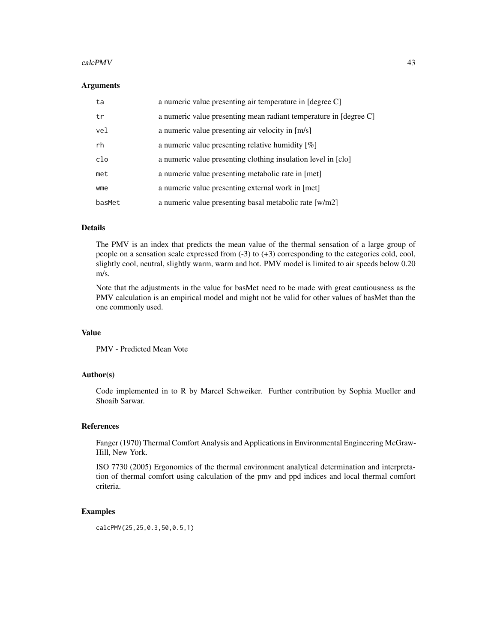#### calcPMV 43

#### **Arguments**

| ta     | a numeric value presenting air temperature in [degree C]          |
|--------|-------------------------------------------------------------------|
| tr     | a numeric value presenting mean radiant temperature in [degree C] |
| vel    | a numeric value presenting air velocity in [m/s]                  |
| rh     | a numeric value presenting relative humidity $[\%]$               |
| clo    | a numeric value presenting clothing insulation level in [clo]     |
| met    | a numeric value presenting metabolic rate in [met]                |
| wme    | a numeric value presenting external work in [met]                 |
| basMet | a numeric value presenting basal metabolic rate [w/m2]            |

#### Details

The PMV is an index that predicts the mean value of the thermal sensation of a large group of people on a sensation scale expressed from (-3) to (+3) corresponding to the categories cold, cool, slightly cool, neutral, slightly warm, warm and hot. PMV model is limited to air speeds below 0.20 m/s.

Note that the adjustments in the value for basMet need to be made with great cautiousness as the PMV calculation is an empirical model and might not be valid for other values of basMet than the one commonly used.

### Value

PMV - Predicted Mean Vote

### Author(s)

Code implemented in to R by Marcel Schweiker. Further contribution by Sophia Mueller and Shoaib Sarwar.

#### References

Fanger (1970) Thermal Comfort Analysis and Applications in Environmental Engineering McGraw-Hill, New York.

ISO 7730 (2005) Ergonomics of the thermal environment analytical determination and interpretation of thermal comfort using calculation of the pmv and ppd indices and local thermal comfort criteria.

### Examples

calcPMV(25,25,0.3,50,0.5,1)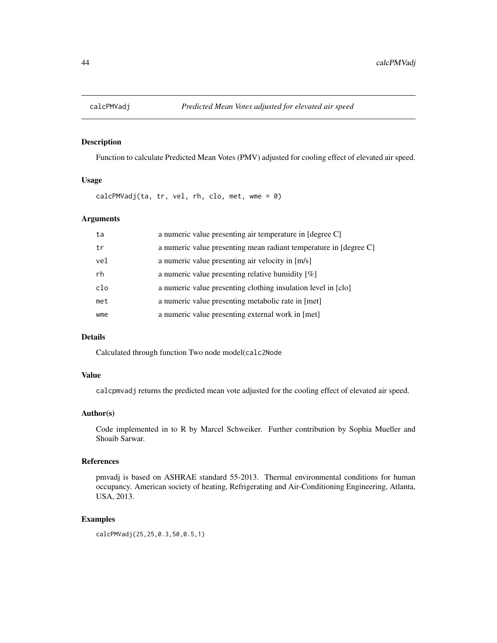## Description

Function to calculate Predicted Mean Votes (PMV) adjusted for cooling effect of elevated air speed.

#### Usage

calcPMVadj(ta, tr, vel, rh, clo, met, wme = 0)

## Arguments

| ta  | a numeric value presenting air temperature in [degree C]          |
|-----|-------------------------------------------------------------------|
| tr  | a numeric value presenting mean radiant temperature in [degree C] |
| vel | a numeric value presenting air velocity in [m/s]                  |
| rh  | a numeric value presenting relative humidity $[\%]$               |
| clo | a numeric value presenting clothing insulation level in [clo]     |
| met | a numeric value presenting metabolic rate in [met]                |
| wme | a numeric value presenting external work in [met]                 |
|     |                                                                   |

## Details

Calculated through function Two node model(calc2Node

### Value

calcpmvadj returns the predicted mean vote adjusted for the cooling effect of elevated air speed.

### Author(s)

Code implemented in to R by Marcel Schweiker. Further contribution by Sophia Mueller and Shoaib Sarwar.

## References

pmvadj is based on ASHRAE standard 55-2013. Thermal environmental conditions for human occupancy. American society of heating, Refrigerating and Air-Conditioning Engineering, Atlanta, USA, 2013.

## Examples

calcPMVadj(25,25,0.3,50,0.5,1)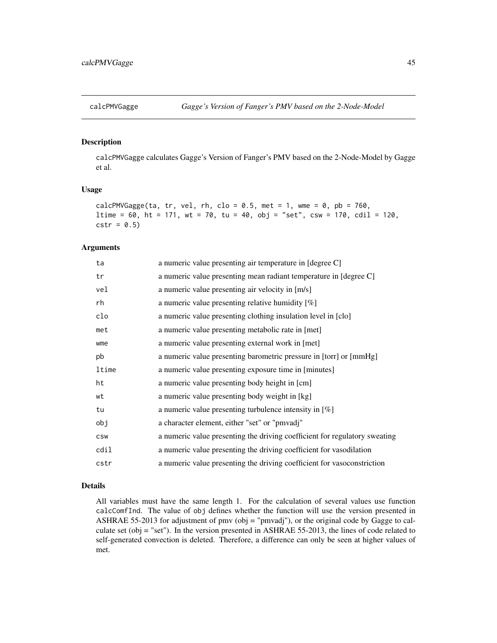#### Description

calcPMVGagge calculates Gagge's Version of Fanger's PMV based on the 2-Node-Model by Gagge et al.

#### Usage

```
calcPMVGagge(ta, tr, vel, rh, clo = 0.5, met = 1, wme = 0, pb = 760,
ltime = 60, ht = 171, wt = 70, tu = 40, obj = "set", csw = 170, cdil = 120,
cstr = 0.5
```
#### Arguments

| ta         | a numeric value presenting air temperature in [degree C]                   |
|------------|----------------------------------------------------------------------------|
| tr         | a numeric value presenting mean radiant temperature in [degree C]          |
| vel        | a numeric value presenting air velocity in [m/s]                           |
| rh         | a numeric value presenting relative humidity [%]                           |
| clo        | a numeric value presenting clothing insulation level in [clo]              |
| met        | a numeric value presenting metabolic rate in [met]                         |
| wme        | a numeric value presenting external work in [met]                          |
| pb         | a numeric value presenting barometric pressure in [torr] or [mmHg]         |
| ltime      | a numeric value presenting exposure time in [minutes]                      |
| ht         | a numeric value presenting body height in [cm]                             |
| wt         | a numeric value presenting body weight in [kg]                             |
| tu         | a numeric value presenting turbulence intensity in $[\%]$                  |
| obj        | a character element, either "set" or "pmvadj"                              |
| <b>CSW</b> | a numeric value presenting the driving coefficient for regulatory sweating |
| cdil       | a numeric value presenting the driving coefficient for vasodilation        |
| cstr       | a numeric value presenting the driving coefficient for vasoconstriction    |
|            |                                                                            |

### Details

All variables must have the same length 1. For the calculation of several values use function calcComfInd. The value of obj defines whether the function will use the version presented in ASHRAE 55-2013 for adjustment of pmv (obj = "pmvadj"), or the original code by Gagge to calculate set (obj = "set"). In the version presented in ASHRAE 55-2013, the lines of code related to self-generated convection is deleted. Therefore, a difference can only be seen at higher values of met.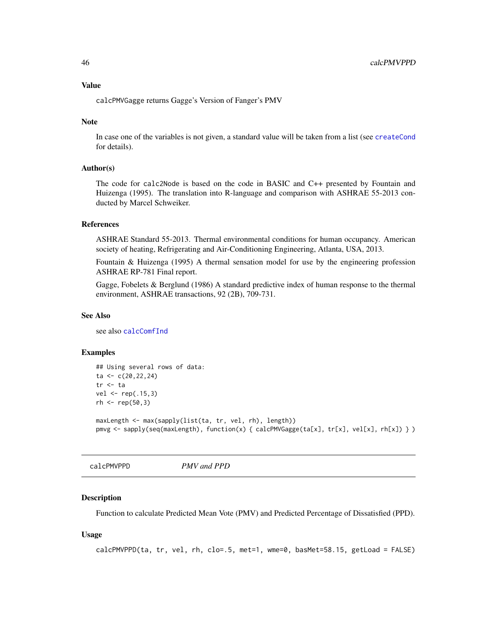#### Value

calcPMVGagge returns Gagge's Version of Fanger's PMV

### Note

In case one of the variables is not given, a standard value will be taken from a list (see [createCond](#page-74-0) for details).

### Author(s)

The code for calc2Node is based on the code in BASIC and C++ presented by Fountain and Huizenga (1995). The translation into R-language and comparison with ASHRAE 55-2013 conducted by Marcel Schweiker.

#### References

ASHRAE Standard 55-2013. Thermal environmental conditions for human occupancy. American society of heating, Refrigerating and Air-Conditioning Engineering, Atlanta, USA, 2013.

Fountain & Huizenga (1995) A thermal sensation model for use by the engineering profession ASHRAE RP-781 Final report.

Gagge, Fobelets & Berglund (1986) A standard predictive index of human response to the thermal environment, ASHRAE transactions, 92 (2B), 709-731.

#### See Also

see also [calcComfInd](#page-16-0)

#### Examples

```
## Using several rows of data:
ta < -c(20, 22, 24)tr <- ta
vel <- rep(.15,3)
rh < - rep(50, 3)
```

```
maxLength <- max(sapply(list(ta, tr, vel, rh), length))
pmvg <- sapply(seq(maxLength), function(x) { calcPMVGagge(ta[x], tr[x], vel[x], rh[x]) } )
```
calcPMVPPD *PMV and PPD*

### Description

Function to calculate Predicted Mean Vote (PMV) and Predicted Percentage of Dissatisfied (PPD).

#### Usage

calcPMVPPD(ta, tr, vel, rh, clo=.5, met=1, wme=0, basMet=58.15, getLoad = FALSE)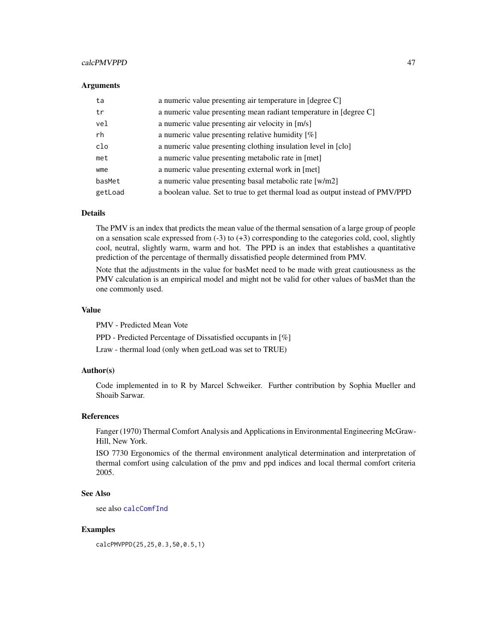### calcPMVPPD 47

#### **Arguments**

| a numeric value presenting air temperature in [degree C]                      |
|-------------------------------------------------------------------------------|
| a numeric value presenting mean radiant temperature in [degree C]             |
| a numeric value presenting air velocity in [m/s]                              |
| a numeric value presenting relative humidity $[\%]$                           |
| a numeric value presenting clothing insulation level in [clo]                 |
| a numeric value presenting metabolic rate in [met]                            |
| a numeric value presenting external work in [met]                             |
| a numeric value presenting basal metabolic rate [w/m2]                        |
| a boolean value. Set to true to get thermal load as output instead of PMV/PPD |
|                                                                               |

## Details

The PMV is an index that predicts the mean value of the thermal sensation of a large group of people on a sensation scale expressed from  $(-3)$  to  $(+3)$  corresponding to the categories cold, cool, slightly cool, neutral, slightly warm, warm and hot. The PPD is an index that establishes a quantitative prediction of the percentage of thermally dissatisfied people determined from PMV.

Note that the adjustments in the value for basMet need to be made with great cautiousness as the PMV calculation is an empirical model and might not be valid for other values of basMet than the one commonly used.

## Value

PMV - Predicted Mean Vote

PPD - Predicted Percentage of Dissatisfied occupants in [%]

Lraw - thermal load (only when getLoad was set to TRUE)

### Author(s)

Code implemented in to R by Marcel Schweiker. Further contribution by Sophia Mueller and Shoaib Sarwar.

### References

Fanger (1970) Thermal Comfort Analysis and Applications in Environmental Engineering McGraw-Hill, New York.

ISO 7730 Ergonomics of the thermal environment analytical determination and interpretation of thermal comfort using calculation of the pmv and ppd indices and local thermal comfort criteria 2005.

### See Also

see also [calcComfInd](#page-16-0)

#### Examples

calcPMVPPD(25,25,0.3,50,0.5,1)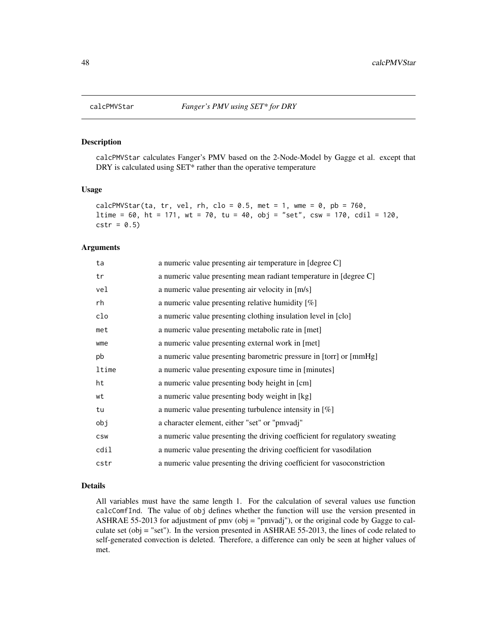#### Description

calcPMVStar calculates Fanger's PMV based on the 2-Node-Model by Gagge et al. except that DRY is calculated using SET\* rather than the operative temperature

### Usage

```
calcPMVStar(ta, tr, vel, rh, clo = 0.5, met = 1, wme = 0, pb = 760,
ltime = 60, ht = 171, wt = 70, tu = 40, obj = "set", csw = 170, cdil = 120,
cstr = 0.5
```
#### Arguments

| ta         | a numeric value presenting air temperature in [degree C]                   |
|------------|----------------------------------------------------------------------------|
| tr         | a numeric value presenting mean radiant temperature in [degree C]          |
| vel        | a numeric value presenting air velocity in [m/s]                           |
| rh         | a numeric value presenting relative humidity $[\%]$                        |
| clo        | a numeric value presenting clothing insulation level in [clo]              |
| met        | a numeric value presenting metabolic rate in [met]                         |
| wme        | a numeric value presenting external work in [met]                          |
| pb         | a numeric value presenting barometric pressure in [torr] or [mmHg]         |
| ltime      | a numeric value presenting exposure time in [minutes]                      |
| ht         | a numeric value presenting body height in [cm]                             |
| wt         | a numeric value presenting body weight in [kg]                             |
| tu         | a numeric value presenting turbulence intensity in $[\%]$                  |
| obj        | a character element, either "set" or "pmvadj"                              |
| <b>CSW</b> | a numeric value presenting the driving coefficient for regulatory sweating |
| cdil       | a numeric value presenting the driving coefficient for vasodilation        |
| cstr       | a numeric value presenting the driving coefficient for vasoconstriction    |
|            |                                                                            |

### Details

All variables must have the same length 1. For the calculation of several values use function calcComfInd. The value of obj defines whether the function will use the version presented in ASHRAE 55-2013 for adjustment of pmv (obj = "pmvadj"), or the original code by Gagge to calculate set (obj = "set"). In the version presented in ASHRAE 55-2013, the lines of code related to self-generated convection is deleted. Therefore, a difference can only be seen at higher values of met.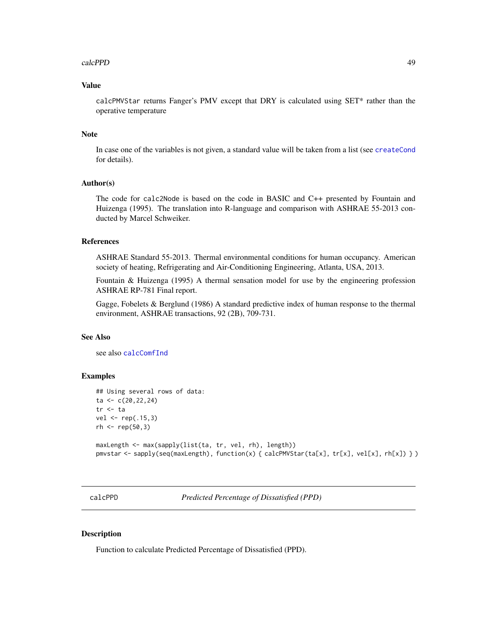#### calcPPD 49

### Value

calcPMVStar returns Fanger's PMV except that DRY is calculated using SET\* rather than the operative temperature

#### Note

In case one of the variables is not given, a standard value will be taken from a list (see [createCond](#page-74-0) for details).

### Author(s)

The code for calc2Node is based on the code in BASIC and C++ presented by Fountain and Huizenga (1995). The translation into R-language and comparison with ASHRAE 55-2013 conducted by Marcel Schweiker.

#### References

ASHRAE Standard 55-2013. Thermal environmental conditions for human occupancy. American society of heating, Refrigerating and Air-Conditioning Engineering, Atlanta, USA, 2013.

Fountain & Huizenga (1995) A thermal sensation model for use by the engineering profession ASHRAE RP-781 Final report.

Gagge, Fobelets & Berglund (1986) A standard predictive index of human response to the thermal environment, ASHRAE transactions, 92 (2B), 709-731.

#### See Also

see also [calcComfInd](#page-16-0)

### Examples

```
## Using several rows of data:
ta < -c(20, 22, 24)tr <- ta
vel <- rep(.15,3)
rh < - rep(50, 3)maxLength <- max(sapply(list(ta, tr, vel, rh), length))
pmvstar <- sapply(seq(maxLength), function(x) { calcPMVStar(ta[x], tr[x], vel[x], rh[x]) } )
```
calcPPD *Predicted Percentage of Dissatisfied (PPD)*

### Description

Function to calculate Predicted Percentage of Dissatisfied (PPD).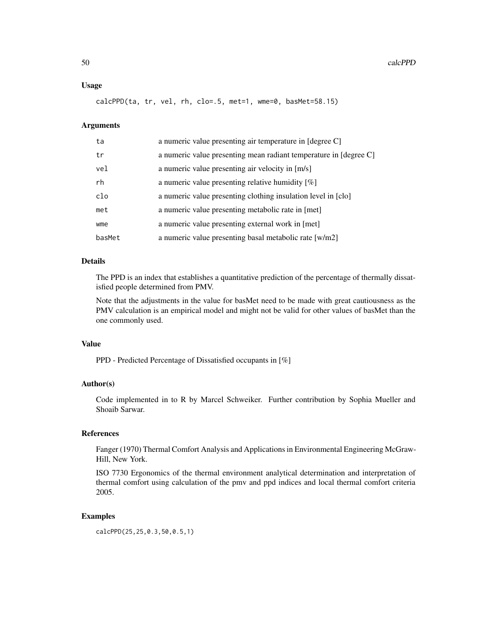### Usage

calcPPD(ta, tr, vel, rh, clo=.5, met=1, wme=0, basMet=58.15)

#### Arguments

| ta     | a numeric value presenting air temperature in [degree C]          |
|--------|-------------------------------------------------------------------|
| tr     | a numeric value presenting mean radiant temperature in [degree C] |
| vel    | a numeric value presenting air velocity in [m/s]                  |
| rh     | a numeric value presenting relative humidity $[\%]$               |
| clo    | a numeric value presenting clothing insulation level in [clo]     |
| met    | a numeric value presenting metabolic rate in [met]                |
| wme    | a numeric value presenting external work in [met]                 |
| basMet | a numeric value presenting basal metabolic rate [w/m2]            |

#### Details

The PPD is an index that establishes a quantitative prediction of the percentage of thermally dissatisfied people determined from PMV.

Note that the adjustments in the value for basMet need to be made with great cautiousness as the PMV calculation is an empirical model and might not be valid for other values of basMet than the one commonly used.

# Value

PPD - Predicted Percentage of Dissatisfied occupants in [%]

# Author(s)

Code implemented in to R by Marcel Schweiker. Further contribution by Sophia Mueller and Shoaib Sarwar.

# References

Fanger (1970) Thermal Comfort Analysis and Applications in Environmental Engineering McGraw-Hill, New York.

ISO 7730 Ergonomics of the thermal environment analytical determination and interpretation of thermal comfort using calculation of the pmv and ppd indices and local thermal comfort criteria 2005.

### Examples

calcPPD(25,25,0.3,50,0.5,1)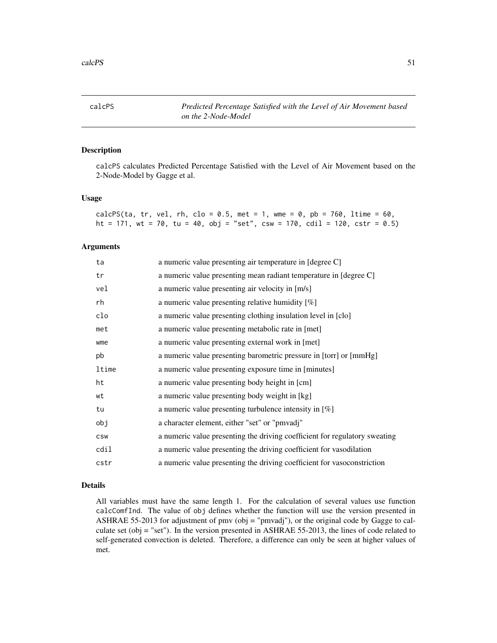calcPS *Predicted Percentage Satisfied with the Level of Air Movement based on the 2-Node-Model*

### Description

calcPS calculates Predicted Percentage Satisfied with the Level of Air Movement based on the 2-Node-Model by Gagge et al.

## Usage

| calcPS(ta, tr, vel, rh, clo = 0.5, met = 1, wme = 0, pb = 760, ltime = 60,  |  |  |  |  |  |  |  |
|-----------------------------------------------------------------------------|--|--|--|--|--|--|--|
| ht = 171, wt = 70, tu = 40, obj = "set", csw = 170, cdil = 120, cstr = 0.5) |  |  |  |  |  |  |  |

### Arguments

| ta         | a numeric value presenting air temperature in [degree C]                   |
|------------|----------------------------------------------------------------------------|
| tr         | a numeric value presenting mean radiant temperature in [degree C]          |
| vel        | a numeric value presenting air velocity in [m/s]                           |
| rh         | a numeric value presenting relative humidity $[\%]$                        |
| clo        | a numeric value presenting clothing insulation level in [clo]              |
| met        | a numeric value presenting metabolic rate in [met]                         |
| wme        | a numeric value presenting external work in [met]                          |
| pb         | a numeric value presenting barometric pressure in [torr] or [mmHg]         |
| ltime      | a numeric value presenting exposure time in [minutes]                      |
| ht         | a numeric value presenting body height in [cm]                             |
| wt         | a numeric value presenting body weight in [kg]                             |
| tu         | a numeric value presenting turbulence intensity in $[\%]$                  |
| obj        | a character element, either "set" or "pmvadj"                              |
| <b>CSW</b> | a numeric value presenting the driving coefficient for regulatory sweating |
| cdil       | a numeric value presenting the driving coefficient for vasodilation        |
| cstr       | a numeric value presenting the driving coefficient for vasoconstriction    |

### Details

All variables must have the same length 1. For the calculation of several values use function calcComfInd. The value of obj defines whether the function will use the version presented in ASHRAE 55-2013 for adjustment of pmv (obj = "pmvadj"), or the original code by Gagge to calculate set (obj = "set"). In the version presented in ASHRAE 55-2013, the lines of code related to self-generated convection is deleted. Therefore, a difference can only be seen at higher values of met.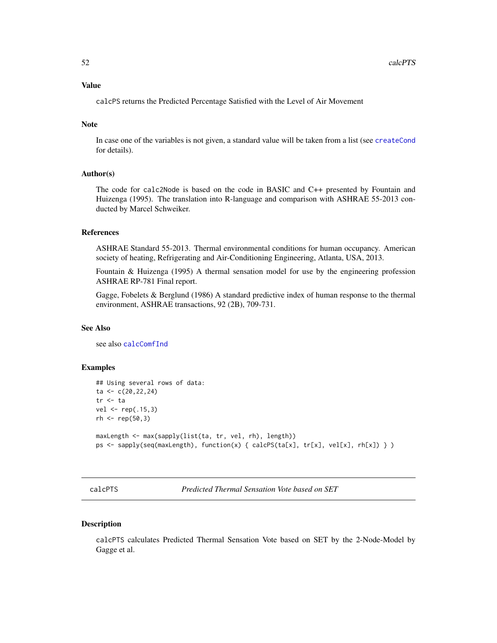## Value

calcPS returns the Predicted Percentage Satisfied with the Level of Air Movement

## Note

In case one of the variables is not given, a standard value will be taken from a list (see [createCond](#page-74-0) for details).

#### Author(s)

The code for calc2Node is based on the code in BASIC and C++ presented by Fountain and Huizenga (1995). The translation into R-language and comparison with ASHRAE 55-2013 conducted by Marcel Schweiker.

## References

ASHRAE Standard 55-2013. Thermal environmental conditions for human occupancy. American society of heating, Refrigerating and Air-Conditioning Engineering, Atlanta, USA, 2013.

Fountain & Huizenga (1995) A thermal sensation model for use by the engineering profession ASHRAE RP-781 Final report.

Gagge, Fobelets & Berglund (1986) A standard predictive index of human response to the thermal environment, ASHRAE transactions, 92 (2B), 709-731.

#### See Also

see also [calcComfInd](#page-16-0)

#### Examples

```
## Using several rows of data:
ta < -c(20, 22, 24)tr <- ta
vel < -rep(.15,3)rh < - rep(50, 3)maxLength <- max(sapply(list(ta, tr, vel, rh), length))
ps <- sapply(seq(maxLength), function(x) { calcPS(ta[x], tr[x], vel[x], rh[x]) } )
```
calcPTS *Predicted Thermal Sensation Vote based on SET*

#### **Description**

calcPTS calculates Predicted Thermal Sensation Vote based on SET by the 2-Node-Model by Gagge et al.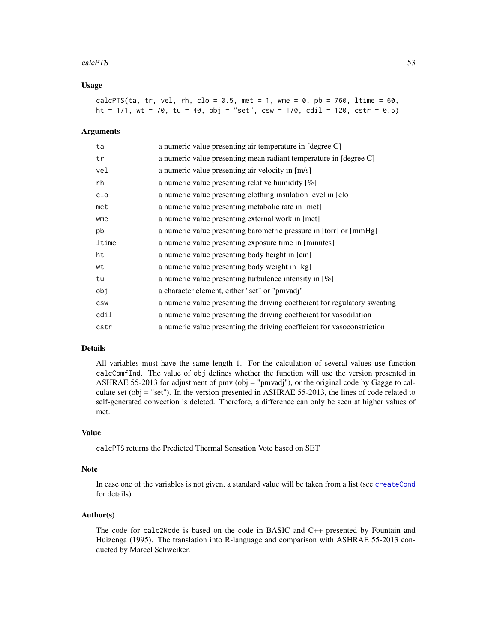#### calcPTS 53

### Usage

|  |  |  |  | calcPTS(ta, tr, vel, rh, clo = 0.5, met = 1, wme = 0, pb = 760, ltime = 60, |
|--|--|--|--|-----------------------------------------------------------------------------|
|  |  |  |  | ht = 171, wt = 70, tu = 40, obj = "set", csw = 170, cdil = 120, cstr = 0.5) |

## Arguments

| ta         | a numeric value presenting air temperature in [degree C]                   |
|------------|----------------------------------------------------------------------------|
| tr         | a numeric value presenting mean radiant temperature in [degree C]          |
| vel        | a numeric value presenting air velocity in [m/s]                           |
| rh         | a numeric value presenting relative humidity [%]                           |
| clo        | a numeric value presenting clothing insulation level in [clo]              |
| met        | a numeric value presenting metabolic rate in [met]                         |
| wme        | a numeric value presenting external work in [met]                          |
| pb         | a numeric value presenting barometric pressure in [torr] or [mmHg]         |
| ltime      | a numeric value presenting exposure time in [minutes]                      |
| ht         | a numeric value presenting body height in [cm]                             |
| wt         | a numeric value presenting body weight in [kg]                             |
| tu         | a numeric value presenting turbulence intensity in $[\%]$                  |
| obj        | a character element, either "set" or "pmvadj"                              |
| <b>CSW</b> | a numeric value presenting the driving coefficient for regulatory sweating |
| cdil       | a numeric value presenting the driving coefficient for vasodilation        |
| cstr       | a numeric value presenting the driving coefficient for vasoconstriction    |

# Details

All variables must have the same length 1. For the calculation of several values use function calcComfInd. The value of obj defines whether the function will use the version presented in ASHRAE 55-2013 for adjustment of pmv (obj = "pmvadj"), or the original code by Gagge to calculate set (obj = "set"). In the version presented in ASHRAE 55-2013, the lines of code related to self-generated convection is deleted. Therefore, a difference can only be seen at higher values of met.

## Value

calcPTS returns the Predicted Thermal Sensation Vote based on SET

## Note

In case one of the variables is not given, a standard value will be taken from a list (see [createCond](#page-74-0) for details).

#### Author(s)

The code for calc2Node is based on the code in BASIC and C++ presented by Fountain and Huizenga (1995). The translation into R-language and comparison with ASHRAE 55-2013 conducted by Marcel Schweiker.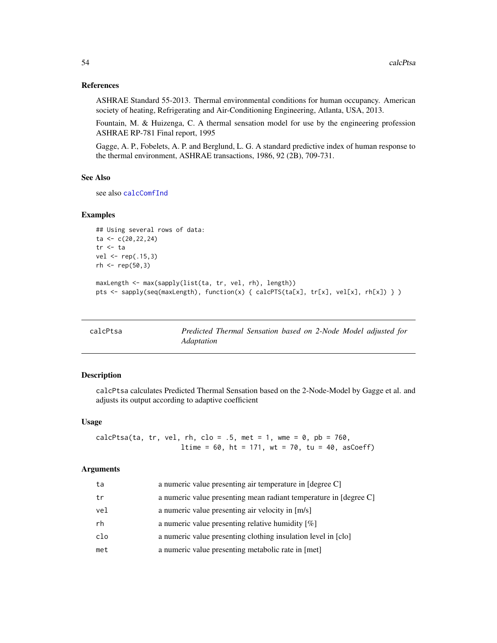### References

ASHRAE Standard 55-2013. Thermal environmental conditions for human occupancy. American society of heating, Refrigerating and Air-Conditioning Engineering, Atlanta, USA, 2013.

Fountain, M. & Huizenga, C. A thermal sensation model for use by the engineering profession ASHRAE RP-781 Final report, 1995

Gagge, A. P., Fobelets, A. P. and Berglund, L. G. A standard predictive index of human response to the thermal environment, ASHRAE transactions, 1986, 92 (2B), 709-731.

#### See Also

see also [calcComfInd](#page-16-0)

### Examples

```
## Using several rows of data:
ta < -c(20, 22, 24)tr <- ta
vel <- rep(.15,3)
rh < - rep(50, 3)maxLength <- max(sapply(list(ta, tr, vel, rh), length))
pts <- sapply(seq(maxLength), function(x) { calcPTS(ta[x], tr[x], vel[x], rh[x]) } )
```

| calcPtsa | Predicted Thermal Sensation based on 2-Node Model adjusted for |  |  |  |
|----------|----------------------------------------------------------------|--|--|--|
|          | <i>Adaptation</i>                                              |  |  |  |

## Description

calcPtsa calculates Predicted Thermal Sensation based on the 2-Node-Model by Gagge et al. and adjusts its output according to adaptive coefficient

#### Usage

```
calcPtsa(ta, tr, vel, rh, clo = .5, met = 1, wme = 0, pb = 760,
                     ltime = 60, ht = 171, wt = 70, tu = 40, asCoeff)
```
### Arguments

| ta  | a numeric value presenting air temperature in [degree C]          |
|-----|-------------------------------------------------------------------|
| tr  | a numeric value presenting mean radiant temperature in [degree C] |
| vel | a numeric value presenting air velocity in [m/s]                  |
| rh  | a numeric value presenting relative humidity $[\%]$               |
| clo | a numeric value presenting clothing insulation level in [clo]     |
| met | a numeric value presenting metabolic rate in [met]                |
|     |                                                                   |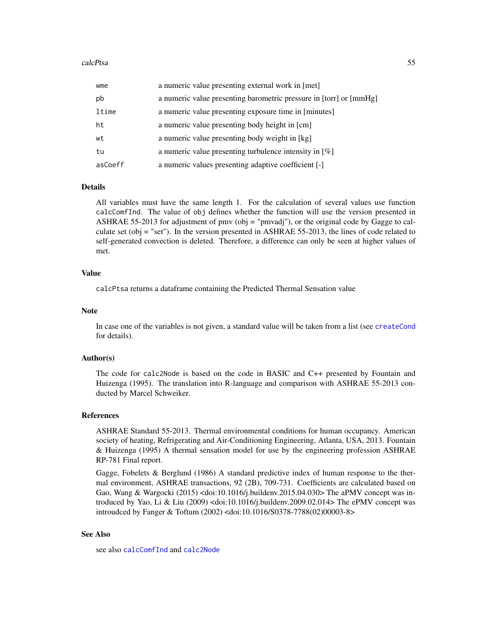| wme     | a numeric value presenting external work in [met]                  |
|---------|--------------------------------------------------------------------|
| pb      | a numeric value presenting barometric pressure in [torr] or [mmHg] |
| ltime   | a numeric value presenting exposure time in [minutes]              |
| ht      | a numeric value presenting body height in [cm]                     |
| wt      | a numeric value presenting body weight in [kg]                     |
| tu      | a numeric value presenting turbulence intensity in $[\%]$          |
| asCoeff | a numeric values presenting adaptive coefficient [-]               |

## Details

All variables must have the same length 1. For the calculation of several values use function calcComfInd. The value of obj defines whether the function will use the version presented in ASHRAE 55-2013 for adjustment of pmv (obj = "pmvadj"), or the original code by Gagge to calculate set (obj = "set"). In the version presented in ASHRAE 55-2013, the lines of code related to self-generated convection is deleted. Therefore, a difference can only be seen at higher values of met.

## Value

calcPtsa returns a dataframe containing the Predicted Thermal Sensation value

### **Note**

In case one of the variables is not given, a standard value will be taken from a list (see [createCond](#page-74-0) for details).

#### Author(s)

The code for calc2Node is based on the code in BASIC and C++ presented by Fountain and Huizenga (1995). The translation into R-language and comparison with ASHRAE 55-2013 conducted by Marcel Schweiker.

#### References

ASHRAE Standard 55-2013. Thermal environmental conditions for human occupancy. American society of heating, Refrigerating and Air-Conditioning Engineering, Atlanta, USA, 2013. Fountain & Huizenga (1995) A thermal sensation model for use by the engineering profession ASHRAE RP-781 Final report.

Gagge, Fobelets & Berglund (1986) A standard predictive index of human response to the thermal environment, ASHRAE transactions, 92 (2B), 709-731. Coefficients are calculated based on Gao, Wang & Wargocki (2015) <doi:10.1016/j.buildenv.2015.04.030> The aPMV concept was introduced by Yao, Li & Liu (2009) <doi:10.1016/j.buildenv.2009.02.014> The ePMV concept was introudced by Fanger & Toftum (2002) <doi:10.1016/S0378-7788(02)00003-8>

## See Also

see also [calcComfInd](#page-16-0) and [calc2Node](#page-3-0)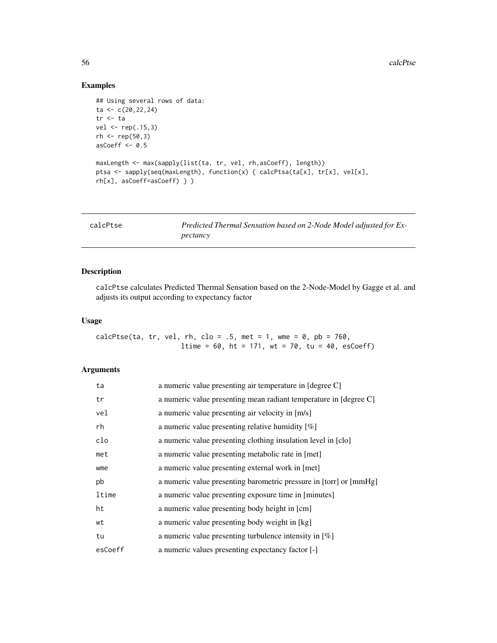# Examples

```
## Using several rows of data:
ta <- c(20,22,24)
tr <- ta
vel <- rep(.15,3)
rh < - rep(50, 3)asCoeff <- 0.5
maxLength <- max(sapply(list(ta, tr, vel, rh,asCoeff), length))
ptsa <- sapply(seq(maxLength), function(x) { calcPtsa(ta[x], tr[x], vel[x],
rh[x], asCoeff=asCoeff) } )
```

| calcPtse | Predicted Thermal Sensation based on 2-Node Model adjusted for Ex- |
|----------|--------------------------------------------------------------------|
|          | pectancy                                                           |

## Description

calcPtse calculates Predicted Thermal Sensation based on the 2-Node-Model by Gagge et al. and adjusts its output according to expectancy factor

## Usage

calcPtse(ta, tr, vel, rh, clo =  $.5$ , met = 1, wme = 0, pb = 760, ltime =  $60$ , ht =  $171$ , wt =  $70$ , tu =  $40$ , esCoeff)

## Arguments

| ta      | a numeric value presenting air temperature in [degree C]           |
|---------|--------------------------------------------------------------------|
| tr      | a numeric value presenting mean radiant temperature in [degree C]  |
| vel     | a numeric value presenting air velocity in [m/s]                   |
| rh      | a numeric value presenting relative humidity $[\%]$                |
| clo     | a numeric value presenting clothing insulation level in [clo]      |
| met     | a numeric value presenting metabolic rate in [met]                 |
| wme     | a numeric value presenting external work in [met]                  |
| pb      | a numeric value presenting barometric pressure in [torr] or [mmHg] |
| ltime   | a numeric value presenting exposure time in [minutes]              |
| ht      | a numeric value presenting body height in [cm]                     |
| wt      | a numeric value presenting body weight in [kg]                     |
| tu      | a numeric value presenting turbulence intensity in $[\%]$          |
| esCoeff | a numeric values presenting expectancy factor [-]                  |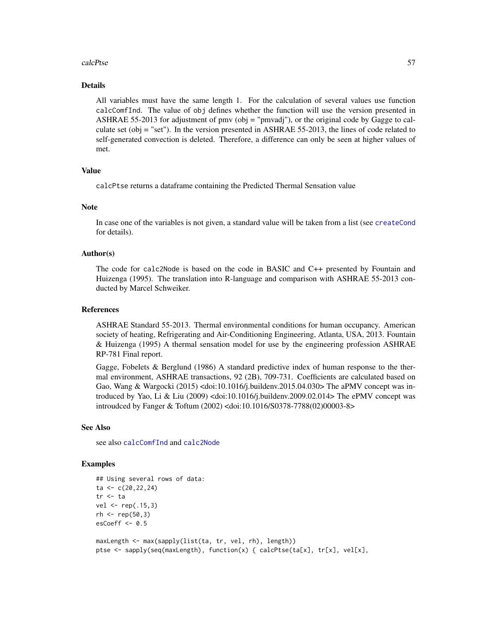#### calcPtse 57

#### Details

All variables must have the same length 1. For the calculation of several values use function calcComfInd. The value of obj defines whether the function will use the version presented in ASHRAE 55-2013 for adjustment of pmv (obj = "pmvadj"), or the original code by Gagge to calculate set (obj = "set"). In the version presented in ASHRAE 55-2013, the lines of code related to self-generated convection is deleted. Therefore, a difference can only be seen at higher values of met.

## Value

calcPtse returns a dataframe containing the Predicted Thermal Sensation value

#### Note

In case one of the variables is not given, a standard value will be taken from a list (see [createCond](#page-74-0) for details).

### Author(s)

The code for calc2Node is based on the code in BASIC and C++ presented by Fountain and Huizenga (1995). The translation into R-language and comparison with ASHRAE 55-2013 conducted by Marcel Schweiker.

#### References

ASHRAE Standard 55-2013. Thermal environmental conditions for human occupancy. American society of heating, Refrigerating and Air-Conditioning Engineering, Atlanta, USA, 2013. Fountain & Huizenga (1995) A thermal sensation model for use by the engineering profession ASHRAE RP-781 Final report.

Gagge, Fobelets & Berglund (1986) A standard predictive index of human response to the thermal environment, ASHRAE transactions, 92 (2B), 709-731. Coefficients are calculated based on Gao, Wang & Wargocki (2015) <doi:10.1016/j.buildenv.2015.04.030> The aPMV concept was introduced by Yao, Li & Liu (2009) <doi:10.1016/j.buildenv.2009.02.014> The ePMV concept was introudced by Fanger & Toftum (2002) <doi:10.1016/S0378-7788(02)00003-8>

### See Also

see also [calcComfInd](#page-16-0) and [calc2Node](#page-3-0)

### Examples

```
## Using several rows of data:
ta \leftarrow c(20, 22, 24)tr <- ta
vel <- rep(.15,3)
rh < - rep(50, 3)esCoeff <-0.5maxLength <- max(sapply(list(ta, tr, vel, rh), length))
```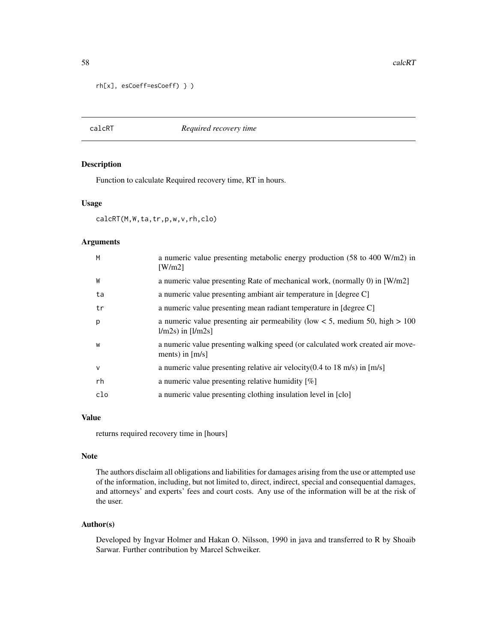```
rh[x], esCoeff=esCoeff) } )
```
### calcRT *Required recovery time*

### Description

Function to calculate Required recovery time, RT in hours.

#### Usage

calcRT(M,W,ta,tr,p,w,v,rh,clo)

### Arguments

| M      | a numeric value presenting metabolic energy production (58 to 400 W/m2) in<br>$\lceil W/m2 \rceil$         |
|--------|------------------------------------------------------------------------------------------------------------|
| W      | a numeric value presenting Rate of mechanical work, (normally 0) in [W/m2]                                 |
| ta     | a numeric value presenting ambiant air temperature in [degree C]                                           |
| tr     | a numeric value presenting mean radiant temperature in [degree C]                                          |
| p      | a numeric value presenting air permeability (low $< 5$ , medium 50, high $> 100$<br>$1/m2s$ ) in $[1/m2s]$ |
| W      | a numeric value presenting walking speed (or calculated work created air move-<br>ments) in $[m/s]$        |
| $\vee$ | a numeric value presenting relative air velocity $(0.4 \text{ to } 18 \text{ m/s})$ in [m/s]               |
| rh     | a numeric value presenting relative humidity $[\%]$                                                        |
| clo    | a numeric value presenting clothing insulation level in [clo]                                              |

## Value

returns required recovery time in [hours]

#### Note

The authors disclaim all obligations and liabilities for damages arising from the use or attempted use of the information, including, but not limited to, direct, indirect, special and consequential damages, and attorneys' and experts' fees and court costs. Any use of the information will be at the risk of the user.

## Author(s)

Developed by Ingvar Holmer and Hakan O. Nilsson, 1990 in java and transferred to R by Shoaib Sarwar. Further contribution by Marcel Schweiker.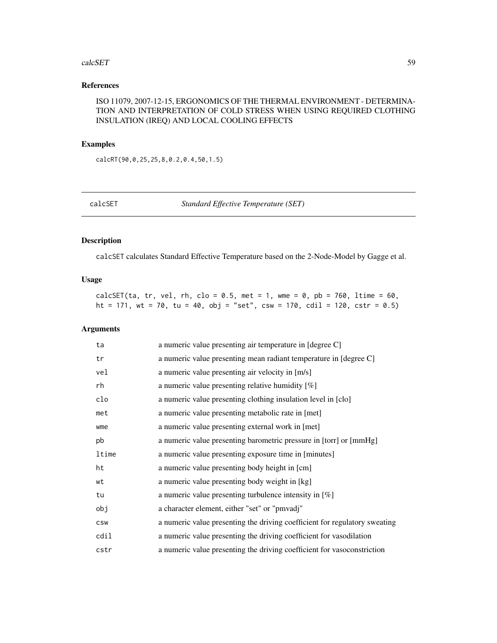#### calcSET 59

## References

ISO 11079, 2007-12-15, ERGONOMICS OF THE THERMAL ENVIRONMENT - DETERMINA-TION AND INTERPRETATION OF COLD STRESS WHEN USING REQUIRED CLOTHING INSULATION (IREQ) AND LOCAL COOLING EFFECTS

## Examples

calcRT(90,0,25,25,8,0.2,0.4,50,1.5)

calcSET *Standard Effective Temperature (SET)*

## Description

calcSET calculates Standard Effective Temperature based on the 2-Node-Model by Gagge et al.

### Usage

calcSET(ta, tr, vel, rh, clo =  $0.5$ , met = 1, wme =  $0$ , pb = 760, ltime = 60, ht = 171, wt = 70, tu = 40, obj = "set", csw = 170, cdil = 120, cstr = 0.5)

## Arguments

| ta         | a numeric value presenting air temperature in [degree C]                   |
|------------|----------------------------------------------------------------------------|
| tr         | a numeric value presenting mean radiant temperature in [degree C]          |
| vel        | a numeric value presenting air velocity in [m/s]                           |
| rh         | a numeric value presenting relative humidity $[\%]$                        |
| clo        | a numeric value presenting clothing insulation level in [clo]              |
| met        | a numeric value presenting metabolic rate in [met]                         |
| wme        | a numeric value presenting external work in [met]                          |
| pb         | a numeric value presenting barometric pressure in [torr] or [mmHg]         |
| ltime      | a numeric value presenting exposure time in [minutes]                      |
| ht         | a numeric value presenting body height in [cm]                             |
| wt         | a numeric value presenting body weight in [kg]                             |
| tu         | a numeric value presenting turbulence intensity in $[\%]$                  |
| obj        | a character element, either "set" or "pmvadj"                              |
| <b>CSW</b> | a numeric value presenting the driving coefficient for regulatory sweating |
| cdil       | a numeric value presenting the driving coefficient for vasodilation        |
| cstr       | a numeric value presenting the driving coefficient for vasoconstriction    |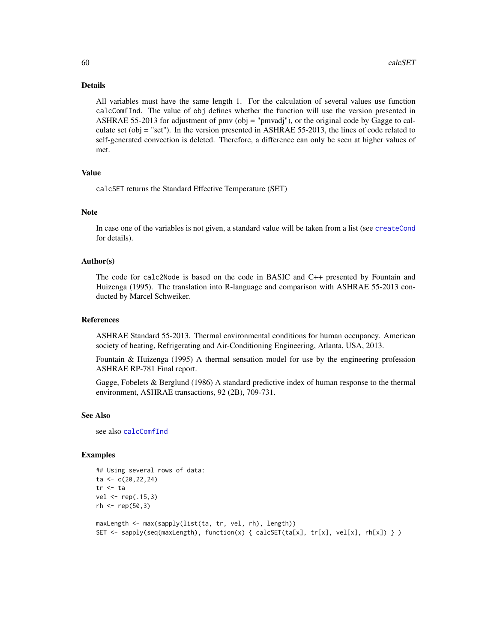#### Details

All variables must have the same length 1. For the calculation of several values use function calcComfInd. The value of obj defines whether the function will use the version presented in ASHRAE 55-2013 for adjustment of pmv (obj = "pmvadj"), or the original code by Gagge to calculate set (obj = "set"). In the version presented in ASHRAE 55-2013, the lines of code related to self-generated convection is deleted. Therefore, a difference can only be seen at higher values of met.

### Value

calcSET returns the Standard Effective Temperature (SET)

#### Note

In case one of the variables is not given, a standard value will be taken from a list (see [createCond](#page-74-0) for details).

### Author(s)

The code for calc2Node is based on the code in BASIC and C++ presented by Fountain and Huizenga (1995). The translation into R-language and comparison with ASHRAE 55-2013 conducted by Marcel Schweiker.

### References

ASHRAE Standard 55-2013. Thermal environmental conditions for human occupancy. American society of heating, Refrigerating and Air-Conditioning Engineering, Atlanta, USA, 2013.

Fountain & Huizenga (1995) A thermal sensation model for use by the engineering profession ASHRAE RP-781 Final report.

Gagge, Fobelets & Berglund (1986) A standard predictive index of human response to the thermal environment, ASHRAE transactions, 92 (2B), 709-731.

### See Also

see also [calcComfInd](#page-16-0)

# Examples

```
## Using several rows of data:
ta \leftarrow c(20, 22, 24)tr <- ta
vel < -rep(.15,3)rh < - rep(50, 3)maxLength <- max(sapply(list(ta, tr, vel, rh), length))
```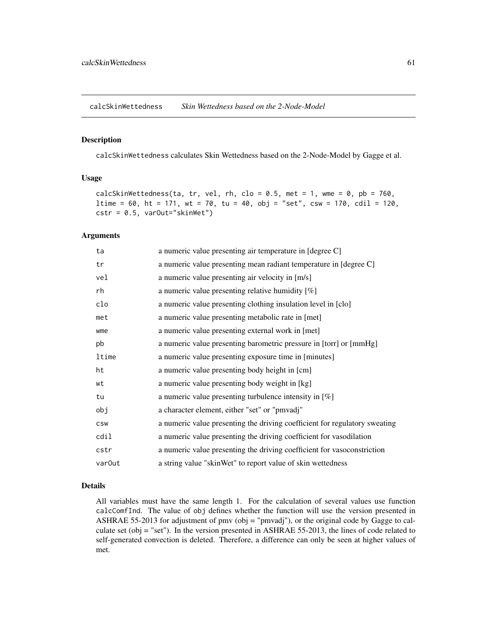calcSkinWettedness *Skin Wettedness based on the 2-Node-Model*

### Description

calcSkinWettedness calculates Skin Wettedness based on the 2-Node-Model by Gagge et al.

## Usage

```
calcSkinWettedness(ta, tr, vel, rh, clo = 0.5, met = 1, wme = 0, pb = 760,
ltime = 60, ht = 171, wt = 70, tu = 40, obj = "set", csw = 170, cdil = 120,
cstr = 0.5, varOut="skinWet")
```
### Arguments

| ta                 | a numeric value presenting air temperature in [degree C]                   |
|--------------------|----------------------------------------------------------------------------|
| tr                 | a numeric value presenting mean radiant temperature in [degree C]          |
| vel                | a numeric value presenting air velocity in [m/s]                           |
| rh                 | a numeric value presenting relative humidity $[\%]$                        |
| clo                | a numeric value presenting clothing insulation level in [clo]              |
| met                | a numeric value presenting metabolic rate in [met]                         |
| wme                | a numeric value presenting external work in [met]                          |
| pb                 | a numeric value presenting barometric pressure in [torr] or [mmHg]         |
| ltime              | a numeric value presenting exposure time in [minutes]                      |
| ht                 | a numeric value presenting body height in [cm]                             |
| wt                 | a numeric value presenting body weight in [kg]                             |
| tu                 | a numeric value presenting turbulence intensity in $[\%]$                  |
| obj                | a character element, either "set" or "pmvadj"                              |
| <b>CSW</b>         | a numeric value presenting the driving coefficient for regulatory sweating |
| cdil               | a numeric value presenting the driving coefficient for vasodilation        |
| cstr               | a numeric value presenting the driving coefficient for vasoconstriction    |
| var <sub>Out</sub> | a string value "skinWet" to report value of skin wettedness                |

### Details

All variables must have the same length 1. For the calculation of several values use function calcComfInd. The value of obj defines whether the function will use the version presented in ASHRAE 55-2013 for adjustment of pmv (obj = "pmvadj"), or the original code by Gagge to calculate set (obj = "set"). In the version presented in ASHRAE 55-2013, the lines of code related to self-generated convection is deleted. Therefore, a difference can only be seen at higher values of met.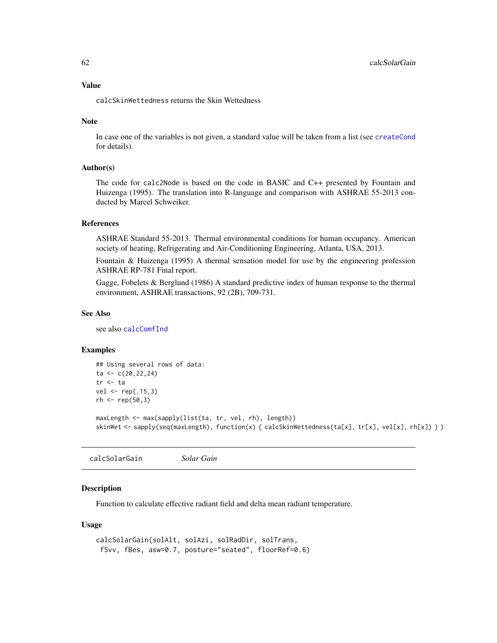calcSkinWettedness returns the Skin Wettedness

#### Note

In case one of the variables is not given, a standard value will be taken from a list (see [createCond](#page-74-0) for details).

### Author(s)

The code for calc2Node is based on the code in BASIC and C++ presented by Fountain and Huizenga (1995). The translation into R-language and comparison with ASHRAE 55-2013 conducted by Marcel Schweiker.

## References

ASHRAE Standard 55-2013. Thermal environmental conditions for human occupancy. American society of heating, Refrigerating and Air-Conditioning Engineering, Atlanta, USA, 2013.

Fountain & Huizenga (1995) A thermal sensation model for use by the engineering profession ASHRAE RP-781 Final report.

Gagge, Fobelets & Berglund (1986) A standard predictive index of human response to the thermal environment, ASHRAE transactions, 92 (2B), 709-731.

## See Also

see also [calcComfInd](#page-16-0)

### Examples

```
## Using several rows of data:
ta < -c(20, 22, 24)tr <- ta
vel <- rep(.15,3)
rh < - rep(50, 3)
```

```
maxLength <- max(sapply(list(ta, tr, vel, rh), length))
skinWet <- sapply(seq(maxLength), function(x) { calcSkinWettedness(ta[x], tr[x], vel[x], rh[x]) } )
```
calcSolarGain *Solar Gain*

#### Description

Function to calculate effective radiant field and delta mean radiant temperature.

#### Usage

```
calcSolarGain(solAlt, solAzi, solRadDir, solTrans,
fSvv, fBes, asw=0.7, posture="seated", floorRef=0.6)
```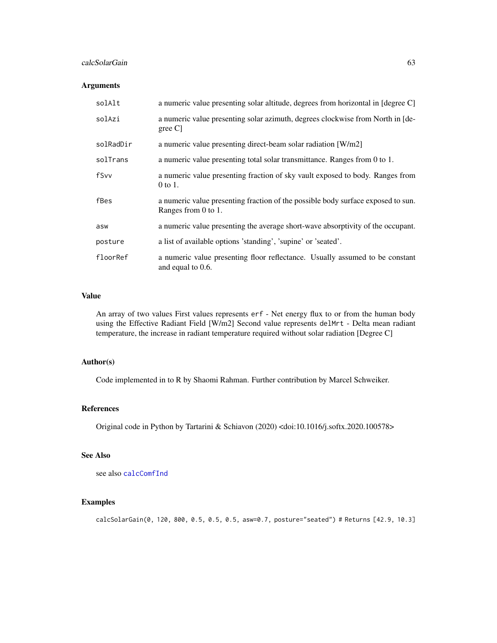### calcSolarGain 63

## Arguments

| solAlt    | a numeric value presenting solar altitude, degrees from horizontal in [degree C]                        |
|-----------|---------------------------------------------------------------------------------------------------------|
| solAzi    | a numeric value presenting solar azimuth, degrees clockwise from North in [de-<br>$\beta$ gree C        |
| solRadDir | a numeric value presenting direct-beam solar radiation [W/m2]                                           |
| solTrans  | a numeric value presenting total solar transmittance. Ranges from 0 to 1.                               |
| fSvv      | a numeric value presenting fraction of sky vault exposed to body. Ranges from<br>0 to 1.                |
| fBes      | a numeric value presenting fraction of the possible body surface exposed to sun.<br>Ranges from 0 to 1. |
| asw       | a numeric value presenting the average short-wave absorptivity of the occupant.                         |
| posture   | a list of available options 'standing', 'supine' or 'seated'.                                           |
| floorRef  | a numeric value presenting floor reflectance. Usually assumed to be constant<br>and equal to 0.6.       |

## Value

An array of two values First values represents erf - Net energy flux to or from the human body using the Effective Radiant Field [W/m2] Second value represents delMrt - Delta mean radiant temperature, the increase in radiant temperature required without solar radiation [Degree C]

## Author(s)

Code implemented in to R by Shaomi Rahman. Further contribution by Marcel Schweiker.

#### References

Original code in Python by Tartarini & Schiavon (2020) <doi:10.1016/j.softx.2020.100578>

# See Also

see also [calcComfInd](#page-16-0)

# Examples

calcSolarGain(0, 120, 800, 0.5, 0.5, 0.5, asw=0.7, posture="seated") # Returns [42.9, 10.3]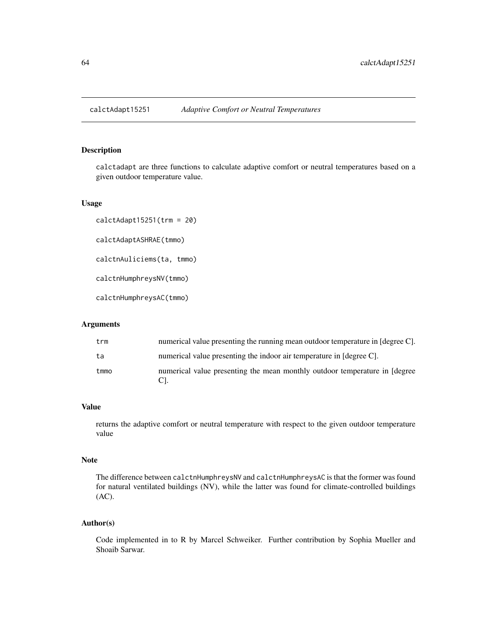#### Description

calctadapt are three functions to calculate adaptive comfort or neutral temperatures based on a given outdoor temperature value.

#### Usage

calctAdapt15251(trm = 20) calctAdaptASHRAE(tmmo) calctnAuliciems(ta, tmmo) calctnHumphreysNV(tmmo) calctnHumphreysAC(tmmo)

## Arguments

| trm  | numerical value presenting the running mean outdoor temperature in [degree C]. |
|------|--------------------------------------------------------------------------------|
| ta   | numerical value presenting the indoor air temperature in [degree C].           |
| tmmo | numerical value presenting the mean monthly outdoor temperature in [degree]    |

#### Value

returns the adaptive comfort or neutral temperature with respect to the given outdoor temperature value

# Note

The difference between calctnHumphreysNV and calctnHumphreysAC is that the former was found for natural ventilated buildings (NV), while the latter was found for climate-controlled buildings (AC).

### Author(s)

Code implemented in to R by Marcel Schweiker. Further contribution by Sophia Mueller and Shoaib Sarwar.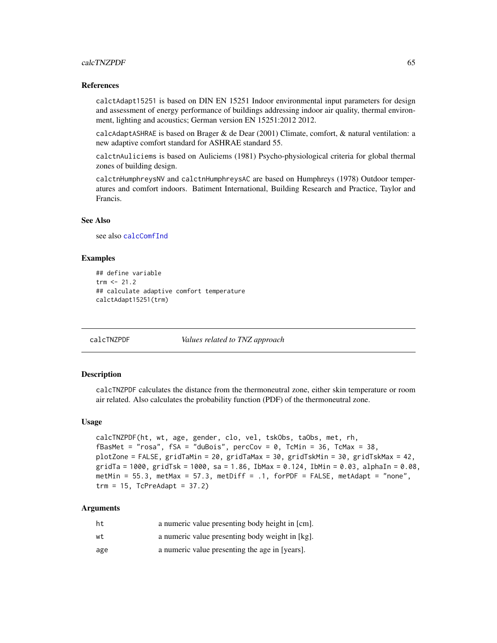#### calcTNZPDF 65

#### References

calctAdapt15251 is based on DIN EN 15251 Indoor environmental input parameters for design and assessment of energy performance of buildings addressing indoor air quality, thermal environment, lighting and acoustics; German version EN 15251:2012 2012.

calcAdaptASHRAE is based on Brager & de Dear (2001) Climate, comfort, & natural ventilation: a new adaptive comfort standard for ASHRAE standard 55.

calctnAuliciems is based on Auliciems (1981) Psycho-physiological criteria for global thermal zones of building design.

calctnHumphreysNV and calctnHumphreysAC are based on Humphreys (1978) Outdoor temperatures and comfort indoors. Batiment International, Building Research and Practice, Taylor and Francis.

#### See Also

see also [calcComfInd](#page-16-0)

#### Examples

```
## define variable
trm < -21.2## calculate adaptive comfort temperature
calctAdapt15251(trm)
```
calcTNZPDF *Values related to TNZ approach*

#### Description

calcTNZPDF calculates the distance from the thermoneutral zone, either skin temperature or room air related. Also calculates the probability function (PDF) of the thermoneutral zone.

#### Usage

```
calcTNZPDF(ht, wt, age, gender, clo, vel, tskObs, taObs, met, rh,
fBasMet = "rosa", fSA = "dubois", percCov = 0, TcMin = 36, TcMax = 38,plotZone = FALSE, gridTaMin = 20, gridTaMax = 30, gridTskMin = 30, gridTskMax = 42,
gridTa = 1000, gridTsk = 1000, sa = 1.86, IbMax = 0.124, IbMin = 0.03, alphaIn = 0.08,
metMin = 55.3, metMax = 57.3, metDiff = .1, forPDF = FALSE, metAdapt = "none",
trm = 15, TcPreAdapt = 37.2)
```
## Arguments

| ht  | a numeric value presenting body height in [cm]. |
|-----|-------------------------------------------------|
| wt  | a numeric value presenting body weight in [kg]. |
| age | a numeric value presenting the age in [years].  |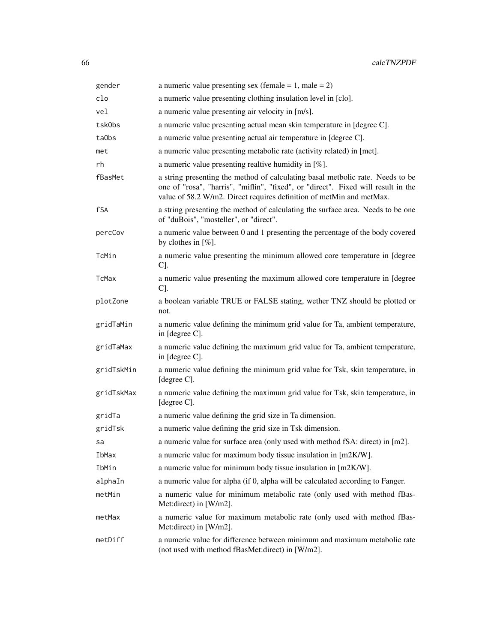| gender     | a numeric value presenting sex (female = 1, male = 2)                                                                                                                                                                                       |
|------------|---------------------------------------------------------------------------------------------------------------------------------------------------------------------------------------------------------------------------------------------|
| clo        | a numeric value presenting clothing insulation level in [clo].                                                                                                                                                                              |
| vel        | a numeric value presenting air velocity in [m/s].                                                                                                                                                                                           |
| tskObs     | a numeric value presenting actual mean skin temperature in [degree C].                                                                                                                                                                      |
| ta0bs      | a numeric value presenting actual air temperature in [degree C].                                                                                                                                                                            |
| met        | a numeric value presenting metabolic rate (activity related) in [met].                                                                                                                                                                      |
| rh         | a numeric value presenting realtive humidity in $[\%]$ .                                                                                                                                                                                    |
| fBasMet    | a string presenting the method of calculating basal metbolic rate. Needs to be<br>one of "rosa", "harris", "miflin", "fixed", or "direct". Fixed will result in the<br>value of 58.2 W/m2. Direct requires definition of metMin and metMax. |
| fSA        | a string presenting the method of calculating the surface area. Needs to be one<br>of "duBois", "mosteller", or "direct".                                                                                                                   |
| percCov    | a numeric value between 0 and 1 presenting the percentage of the body covered<br>by clothes in $[\%]$ .                                                                                                                                     |
| TcMin      | a numeric value presenting the minimum allowed core temperature in [degree]<br>C.                                                                                                                                                           |
| TcMax      | a numeric value presenting the maximum allowed core temperature in [degree<br>C].                                                                                                                                                           |
| plotZone   | a boolean variable TRUE or FALSE stating, wether TNZ should be plotted or<br>not.                                                                                                                                                           |
| gridTaMin  | a numeric value defining the minimum grid value for Ta, ambient temperature,<br>in [degree C].                                                                                                                                              |
| gridTaMax  | a numeric value defining the maximum grid value for Ta, ambient temperature,<br>in [degree C].                                                                                                                                              |
| gridTskMin | a numeric value defining the minimum grid value for Tsk, skin temperature, in<br>[degree C].                                                                                                                                                |
| gridTskMax | a numeric value defining the maximum grid value for Tsk, skin temperature, in<br>[degree C].                                                                                                                                                |
| gridTa     | a numeric value defining the grid size in Ta dimension.                                                                                                                                                                                     |
| gridTsk    | a numeric value defining the grid size in Tsk dimension.                                                                                                                                                                                    |
| sa         | a numeric value for surface area (only used with method fSA: direct) in [m2].                                                                                                                                                               |
| IbMax      | a numeric value for maximum body tissue insulation in [m2K/W].                                                                                                                                                                              |
| IbMin      | a numeric value for minimum body tissue insulation in [m2K/W].                                                                                                                                                                              |
| alphaIn    | a numeric value for alpha (if 0, alpha will be calculated according to Fanger.                                                                                                                                                              |
| metMin     | a numeric value for minimum metabolic rate (only used with method fBas-<br>Met:direct) in [W/m2].                                                                                                                                           |
| metMax     | a numeric value for maximum metabolic rate (only used with method fBas-<br>Met:direct) in [W/m2].                                                                                                                                           |
| metDiff    | a numeric value for difference between minimum and maximum metabolic rate<br>(not used with method fBasMet:direct) in [W/m2].                                                                                                               |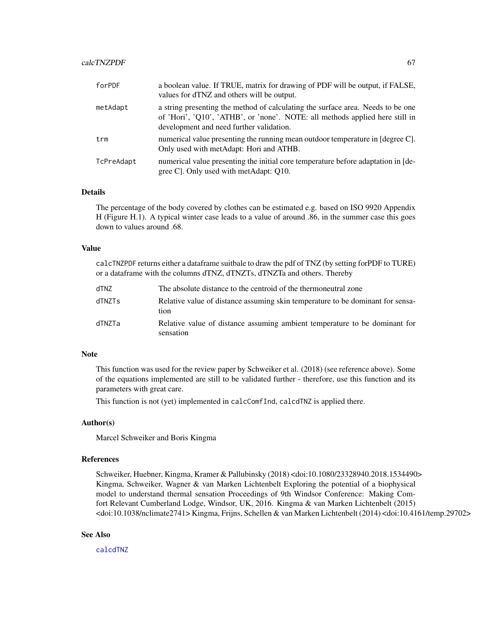#### calcTNZPDF 67

| forPDF     | a boolean value. If TRUE, matrix for drawing of PDF will be output, if FALSE,<br>values for dTNZ and others will be output.                                                                                 |
|------------|-------------------------------------------------------------------------------------------------------------------------------------------------------------------------------------------------------------|
| metAdapt   | a string presenting the method of calculating the surface area. Needs to be one<br>of 'Hori', 'Q10', 'ATHB', or 'none'. NOTE: all methods applied here still in<br>development and need further validation. |
| trm        | numerical value presenting the running mean outdoor temperature in [degree C].<br>Only used with metAdapt: Hori and ATHB.                                                                                   |
| TcPreAdapt | numerical value presenting the initial core temperature before adaptation in [de-<br>gree C. Only used with metAdapt: O10.                                                                                  |

## Details

The percentage of the body covered by clothes can be estimated e.g. based on ISO 9920 Appendix H (Figure H.1). A typical winter case leads to a value of around .86, in the summer case this goes down to values around .68.

#### Value

calcTNZPDF returns either a dataframe suitbale to draw the pdf of TNZ (by setting forPDF to TURE) or a dataframe with the columns dTNZ, dTNZTs, dTNZTa and others. Thereby

| dTNZ   | The absolute distance to the centroid of the thermoneutral zone                         |
|--------|-----------------------------------------------------------------------------------------|
| dTNZTs | Relative value of distance assuming skin temperature to be dominant for sensa-<br>tion  |
| dTNZTa | Relative value of distance assuming ambient temperature to be dominant for<br>sensation |

### Note

This function was used for the review paper by Schweiker et al. (2018) (see reference above). Some of the equations implemented are still to be validated further - therefore, use this function and its parameters with great care.

This function is not (yet) implemented in calcComfInd, calcdTNZ is applied there.

#### Author(s)

Marcel Schweiker and Boris Kingma

## References

Schweiker, Huebner, Kingma, Kramer & Pallubinsky (2018) <doi:10.1080/23328940.2018.1534490> Kingma, Schweiker, Wagner & van Marken Lichtenbelt Exploring the potential of a biophysical model to understand thermal sensation Proceedings of 9th Windsor Conference: Making Comfort Relevant Cumberland Lodge, Windsor, UK, 2016. Kingma & van Marken Lichtenbelt (2015) <doi:10.1038/nclimate2741> Kingma, Frijns, Schellen & van Marken Lichtenbelt (2014) <doi:10.4161/temp.29702>

### See Also

[calcdTNZ](#page-20-0)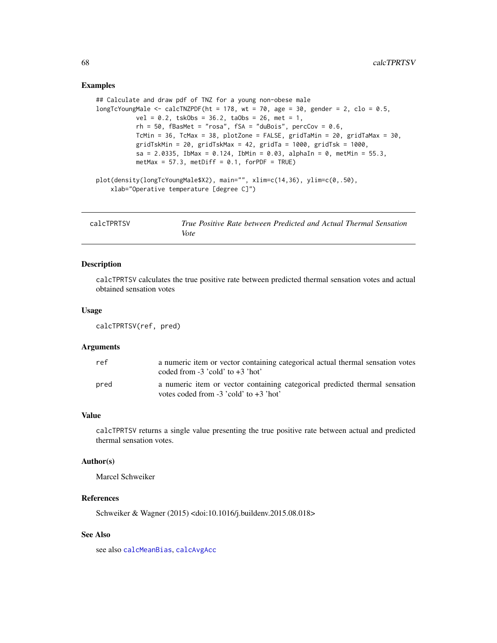### Examples

```
## Calculate and draw pdf of TNZ for a young non-obese male
longTcYoungMale \leq calcTNZPDF(ht = 178, wt = 70, age = 30, gender = 2, clo = 0.5,
          vel = 0.2, tskObs = 36.2, taObs = 26, met = 1,
           rh = 50, fBasMet = "rosa", fSA = "duBois", percCov = 0.6,
           TcMin = 36, TcMax = 38, plotZone = FALSE, gridTaMin = 20, gridTaMax = 30,
           gridTskMin = 20, gridTskMax = 42, gridTa = 1000, gridTsk = 1000,
           sa = 2.0335, IbMax = 0.124, IbMin = 0.03, alphaIn = 0, metMin = 55.3,
           metMax = 57.3, metDiff = 0.1, forPDF = TRUE)
plot(density(longTcYoungMale$X2), main="", xlim=c(14,36), ylim=c(0,.50),
    xlab="Operative temperature [degree C]")
```

| calcTPRTSV | True Positive Rate between Predicted and Actual Thermal Sensation |
|------------|-------------------------------------------------------------------|
|            | Vote                                                              |

### Description

calcTPRTSV calculates the true positive rate between predicted thermal sensation votes and actual obtained sensation votes

#### Usage

```
calcTPRTSV(ref, pred)
```
#### Arguments

| ref  | a numeric item or vector containing categorical actual thermal sensation votes<br>coded from $-3$ 'cold' to $+3$ 'hot'    |
|------|---------------------------------------------------------------------------------------------------------------------------|
| pred | a numeric item or vector containing categorical predicted thermal sensation<br>votes coded from $-3$ 'cold' to $+3$ 'hot' |

### Value

calcTPRTSV returns a single value presenting the true positive rate between actual and predicted thermal sensation votes.

### Author(s)

Marcel Schweiker

## References

Schweiker & Wagner (2015) <doi:10.1016/j.buildenv.2015.08.018>

# See Also

see also [calcMeanBias](#page-13-0), [calcAvgAcc](#page-12-0)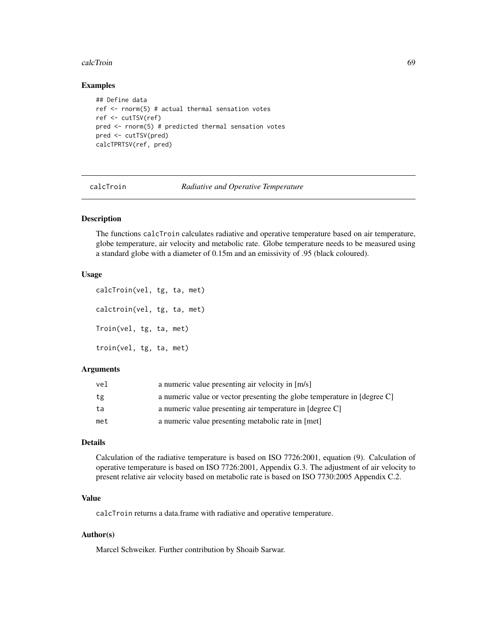#### calcTroin 69

#### Examples

```
## Define data
ref <- rnorm(5) # actual thermal sensation votes
ref <- cutTSV(ref)
pred <- rnorm(5) # predicted thermal sensation votes
pred <- cutTSV(pred)
calcTPRTSV(ref, pred)
```
calcTroin *Radiative and Operative Temperature*

# Description

The functions calcTroin calculates radiative and operative temperature based on air temperature, globe temperature, air velocity and metabolic rate. Globe temperature needs to be measured using a standard globe with a diameter of 0.15m and an emissivity of .95 (black coloured).

### Usage

```
calcTroin(vel, tg, ta, met)
calctroin(vel, tg, ta, met)
Troin(vel, tg, ta, met)
troin(vel, tg, ta, met)
```
#### Arguments

| vel | a numeric value presenting air velocity in [m/s]                         |
|-----|--------------------------------------------------------------------------|
| tg  | a numeric value or vector presenting the globe temperature in [degree C] |
| ta  | a numeric value presenting air temperature in [degree C]                 |
| met | a numeric value presenting metabolic rate in [met]                       |

## Details

Calculation of the radiative temperature is based on ISO 7726:2001, equation (9). Calculation of operative temperature is based on ISO 7726:2001, Appendix G.3. The adjustment of air velocity to present relative air velocity based on metabolic rate is based on ISO 7730:2005 Appendix C.2.

# Value

calcTroin returns a data.frame with radiative and operative temperature.

## Author(s)

Marcel Schweiker. Further contribution by Shoaib Sarwar.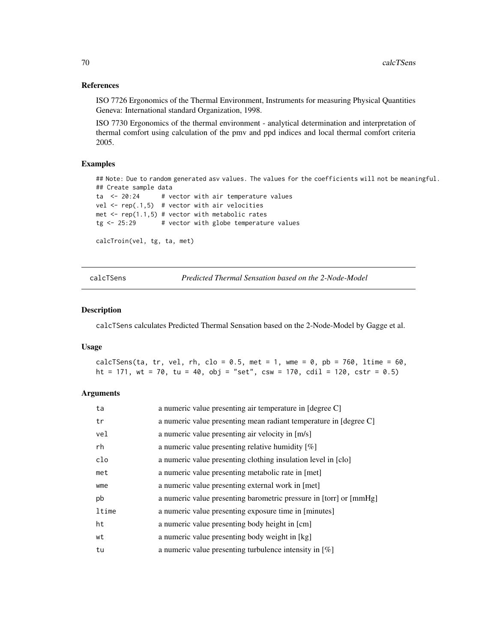### References

ISO 7726 Ergonomics of the Thermal Environment, Instruments for measuring Physical Quantities Geneva: International standard Organization, 1998.

ISO 7730 Ergonomics of the thermal environment - analytical determination and interpretation of thermal comfort using calculation of the pmv and ppd indices and local thermal comfort criteria 2005.

## Examples

```
## Note: Due to random generated asv values. The values for the coefficients will not be meaningful.
## Create sample data
ta \leq 20:24 # vector with air temperature values
vel \leq rep(.1,5) # vector with air velocities
met \leq rep(1.1,5) # vector with metabolic rates
tg < -25:29 # vector with globe temperature values
calcTroin(vel, tg, ta, met)
```
calcTSens *Predicted Thermal Sensation based on the 2-Node-Model*

#### Description

calcTSens calculates Predicted Thermal Sensation based on the 2-Node-Model by Gagge et al.

#### Usage

calcTSens(ta, tr, vel, rh, clo =  $0.5$ , met = 1, wme =  $0$ , pb = 760, ltime =  $60$ , ht = 171, wt = 70, tu = 40, obj = "set", csw = 170, cdil = 120, cstr = 0.5)

## Arguments

| ta    | a numeric value presenting air temperature in [degree C]           |
|-------|--------------------------------------------------------------------|
| tr    | a numeric value presenting mean radiant temperature in [degree C]  |
| vel   | a numeric value presenting air velocity in [m/s]                   |
| rh    | a numeric value presenting relative humidity $[\%]$                |
| clo   | a numeric value presenting clothing insulation level in [clo]      |
| met   | a numeric value presenting metabolic rate in [met]                 |
| wme   | a numeric value presenting external work in [met]                  |
| pb    | a numeric value presenting barometric pressure in [torr] or [mmHg] |
| ltime | a numeric value presenting exposure time in [minutes]              |
| ht    | a numeric value presenting body height in [cm]                     |
| wt    | a numeric value presenting body weight in [kg]                     |
| tu    | a numeric value presenting turbulence intensity in $[\%]$          |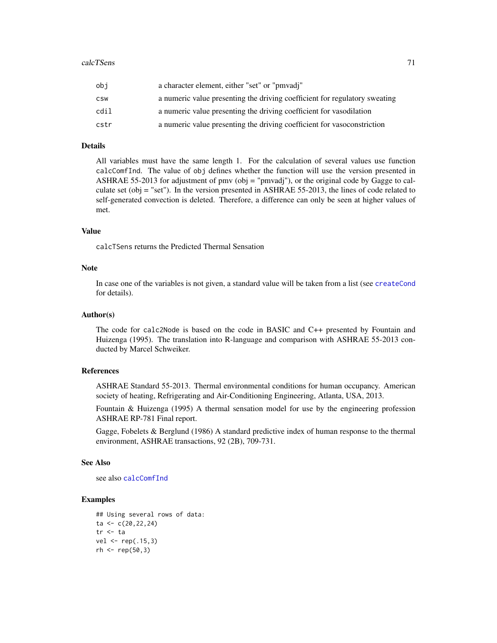| obi  | a character element, either "set" or "pmyadi"                              |
|------|----------------------------------------------------------------------------|
| CSW  | a numeric value presenting the driving coefficient for regulatory sweating |
| cdil | a numeric value presenting the driving coefficient for vasodilation        |
| cstr | a numeric value presenting the driving coefficient for vasoconstriction    |

### Details

All variables must have the same length 1. For the calculation of several values use function calcComfInd. The value of obj defines whether the function will use the version presented in ASHRAE 55-2013 for adjustment of pmv (obj = "pmvadj"), or the original code by Gagge to calculate set (obj = "set"). In the version presented in ASHRAE 55-2013, the lines of code related to self-generated convection is deleted. Therefore, a difference can only be seen at higher values of met.

### Value

calcTSens returns the Predicted Thermal Sensation

#### Note

In case one of the variables is not given, a standard value will be taken from a list (see [createCond](#page-74-0) for details).

#### Author(s)

The code for calc2Node is based on the code in BASIC and C++ presented by Fountain and Huizenga (1995). The translation into R-language and comparison with ASHRAE 55-2013 conducted by Marcel Schweiker.

### References

ASHRAE Standard 55-2013. Thermal environmental conditions for human occupancy. American society of heating, Refrigerating and Air-Conditioning Engineering, Atlanta, USA, 2013.

Fountain & Huizenga (1995) A thermal sensation model for use by the engineering profession ASHRAE RP-781 Final report.

Gagge, Fobelets & Berglund (1986) A standard predictive index of human response to the thermal environment, ASHRAE transactions, 92 (2B), 709-731.

#### See Also

see also [calcComfInd](#page-16-0)

## Examples

```
## Using several rows of data:
ta < -c(20, 22, 24)tr <- ta
vel <- rep(.15,3)
rh < - rep(50, 3)
```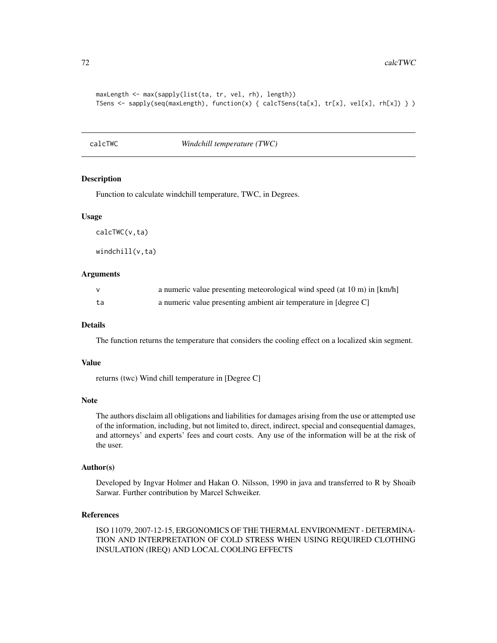```
maxLength <- max(sapply(list(ta, tr, vel, rh), length))
TSens <- sapply(seq(maxLength), function(x) { calcTSens(ta[x], tr[x], vel[x], rh[x]) } )
```
## calcTWC *Windchill temperature (TWC)*

## Description

Function to calculate windchill temperature, TWC, in Degrees.

#### Usage

calcTWC(v,ta)

windchill(v,ta)

#### Arguments

| $\mathsf{v}$ | a numeric value presenting meteorological wind speed (at 10 m) in [km/h] |
|--------------|--------------------------------------------------------------------------|
| ta.          | a numeric value presenting ambient air temperature in [degree C]         |

#### Details

The function returns the temperature that considers the cooling effect on a localized skin segment.

### Value

returns (twc) Wind chill temperature in [Degree C]

#### Note

The authors disclaim all obligations and liabilities for damages arising from the use or attempted use of the information, including, but not limited to, direct, indirect, special and consequential damages, and attorneys' and experts' fees and court costs. Any use of the information will be at the risk of the user.

## Author(s)

Developed by Ingvar Holmer and Hakan O. Nilsson, 1990 in java and transferred to R by Shoaib Sarwar. Further contribution by Marcel Schweiker.

## References

ISO 11079, 2007-12-15, ERGONOMICS OF THE THERMAL ENVIRONMENT - DETERMINA-TION AND INTERPRETATION OF COLD STRESS WHEN USING REQUIRED CLOTHING INSULATION (IREQ) AND LOCAL COOLING EFFECTS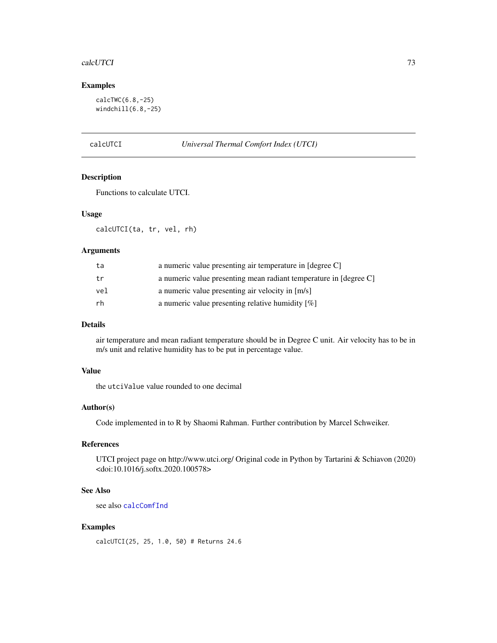#### <span id="page-72-1"></span>calcUTCI 73

# Examples

calcTWC(6.8,-25) windchill(6.8,-25)

<span id="page-72-0"></span>calcUTCI *Universal Thermal Comfort Index (UTCI)*

#### Description

Functions to calculate UTCI.

# Usage

calcUTCI(ta, tr, vel, rh)

# Arguments

| ta  | a numeric value presenting air temperature in [degree C]          |
|-----|-------------------------------------------------------------------|
| tr  | a numeric value presenting mean radiant temperature in [degree C] |
| vel | a numeric value presenting air velocity in [m/s]                  |
| rh  | a numeric value presenting relative humidity $[\%]$               |

# Details

air temperature and mean radiant temperature should be in Degree C unit. Air velocity has to be in m/s unit and relative humidity has to be put in percentage value.

# Value

the utciValue value rounded to one decimal

# Author(s)

Code implemented in to R by Shaomi Rahman. Further contribution by Marcel Schweiker.

# References

UTCI project page on http://www.utci.org/ Original code in Python by Tartarini & Schiavon (2020) <doi:10.1016/j.softx.2020.100578>

#### See Also

see also [calcComfInd](#page-16-0)

# Examples

calcUTCI(25, 25, 1.0, 50) # Returns 24.6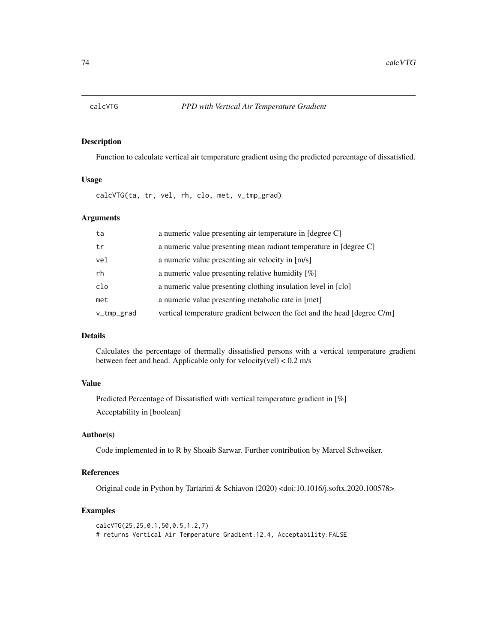<span id="page-73-0"></span>

Function to calculate vertical air temperature gradient using the predicted percentage of dissatisfied.

# Usage

calcVTG(ta, tr, vel, rh, clo, met, v\_tmp\_grad)

#### Arguments

| ta         | a numeric value presenting air temperature in [degree C]                 |
|------------|--------------------------------------------------------------------------|
| tr         | a numeric value presenting mean radiant temperature in [degree C]        |
| vel        | a numeric value presenting air velocity in [m/s]                         |
| rh         | a numeric value presenting relative humidity $[\%]$                      |
| clo        | a numeric value presenting clothing insulation level in [clo]            |
| met        | a numeric value presenting metabolic rate in [met]                       |
| v_tmp_grad | vertical temperature gradient between the feet and the head [degree C/m] |
|            |                                                                          |

# Details

Calculates the percentage of thermally dissatisfied persons with a vertical temperature gradient between feet and head. Applicable only for velocity(vel) < 0.2 m/s

# Value

Predicted Percentage of Dissatisfied with vertical temperature gradient in [%] Acceptability in [boolean]

#### Author(s)

Code implemented in to R by Shoaib Sarwar. Further contribution by Marcel Schweiker.

# References

Original code in Python by Tartarini & Schiavon (2020) <doi:10.1016/j.softx.2020.100578>

#### Examples

```
calcVTG(25,25,0.1,50,0.5,1.2,7)
# returns Vertical Air Temperature Gradient:12.4, Acceptability:FALSE
```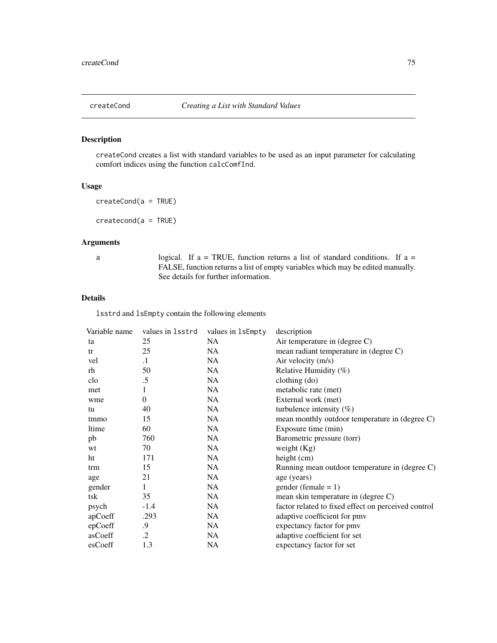<span id="page-74-0"></span>createCond creates a list with standard variables to be used as an input parameter for calculating comfort indices using the function calcComfInd.

#### Usage

createCond(a = TRUE)

createcond(a = TRUE)

# Arguments

a logical. If a = TRUE, function returns a list of standard conditions. If a = FALSE, function returns a list of empty variables which may be edited manually. See details for further information.

### Details

lsstrd and lsEmpty contain the following elements

| Variable name | values in 1sstrd | values in 1sEmpty | description                                         |
|---------------|------------------|-------------------|-----------------------------------------------------|
| ta            | 25               | NA.               | Air temperature in $(\text{degree } C)$             |
| tr            | 25               | NA                | mean radiant temperature in (degree C)              |
| vel           | $\cdot$ 1        | NA                | Air velocity (m/s)                                  |
| rh            | 50               | NA                | Relative Humidity (%)                               |
| clo           | $.5\,$           | NA.               | clothing $(do)$                                     |
| met           | 1                | NA                | metabolic rate (met)                                |
| wme           | $\overline{0}$   | NA                | External work (met)                                 |
| tu            | 40               | NA.               | turbulence intensity $(\%)$                         |
| tmmo          | 15               | NA.               | mean monthly outdoor temperature in (degree C)      |
| ltime         | 60               | NA                | Exposure time (min)                                 |
| pb            | 760              | NA.               | Barometric pressure (torr)                          |
| wt            | 70               | NA                | weight $(Kg)$                                       |
| ht            | 171              | NA.               | height $(cm)$                                       |
| trm           | 15               | NA.               | Running mean outdoor temperature in (degree C)      |
| age           | 21               | NA.               | age (years)                                         |
| gender        | 1                | NA.               | $gender (female = 1)$                               |
| tsk           | 35               | NA.               | mean skin temperature in (degree C)                 |
| psych         | $-1.4$           | NA                | factor related to fixed effect on perceived control |
| apCoeff       | .293             | NA.               | adaptive coefficient for pmy                        |
| epCoeff       | .9               | NA                | expectancy factor for pmv                           |
| asCoeff       | $\cdot$          | NA.               | adaptive coefficient for set                        |
| esCoeff       | 1.3              | NA                | expectancy factor for set                           |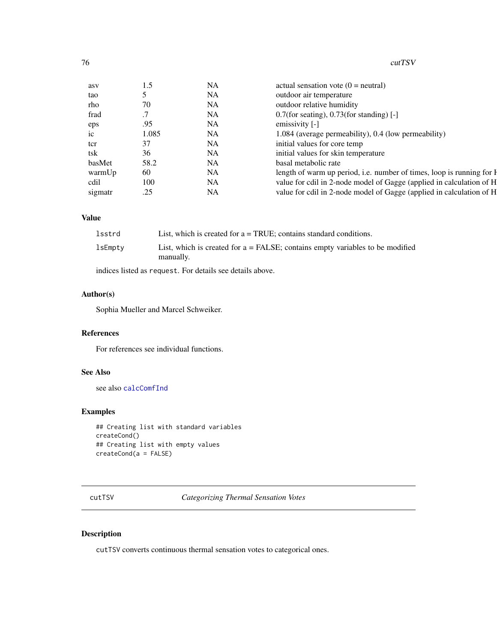<span id="page-75-0"></span>

| asv     | 1.5   | NA        | actual sensation vote $(0 =$ neutral)                                 |
|---------|-------|-----------|-----------------------------------------------------------------------|
| tao     |       | NA        | outdoor air temperature                                               |
| rho     | 70    | NA        | outdoor relative humidity                                             |
| frad    |       | NA        | $0.7$ (for seating), 0.73(for standing) [-]                           |
| eps     | .95   | NA        | emissivity [-]                                                        |
| ic      | 1.085 | NA        | 1.084 (average permeability), 0.4 (low permeability)                  |
| tcr     | 37    | NA        | initial values for core temp                                          |
| tsk     | 36    | NA        | initial values for skin temperature                                   |
| basMet  | 58.2  | NA        | basal metabolic rate                                                  |
| warmUp  | 60    | NA        | length of warm up period, i.e. number of times, loop is running for I |
| cdil    | 100   | <b>NA</b> | value for cdil in 2-node model of Gagge (applied in calculation of H  |
| sigmatr | .25   | NA        | value for cdil in 2-node model of Gagge (applied in calculation of H  |

# Value

| lsstrd  | List, which is created for $a = TRUE$ ; contains standard conditions.                         |
|---------|-----------------------------------------------------------------------------------------------|
| lsEmpty | List, which is created for $a = FALSE$ ; contains empty variables to be modified<br>manually. |

indices listed as request. For details see details above.

# Author(s)

Sophia Mueller and Marcel Schweiker.

# References

For references see individual functions.

# See Also

see also [calcComfInd](#page-16-0)

# Examples

```
## Creating list with standard variables
createCond()
## Creating list with empty values
createCond(a = FALSE)
```
cutTSV *Categorizing Thermal Sensation Votes*

# Description

cutTSV converts continuous thermal sensation votes to categorical ones.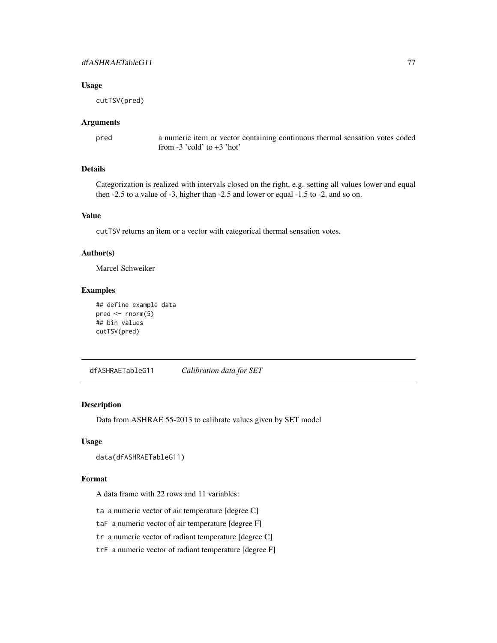#### <span id="page-76-0"></span>Usage

cutTSV(pred)

#### Arguments

pred a numeric item or vector containing continuous thermal sensation votes coded from -3 'cold' to +3 'hot'

# Details

Categorization is realized with intervals closed on the right, e.g. setting all values lower and equal then -2.5 to a value of -3, higher than -2.5 and lower or equal -1.5 to -2, and so on.

#### Value

cutTSV returns an item or a vector with categorical thermal sensation votes.

#### Author(s)

Marcel Schweiker

# Examples

```
## define example data
pred \leq rnorm(5)
## bin values
cutTSV(pred)
```
dfASHRAETableG11 *Calibration data for SET*

#### Description

Data from ASHRAE 55-2013 to calibrate values given by SET model

#### Usage

```
data(dfASHRAETableG11)
```
# Format

A data frame with 22 rows and 11 variables:

ta a numeric vector of air temperature [degree C]

taF a numeric vector of air temperature [degree F]

tr a numeric vector of radiant temperature [degree C]

trF a numeric vector of radiant temperature [degree F]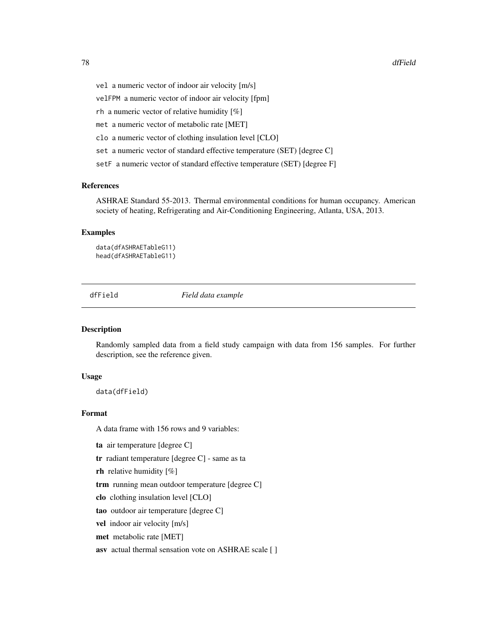- <span id="page-77-0"></span>vel a numeric vector of indoor air velocity [m/s]
- velFPM a numeric vector of indoor air velocity [fpm]
- rh a numeric vector of relative humidity [%]
- met a numeric vector of metabolic rate [MET]
- clo a numeric vector of clothing insulation level [CLO]
- set a numeric vector of standard effective temperature (SET) [degree C]
- setF a numeric vector of standard effective temperature (SET) [degree F]

#### References

ASHRAE Standard 55-2013. Thermal environmental conditions for human occupancy. American society of heating, Refrigerating and Air-Conditioning Engineering, Atlanta, USA, 2013.

# Examples

data(dfASHRAETableG11) head(dfASHRAETableG11)

dfField *Field data example*

#### Description

Randomly sampled data from a field study campaign with data from 156 samples. For further description, see the reference given.

#### Usage

data(dfField)

#### Format

A data frame with 156 rows and 9 variables:

ta air temperature [degree C]

tr radiant temperature [degree C] - same as ta

**rh** relative humidity  $[\%]$ 

trm running mean outdoor temperature [degree C]

clo clothing insulation level [CLO]

tao outdoor air temperature [degree C]

vel indoor air velocity [m/s]

met metabolic rate [MET]

asv actual thermal sensation vote on ASHRAE scale [ ]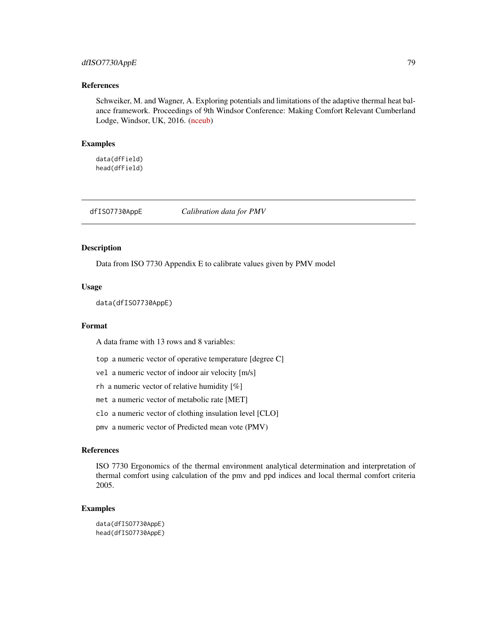# <span id="page-78-0"></span>dfISO7730AppE 79

#### References

Schweiker, M. and Wagner, A. Exploring potentials and limitations of the adaptive thermal heat balance framework. Proceedings of 9th Windsor Conference: Making Comfort Relevant Cumberland Lodge, Windsor, UK, 2016. [\(nceub\)](https://windsorconference.com/)

#### Examples

data(dfField) head(dfField)

dfISO7730AppE *Calibration data for PMV*

# Description

Data from ISO 7730 Appendix E to calibrate values given by PMV model

#### Usage

data(dfISO7730AppE)

# Format

A data frame with 13 rows and 8 variables:

- top a numeric vector of operative temperature [degree C]
- vel a numeric vector of indoor air velocity [m/s]
- rh a numeric vector of relative humidity [%]
- met a numeric vector of metabolic rate [MET]
- clo a numeric vector of clothing insulation level [CLO]
- pmv a numeric vector of Predicted mean vote (PMV)

# References

ISO 7730 Ergonomics of the thermal environment analytical determination and interpretation of thermal comfort using calculation of the pmv and ppd indices and local thermal comfort criteria 2005.

# Examples

```
data(dfISO7730AppE)
head(dfISO7730AppE)
```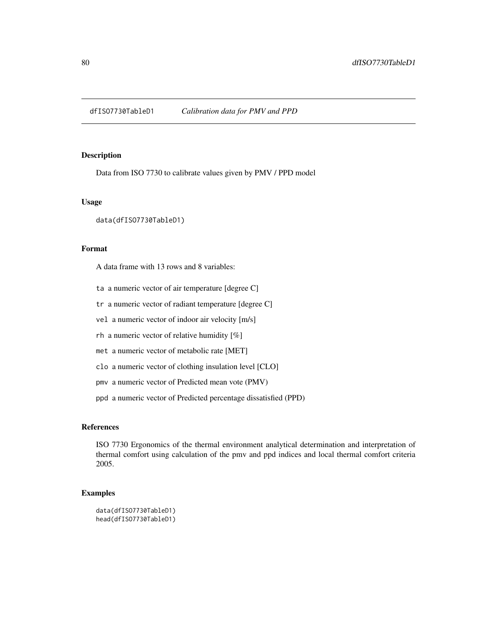<span id="page-79-0"></span>dfISO7730TableD1 *Calibration data for PMV and PPD*

#### Description

Data from ISO 7730 to calibrate values given by PMV / PPD model

### Usage

data(dfISO7730TableD1)

#### Format

A data frame with 13 rows and 8 variables:

- ta a numeric vector of air temperature [degree C]
- tr a numeric vector of radiant temperature [degree C]
- vel a numeric vector of indoor air velocity [m/s]
- rh a numeric vector of relative humidity [%]
- met a numeric vector of metabolic rate [MET]
- clo a numeric vector of clothing insulation level [CLO]
- pmv a numeric vector of Predicted mean vote (PMV)
- ppd a numeric vector of Predicted percentage dissatisfied (PPD)

# References

ISO 7730 Ergonomics of the thermal environment analytical determination and interpretation of thermal comfort using calculation of the pmv and ppd indices and local thermal comfort criteria 2005.

# Examples

```
data(dfISO7730TableD1)
head(dfISO7730TableD1)
```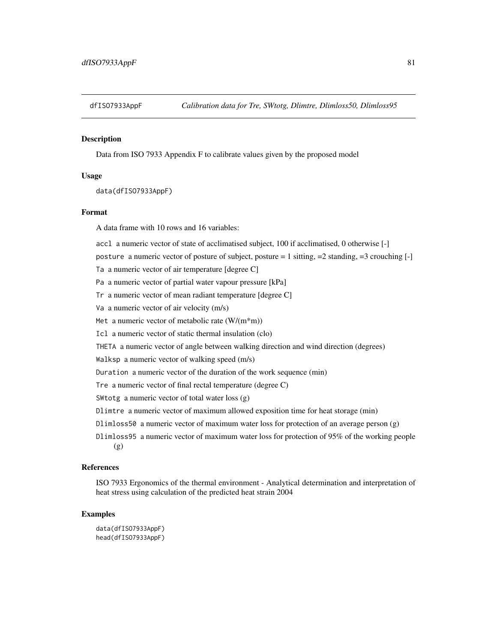<span id="page-80-0"></span>

Data from ISO 7933 Appendix F to calibrate values given by the proposed model

#### Usage

data(dfISO7933AppF)

#### Format

A data frame with 10 rows and 16 variables:

accl a numeric vector of state of acclimatised subject, 100 if acclimatised, 0 otherwise [-]

posture a numeric vector of posture of subject, posture = 1 sitting, =2 standing, =3 crouching [-]

Ta a numeric vector of air temperature [degree C]

Pa a numeric vector of partial water vapour pressure [kPa]

- Tr a numeric vector of mean radiant temperature [degree C]
- Va a numeric vector of air velocity (m/s)

Met a numeric vector of metabolic rate  $(W/(m*m))$ 

Icl a numeric vector of static thermal insulation (clo)

THETA a numeric vector of angle between walking direction and wind direction (degrees)

Walksp a numeric vector of walking speed (m/s)

Duration a numeric vector of the duration of the work sequence (min)

Tre a numeric vector of final rectal temperature (degree C)

SWtotg a numeric vector of total water loss (g)

Dlimtre a numeric vector of maximum allowed exposition time for heat storage (min)

- Dlimloss50 a numeric vector of maximum water loss for protection of an average person (g)
- Dlimloss95 a numeric vector of maximum water loss for protection of 95% of the working people (g)

#### References

ISO 7933 Ergonomics of the thermal environment - Analytical determination and interpretation of heat stress using calculation of the predicted heat strain 2004

### Examples

data(dfISO7933AppF) head(dfISO7933AppF)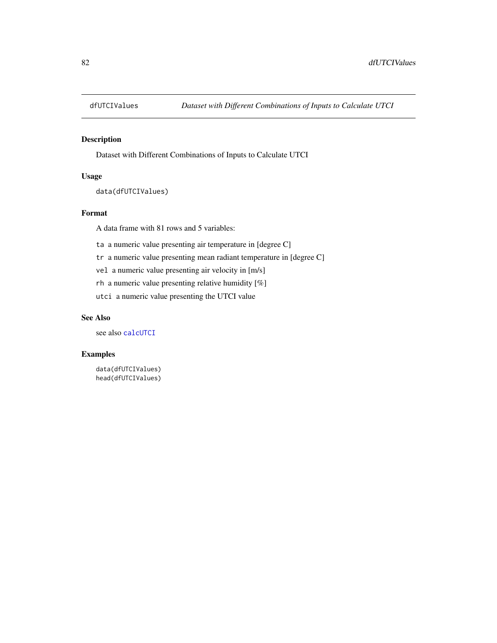<span id="page-81-0"></span>

Dataset with Different Combinations of Inputs to Calculate UTCI

# Usage

data(dfUTCIValues)

# Format

A data frame with 81 rows and 5 variables:

ta a numeric value presenting air temperature in [degree C]

tr a numeric value presenting mean radiant temperature in [degree C]

vel a numeric value presenting air velocity in [m/s]

rh a numeric value presenting relative humidity [%]

utci a numeric value presenting the UTCI value

# See Also

see also [calcUTCI](#page-72-0)

# Examples

data(dfUTCIValues) head(dfUTCIValues)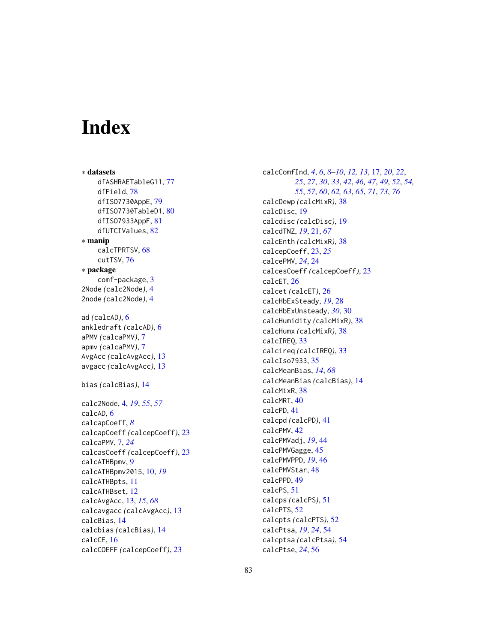# **Index**

∗ datasets dfASHRAETableG11, [77](#page-76-0) dfField, [78](#page-77-0) dfISO7730AppE, [79](#page-78-0) dfISO7730TableD1, [80](#page-79-0) dfISO7933AppF, [81](#page-80-0) dfUTCIValues, [82](#page-81-0) ∗ manip calcTPRTSV, [68](#page-67-0) cutTSV, [76](#page-75-0) ∗ package comf-package, [3](#page-2-0) 2Node *(*calc2Node*)*, [4](#page-3-0) 2node *(*calc2Node*)*, [4](#page-3-0) ad *(*calcAD*)*, [6](#page-5-0) ankledraft *(*calcAD*)*, [6](#page-5-0) aPMV *(*calcaPMV*)*, [7](#page-6-0) apmv *(*calcaPMV*)*, [7](#page-6-0) AvgAcc *(*calcAvgAcc*)*, [13](#page-12-0) avgacc *(*calcAvgAcc*)*, [13](#page-12-0) bias *(*calcBias*)*, [14](#page-13-0) calc2Node, [4,](#page-3-0) *[19](#page-18-0)*, *[55](#page-54-0)*, *[57](#page-56-0)* calcAD, [6](#page-5-0) calcapCoeff, *[8](#page-7-0)* calcapCoeff *(*calcepCoeff*)*, [23](#page-22-0) calcaPMV, [7,](#page-6-0) *[24](#page-23-0)* calcasCoeff *(*calcepCoeff*)*, [23](#page-22-0) calcATHBpmv, [9](#page-8-0) calcATHBpmv2015, [10,](#page-9-0) *[19](#page-18-0)* calcATHBpts, [11](#page-10-0) calcATHBset, [12](#page-11-0) calcAvgAcc, [13,](#page-12-0) *[15](#page-14-0)*, *[68](#page-67-0)* calcavgacc *(*calcAvgAcc*)*, [13](#page-12-0) calcBias, [14](#page-13-0) calcbias *(*calcBias*)*, [14](#page-13-0) calcCE, [16](#page-15-0) calcCOEFF *(*calcepCoeff*)*, [23](#page-22-0)

calcComfInd, *[4](#page-3-0)*, *[6](#page-5-0)*, *[8](#page-7-0)[–10](#page-9-0)*, *[12,](#page-11-0) [13](#page-12-0)*, [17,](#page-16-1) *[20](#page-19-0)*, *[22](#page-21-0)*, *[25](#page-24-0)*, *[27](#page-26-0)*, *[30](#page-29-0)*, *[33](#page-32-0)*, *[42](#page-41-0)*, *[46,](#page-45-0) [47](#page-46-0)*, *[49](#page-48-0)*, *[52](#page-51-0)*, *[54,](#page-53-0) [55](#page-54-0)*, *[57](#page-56-0)*, *[60](#page-59-0)*, *[62,](#page-61-0) [63](#page-62-0)*, *[65](#page-64-0)*, *[71](#page-70-0)*, *[73](#page-72-1)*, *[76](#page-75-0)* calcDewp *(*calcMixR*)*, [38](#page-37-0) calcDisc, [19](#page-18-0) calcdisc *(*calcDisc*)*, [19](#page-18-0) calcdTNZ, *[19](#page-18-0)*, [21,](#page-20-0) *[67](#page-66-0)* calcEnth *(*calcMixR*)*, [38](#page-37-0) calcepCoeff, [23,](#page-22-0) *[25](#page-24-0)* calcePMV, *[24](#page-23-0)*, [24](#page-23-0) calcesCoeff *(*calcepCoeff*)*, [23](#page-22-0) calcET, [26](#page-25-0) calcet *(*calcET*)*, [26](#page-25-0) calcHbExSteady, *[19](#page-18-0)*, [28](#page-27-0) calcHbExUnsteady, *[30](#page-29-0)*, [30](#page-29-0) calcHumidity *(*calcMixR*)*, [38](#page-37-0) calcHumx *(*calcMixR*)*, [38](#page-37-0) calcIREQ, [33](#page-32-0) calcireq *(*calcIREQ*)*, [33](#page-32-0) calcIso7933, [35](#page-34-0) calcMeanBias, *[14](#page-13-0)*, *[68](#page-67-0)* calcMeanBias *(*calcBias*)*, [14](#page-13-0) calcMixR, [38](#page-37-0) calcMRT, [40](#page-39-0) calcPD, [41](#page-40-0) calcpd *(*calcPD*)*, [41](#page-40-0) calcPMV, [42](#page-41-0) calcPMVadj, *[19](#page-18-0)*, [44](#page-43-0) calcPMVGagge, [45](#page-44-0) calcPMVPPD, *[19](#page-18-0)*, [46](#page-45-0) calcPMVStar, [48](#page-47-0) calcPPD, [49](#page-48-0) calcPS, [51](#page-50-0) calcps *(*calcPS*)*, [51](#page-50-0) calcPTS, [52](#page-51-0) calcpts *(*calcPTS*)*, [52](#page-51-0) calcPtsa, *[19](#page-18-0)*, *[24](#page-23-0)*, [54](#page-53-0) calcptsa *(*calcPtsa*)*, [54](#page-53-0)

calcPtse, *[24](#page-23-0)*, [56](#page-55-0)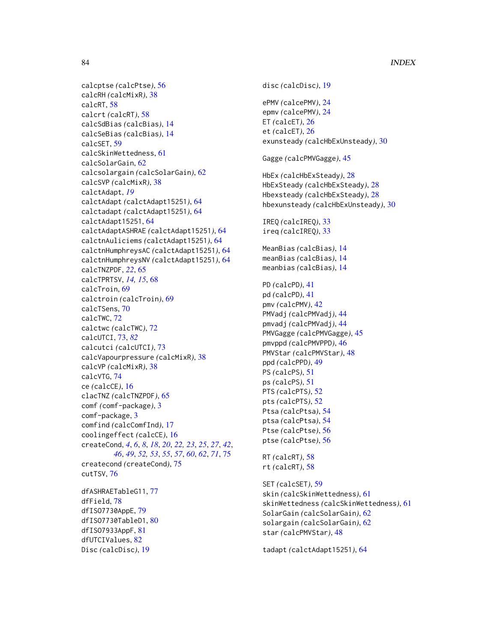```
calcptse (calcPtse), 56
calcRH (calcMixR), 38
calcRT, 58
calcrt (calcRT), 58
calcSdBias (calcBias), 14
calcSeBias (calcBias), 14
calcSET, 59
calcSkinWettedness, 61
calcSolarGain, 62
calcsolargain (calcSolarGain), 62
calcSVP (calcMixR), 38
calctAdapt, 19
calctAdapt (calctAdapt15251), 64
calctadapt (calctAdapt15251), 64
calctAdapt15251, 64
calctAdaptASHRAE (calctAdapt15251), 64
calctnAuliciems (calctAdapt15251), 64
calctnHumphreysAC (calctAdapt15251), 64
calctnHumphreysNV (calctAdapt15251), 64
calcTNZPDF, 22, 65
calcTPRTSV, 14, 15, 68
calcTroin, 69
calctroin (calcTroin), 69
calcTSens, 70
calcTWC, 72
calctwc (calcTWC), 72
calcUTCI, 73, 82
calcutci (calcUTCI), 73
calcVapourpressure (calcMixR), 38
calcVP (calcMixR), 38
calcVTG, 74
ce (calcCE), 16
clacTNZ (calcTNZPDF), 65
comf (comf-package), 3
comf-package, 3
comfind (calcComfInd), 17
coolingeffect (calcCE), 16
createCond, 4, 6, 8, 18, 20, 22, 23, 25, 27, 42,
        46, 49, 52, 53, 55, 57, 60, 62, 71, 75
createcond (createCond), 75
cutTSV, 76
dfASHRAETableG11, 77
dfField, 78
dfISO7730AppE, 79
dfISO7730TableD1, 80
dfISO7933AppF, 81
dfUTCIValues, 82
Disc (calcDisc), 19
```

```
disc (calcDisc), 19
ePMV (calcePMV), 24
epmv (calcePMV), 24
ET (calcET), 26
et (calcET), 26
exunsteady (calcHbExUnsteady), 30
Gagge (calcPMVGagge), 45
HbEx (calcHbExSteady), 28
HbExSteady (calcHbExSteady), 28
Hbexsteady (calcHbExSteady), 28
hbexunsteady (calcHbExUnsteady), 30
IREQ (calcIREQ), 33
ireq (calcIREQ), 33
MeanBias (calcBias), 14
meanBias (calcBias), 14
meanbias (calcBias), 14
PD (calcPD), 41
pd (calcPD), 41
pmv (calcPMV), 42
PMVadj (calcPMVadj), 44
pmvadj (calcPMVadj), 44
PMVGagge (calcPMVGagge), 45
pmvppd (calcPMVPPD), 46
PMVStar (calcPMVStar), 48
ppd (calcPPD), 49
PS (calcPS), 51
ps (calcPS), 51
PTS (calcPTS), 52
pts (calcPTS), 52
Ptsa (calcPtsa), 54
ptsa (calcPtsa), 54
Ptse (calcPtse), 56
ptse (calcPtse), 56
RT (calcRT), 58
rt (calcRT), 58
SET (calcSET), 59
skin (calcSkinWettedness), 61
skinWettedness (calcSkinWettedness), 61
SolarGain (calcSolarGain), 62
solargain (calcSolarGain), 62
star (calcPMVStar), 48
tadapt (calctAdapt15251), 64
```